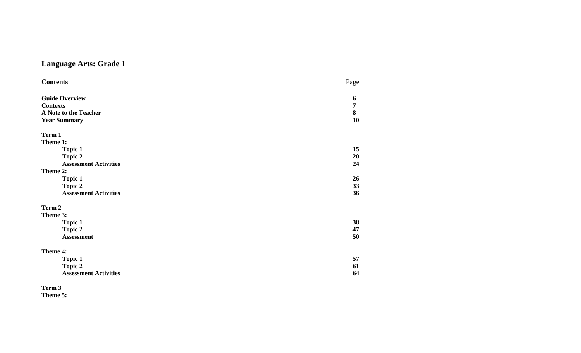# **Language Arts: Grade 1**

| <b>Contents</b>              | Page           |
|------------------------------|----------------|
| <b>Guide Overview</b>        | 6              |
| <b>Contexts</b>              | $\overline{7}$ |
|                              |                |
| A Note to the Teacher        | 8              |
| <b>Year Summary</b>          | 10             |
| Term 1                       |                |
| Theme 1:                     |                |
| <b>Topic 1</b>               | 15             |
| <b>Topic 2</b>               | 20             |
| <b>Assessment Activities</b> | 24             |
| Theme 2:                     |                |
| <b>Topic 1</b>               | 26             |
| <b>Topic 2</b>               | 33             |
| <b>Assessment Activities</b> | 36             |
| Term 2                       |                |
| Theme 3:                     |                |
| <b>Topic 1</b>               | 38             |
| <b>Topic 2</b>               | 47             |
| <b>Assessment</b>            | 50             |
|                              |                |
| Theme 4:                     |                |
| <b>Topic 1</b>               | 57             |
| <b>Topic 2</b>               | 61             |
| <b>Assessment Activities</b> | 64             |

**Term 3 Theme 5:**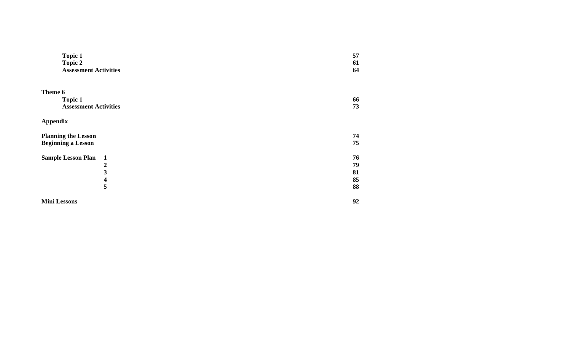| <b>Topic 1</b><br><b>Topic 2</b><br><b>Assessment Activities</b> | 57<br>61<br>64 |
|------------------------------------------------------------------|----------------|
| Theme 6                                                          |                |
| <b>Topic 1</b>                                                   | 66             |
| <b>Assessment Activities</b>                                     | 73             |
| <b>Appendix</b>                                                  |                |
| <b>Planning the Lesson</b>                                       | 74             |
| <b>Beginning a Lesson</b>                                        | 75             |
| <b>Sample Lesson Plan</b><br>$\mathbf{1}$                        | 76             |
| $\boldsymbol{2}$                                                 | 79             |
| 3                                                                | 81             |
| 4                                                                | 85             |
| 5                                                                | 88             |
| <b>Mini Lessons</b>                                              | 92             |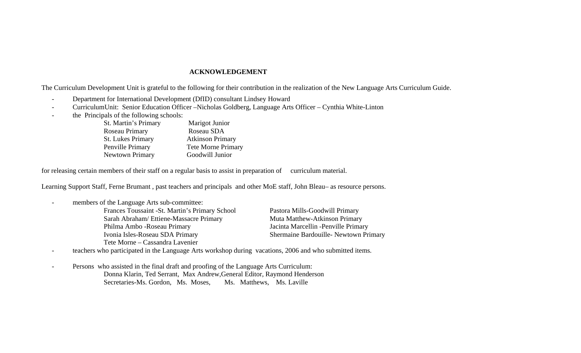#### **ACKNOWLEDGEMENT**

The Curriculum Development Unit is grateful to the following for their contribution in the realization of the New Language Arts Curriculum Guide.

- -Department for International Development (DfID) consultant Lindsey Howard
- -CurriculumUnit: Senior Education Officer –Nicholas Goldberg, Language Arts Officer – Cynthia White-Linton
- the Principals of the following schools:

| <b>St. Martin's Primary</b> | Marigot Junior            |
|-----------------------------|---------------------------|
| Roseau Primary              | Roseau SDA                |
| <b>St. Lukes Primary</b>    | <b>Atkinson Primary</b>   |
| Penville Primary            | <b>Tete Morne Primary</b> |
| Newtown Primary             | Goodwill Junior           |

for releasing certain members of their staff on a regular basis to assist in preparation of curriculum material.

Learning Support Staff, Ferne Brumant , past teachers and principals and other MoE staff, John Bleau– as resource persons.

| Pastora Mills-Goodwill Primary        |
|---------------------------------------|
| Muta Matthew-Atkinson Primary         |
| Jacinta Marcellin - Penville Primary  |
| Shermaine Bardouille- Newtown Primary |
|                                       |
|                                       |

teachers who participated in the Language Arts workshop during vacations, 2006 and who submitted items.

- Persons who assisted in the final draft and proofing of the Language Arts Curriculum: Donna Klarin, Ted Serrant, Max Andrew,General Editor, Raymond Henderson Secretaries-Ms. Gordon, Ms. Moses, Ms. Matthews, Ms. Laville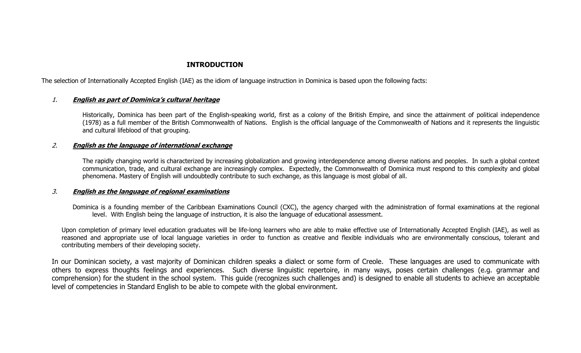### **INTRODUCTION**

The selection of Internationally Accepted English (IAE) as the idiom of language instruction in Dominica is based upon the following facts:

#### 1.**English as part of Dominica's cultural heritage**

 Historically, Dominica has been part of the English-speaking world, first as a colony of the British Empire, and since the attainment of political independence (1978) as a full member of the British Commonwealth of Nations. English is the official language of the Commonwealth of Nations and it represents the linguistic and cultural lifeblood of that grouping.

#### 2.**English as the language of international exchange**

The rapidly changing world is characterized by increasing globalization and growing interdependence among diverse nations and peoples. In such a global context communication, trade, and cultural exchange are increasingly complex. Expectedly, the Commonwealth of Dominica must respond to this complexity and global phenomena. Mastery of English will undoubtedly contribute to such exchange, as this language is most global of all.

#### 3.**English as the language of regional examinations**

Dominica is a founding member of the Caribbean Examinations Council (CXC), the agency charged with the administration of formal examinations at the regional level. With English being the language of instruction, it is also the language of educational assessment.

Upon completion of primary level education graduates will be life-long learners who are able to make effective use of Internationally Accepted English (IAE), as well as reasoned and appropriate use of local language varieties in order to function as creative and flexible individuals who are environmentally conscious, tolerant and contributing members of their developing society.

In our Dominican society, a vast majority of Dominican children speaks a dialect or some form of Creole. These languages are used to communicate with others to express thoughts feelings and experiences. Such diverse linguistic repertoire, in many ways, poses certain challenges (e.g. grammar and comprehension) for the student in the school system. This guide (recognizes such challenges and) is designed to enable all students to achieve an acceptable level of competencies in Standard English to be able to compete with the global environment.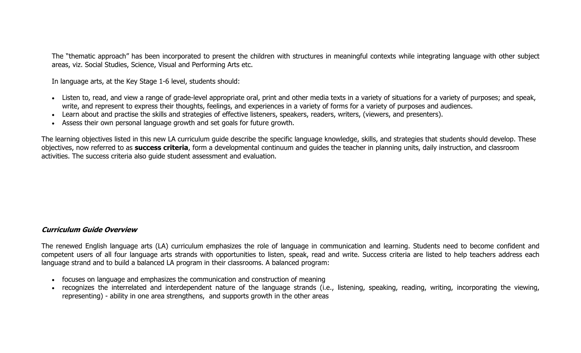The "thematic approach" has been incorporated to present the children with structures in meaningful contexts while integrating language with other subject areas, viz. Social Studies, Science, Visual and Performing Arts etc.

In language arts, at the Key Stage 1-6 level, students should:

- Listen to, read, and view a range of grade-level appropriate oral, print and other media texts in a variety of situations for a variety of purposes; and speak, write, and represent to express their thoughts, feelings, and experiences in a variety of forms for a variety of purposes and audiences.
- Learn about and practise the skills and strategies of effective listeners, speakers, readers, writers, (viewers, and presenters).
- Assess their own personal language growth and set goals for future growth.

The learning objectives listed in this new LA curriculum guide describe the specific language knowledge, skills, and strategies that students should develop. These objectives, now referred to as **success criteria**, form a developmental continuum and guides the teacher in planning units, daily instruction, and classroom activities. The success criteria also guide student assessment and evaluation.

#### **Curriculum Guide Overview**

The renewed English language arts (LA) curriculum emphasizes the role of language in communication and learning. Students need to become confident and competent users of all four language arts strands with opportunities to listen, speak, read and write. Success criteria are listed to help teachers address each language strand and to build a balanced LA program in their classrooms. A balanced program:

- focuses on language and emphasizes the communication and construction of meaning
- recognizes the interrelated and interdependent nature of the language strands (i.e., listening, speaking, reading, writing, incorporating the viewing, representing) - ability in one area strengthens, and supports growth in the other areas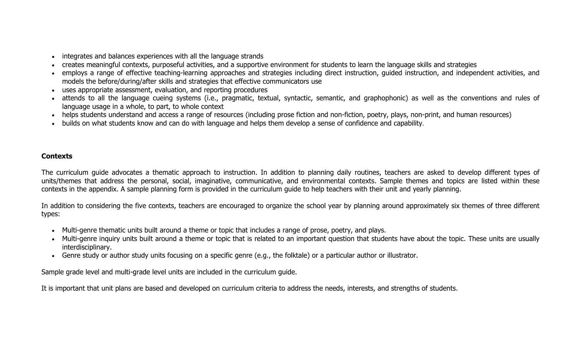- •integrates and balances experiences with all the language strands
- creates meaningful contexts, purposeful activities, and a supportive environment for students to learn the language skills and strategies
- • employs a range of effective teaching-learning approaches and strategies including direct instruction, guided instruction, and independent activities, and models the before/during/after skills and strategies that effective communicators use
- •uses appropriate assessment, evaluation, and reporting procedures
- • attends to all the language cueing systems (i.e., pragmatic, textual, syntactic, semantic, and graphophonic) as well as the conventions and rules of language usage in a whole, to part, to whole context
- helps students understand and access a range of resources (including prose fiction and non-fiction, poetry, plays, non-print, and human resources)
- •builds on what students know and can do with language and helps them develop a sense of confidence and capability.

### **Contexts**

The curriculum guide advocates a thematic approach to instruction. In addition to planning daily routines, teachers are asked to develop different types of units/themes that address the personal, social, imaginative, communicative, and environmental contexts. Sample themes and topics are listed within these contexts in the appendix. A sample planning form is provided in the curriculum guide to help teachers with their unit and yearly planning.

In addition to considering the five contexts, teachers are encouraged to organize the school year by planning around approximately six themes of three different types:

- Multi-genre thematic units built around a theme or topic that includes a range of prose, poetry, and plays.
- Multi-genre inquiry units built around a theme or topic that is related to an important question that students have about the topic. These units are usually interdisciplinary.
- Genre study or author study units focusing on a specific genre (e.g., the folktale) or a particular author or illustrator.

Sample grade level and multi-grade level units are included in the curriculum guide.

It is important that unit plans are based and developed on curriculum criteria to address the needs, interests, and strengths of students.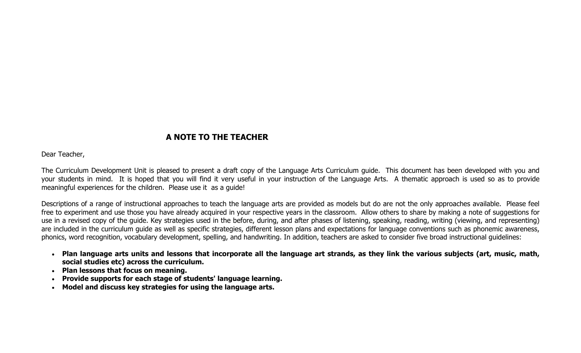## **A NOTE TO THE TEACHER**

Dear Teacher,

The Curriculum Development Unit is pleased to present a draft copy of the Language Arts Curriculum guide. This document has been developed with you and your students in mind. It is hoped that you will find it very useful in your instruction of the Language Arts. A thematic approach is used so as to provide meaningful experiences for the children. Please use it as a guide!

Descriptions of a range of instructional approaches to teach the language arts are provided as models but do are not the only approaches available. Please feel free to experiment and use those you have already acquired in your respective years in the classroom. Allow others to share by making a note of suggestions for use in a revised copy of the guide. Key strategies used in the before, during, and after phases of listening, speaking, reading, writing (viewing, and representing) are included in the curriculum guide as well as specific strategies, different lesson plans and expectations for language conventions such as phonemic awareness, phonics, word recognition, vocabulary development, spelling, and handwriting. In addition, teachers are asked to consider five broad instructional guidelines:

- **Plan language arts units and lessons that incorporate all the language art strands, as they link the various subjects (art, music, math, social studies etc) across the curriculum.**
- **Plan lessons that focus on meaning.**
- •**Provide supports for each stage of students' language learning.**
- •**Model and discuss key strategies for using the language arts.**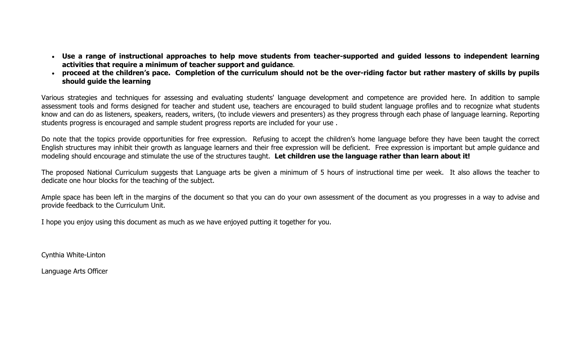- **Use a range of instructional approaches to help move students from teacher-supported and guided lessons to independent learning activities that require a minimum of teacher support and guidance**.
- **proceed at the children's pace. Completion of the curriculum should not be the over-riding factor but rather mastery of skills by pupils should guide the learning**

Various strategies and techniques for assessing and evaluating students' language development and competence are provided here. In addition to sample assessment tools and forms designed for teacher and student use, teachers are encouraged to build student language profiles and to recognize what students know and can do as listeners, speakers, readers, writers, (to include viewers and presenters) as they progress through each phase of language learning. Reporting students progress is encouraged and sample student progress reports are included for your use .

Do note that the topics provide opportunities for free expression. Refusing to accept the children's home language before they have been taught the correct English structures may inhibit their growth as language learners and their free expression will be deficient. Free expression is important but ample guidance and modeling should encourage and stimulate the use of the structures taught. **Let children use the language rather than learn about it!**

The proposed National Curriculum suggests that Language arts be given a minimum of 5 hours of instructional time per week. It also allows the teacher to dedicate one hour blocks for the teaching of the subject.

Ample space has been left in the margins of the document so that you can do your own assessment of the document as you progresses in a way to advise and provide feedback to the Curriculum Unit.

I hope you enjoy using this document as much as we have enjoyed putting it together for you.

Cynthia White-Linton

Language Arts Officer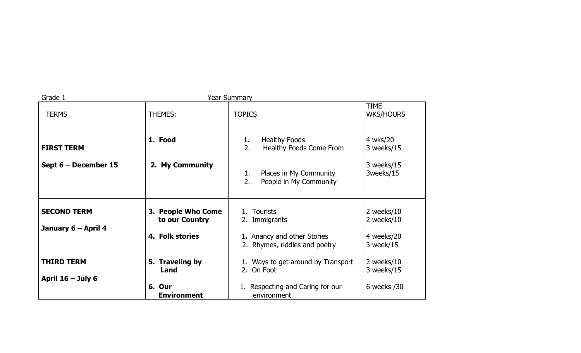| Grade 1                                   |                                                         | <b>Year Summary</b>                                                                                                         |                                                     |
|-------------------------------------------|---------------------------------------------------------|-----------------------------------------------------------------------------------------------------------------------------|-----------------------------------------------------|
| <b>TERMS</b>                              | <b>THEMES:</b>                                          | <b>TOPICS</b>                                                                                                               | <b>TIME</b><br><b>WKS/HOURS</b>                     |
| <b>FIRST TERM</b><br>Sept 6 - December 15 | 1. Food<br>2. My Community                              | <b>Healthy Foods</b><br>1.<br>2.<br>Healthy Foods Come From<br>Places in My Community<br>1.<br>2.<br>People in My Community | 4 wks/20<br>3 weeks/15<br>3 weeks/15<br>3weeks/15   |
| <b>SECOND TERM</b><br>January 6 – April 4 | 3. People Who Come<br>to our Country<br>4. Folk stories | 1. Tourists<br>2. Immigrants<br>1. Anancy and other Stories<br>2. Rhymes, riddles and poetry                                | 2 weeks/10<br>2 weeks/10<br>4 weeks/20<br>3 week/15 |
| <b>THIRD TERM</b><br>April $16 -$ July 6  | 5. Traveling by<br>Land<br>6. Our<br><b>Environment</b> | 1. Ways to get around by Transport<br>2. On Foot<br>1. Respecting and Caring for our<br>environment                         | 2 weeks/10<br>3 weeks/15<br>6 weeks / 30            |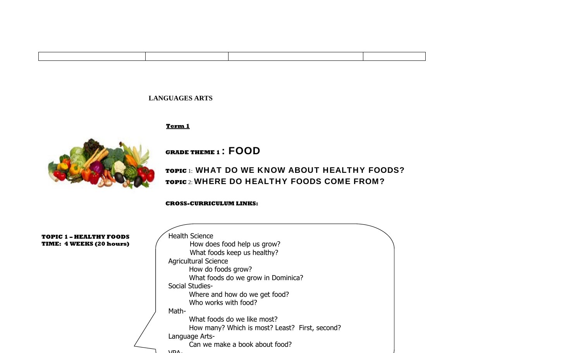#### **LANGUAGES ARTS**

#### **Term 1**



**GRADE THEME 1** : FOOD

**TOPIC** 1: WHAT DO WE KNOW ABOUT HEALTHY FOODS? **TOPIC** 2: WHERE DO HEALTHY FOODS COME FROM?

**CROSS-CURRICULUM LINKS:**

| <b>TOPIC 1 - HEALTHY FOODS</b>  | <b>Health Science</b>                          |
|---------------------------------|------------------------------------------------|
| <b>TIME: 4 WEEKS (20 hours)</b> | How does food help us grow?                    |
|                                 | What foods keep us healthy?                    |
|                                 | <b>Agricultural Science</b>                    |
|                                 | How do foods grow?                             |
|                                 | What foods do we grow in Dominica?             |
|                                 | Social Studies-                                |
|                                 | Where and how do we get food?                  |
|                                 | Who works with food?                           |
|                                 | Math-                                          |
|                                 | What foods do we like most?                    |
|                                 | How many? Which is most? Least? First, second? |
|                                 | Language Arts-                                 |
|                                 | Can we make a book about food?                 |
|                                 | <b>NOV</b>                                     |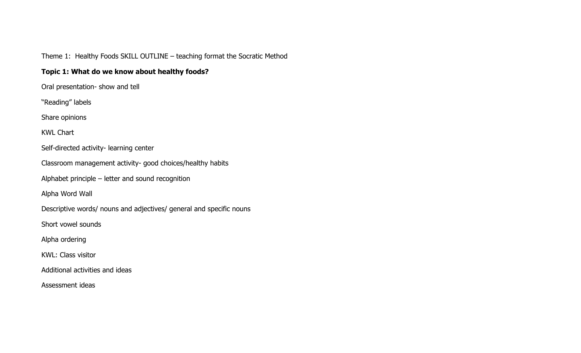Theme 1: Healthy Foods SKILL OUTLINE – teaching format the Socratic Method

## **Topic 1: What do we know about healthy foods?**

Oral presentation- show and tell

"Reading" labels

Share opinions

KWL Chart

Self-directed activity- learning center

Classroom management activity- good choices/healthy habits

Alphabet principle – letter and sound recognition

Alpha Word Wall

Descriptive words/ nouns and adjectives/ general and specific nouns

Short vowel sounds

Alpha ordering

KWL: Class visitor

Additional activities and ideas

Assessment ideas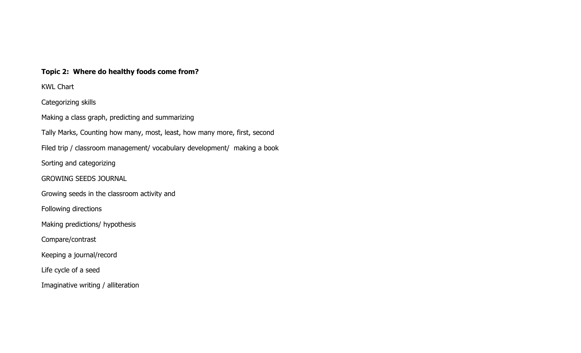## **Topic 2: Where do healthy foods come from?**

KWL Chart

Categorizing skills

Making a class graph, predicting and summarizing

Tally Marks, Counting how many, most, least, how many more, first, second

Filed trip / classroom management/ vocabulary development/ making a book

Sorting and categorizing

GROWING SEEDS JOURNAL

Growing seeds in the classroom activity and

Following directions

Making predictions/ hypothesis

Compare/contrast

Keeping a journal/record

Life cycle of a seed

Imaginative writing / alliteration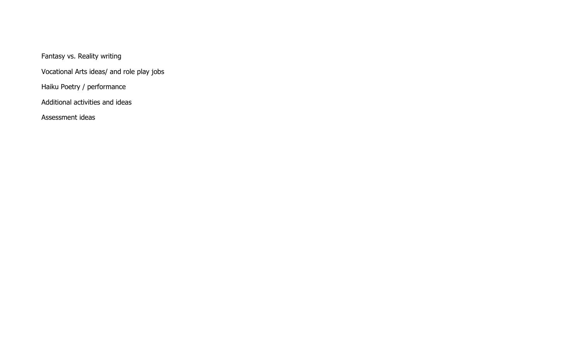Fantasy vs. Reality writing

Vocational Arts ideas/ and role play jobs

Haiku Poetry / performance

Additional activities and ideas

Assessment ideas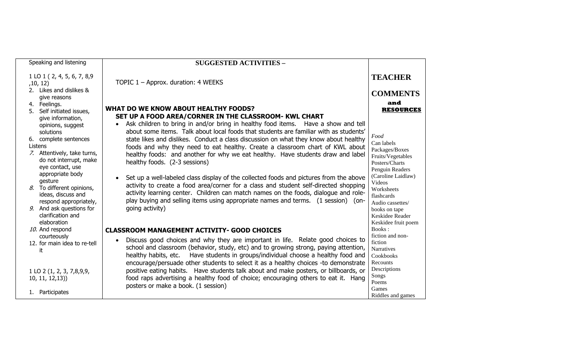| Speaking and listening                                                                                                                                                                                                                                                                                                                                                                           | <b>SUGGESTED ACTIVITIES -</b>                                                                                                                                                                                                                                                                                                                                                                                                                                                                                                                                                                                                                                                                                                                                                                                                                                                                                                                                    |                                                                                                                                                                                                                                                                             |
|--------------------------------------------------------------------------------------------------------------------------------------------------------------------------------------------------------------------------------------------------------------------------------------------------------------------------------------------------------------------------------------------------|------------------------------------------------------------------------------------------------------------------------------------------------------------------------------------------------------------------------------------------------------------------------------------------------------------------------------------------------------------------------------------------------------------------------------------------------------------------------------------------------------------------------------------------------------------------------------------------------------------------------------------------------------------------------------------------------------------------------------------------------------------------------------------------------------------------------------------------------------------------------------------------------------------------------------------------------------------------|-----------------------------------------------------------------------------------------------------------------------------------------------------------------------------------------------------------------------------------------------------------------------------|
| 1 LO 1 (2, 4, 5, 6, 7, 8,9<br>,10, 12)<br>2. Likes and dislikes &<br>give reasons                                                                                                                                                                                                                                                                                                                | TOPIC 1 - Approx. duration: 4 WEEKS                                                                                                                                                                                                                                                                                                                                                                                                                                                                                                                                                                                                                                                                                                                                                                                                                                                                                                                              | <b>TEACHER</b><br><b>COMMENTS</b>                                                                                                                                                                                                                                           |
| 4. Feelings.<br>5. Self initiated issues,<br>give information,<br>opinions, suggest<br>solutions<br>6. complete sentences<br>Listens<br>7. Attentively, take turns,<br>do not interrupt, make<br>eye contact, use<br>appropriate body<br>gesture<br>To different opinions,<br>8.<br>ideas, discuss and<br>respond appropriately,<br>9. And ask questions for<br>clarification and<br>elaboration | <b>WHAT DO WE KNOW ABOUT HEALTHY FOODS?</b><br>SET UP A FOOD AREA/CORNER IN THE CLASSROOM- KWL CHART<br>Ask children to bring in and/or bring in healthy food items. Have a show and tell<br>about some items. Talk about local foods that students are familiar with as students'<br>state likes and dislikes. Conduct a class discussion on what they know about healthy<br>foods and why they need to eat healthy. Create a classroom chart of KWL about<br>healthy foods: and another for why we eat healthy. Have students draw and label<br>healthy foods. (2-3 sessions)<br>Set up a well-labeled class display of the collected foods and pictures from the above<br>activity to create a food area/corner for a class and student self-directed shopping<br>activity learning center. Children can match names on the foods, dialogue and role-<br>play buying and selling items using appropriate names and terms. (1 session) (on-<br>going activity) | and<br><b>RESOURCES</b><br>Food<br>Can labels<br>Packages/Boxes<br>Fruits/Vegetables<br>Posters/Charts<br>Penguin Readers<br>(Caroline Laidlaw)<br><b>Videos</b><br>Worksheets<br>flashcards<br>Audio cassettes/<br>books on tape<br>Keskidee Reader<br>Keskidee fruit poem |
| 10. And respond                                                                                                                                                                                                                                                                                                                                                                                  | <b>CLASSROOM MANAGEMENT ACTIVITY- GOOD CHOICES</b>                                                                                                                                                                                                                                                                                                                                                                                                                                                                                                                                                                                                                                                                                                                                                                                                                                                                                                               | Books:                                                                                                                                                                                                                                                                      |
| courteously<br>12. for main idea to re-tell<br>it                                                                                                                                                                                                                                                                                                                                                | Discuss good choices and why they are important in life. Relate good choices to<br>school and classroom (behavior, study, etc) and to growing strong, paying attention,<br>Have students in groups/individual choose a healthy food and<br>healthy habits, etc.<br>encourage/persuade other students to select it as a healthy choices -to demonstrate                                                                                                                                                                                                                                                                                                                                                                                                                                                                                                                                                                                                           | fiction and non-<br>fiction<br><b>Narratives</b><br>Cookbooks<br>Recounts                                                                                                                                                                                                   |
| 1 LO 2 (1, 2, 3, 7,8,9,9,<br>10, 11, 12, 13)                                                                                                                                                                                                                                                                                                                                                     | positive eating habits. Have students talk about and make posters, or billboards, or<br>food raps advertising a healthy food of choice; encouraging others to eat it. Hang<br>posters or make a book. (1 session)                                                                                                                                                                                                                                                                                                                                                                                                                                                                                                                                                                                                                                                                                                                                                | Descriptions<br>Songs<br>Poems<br>Games                                                                                                                                                                                                                                     |
| 1. Participates                                                                                                                                                                                                                                                                                                                                                                                  |                                                                                                                                                                                                                                                                                                                                                                                                                                                                                                                                                                                                                                                                                                                                                                                                                                                                                                                                                                  | Riddles and games                                                                                                                                                                                                                                                           |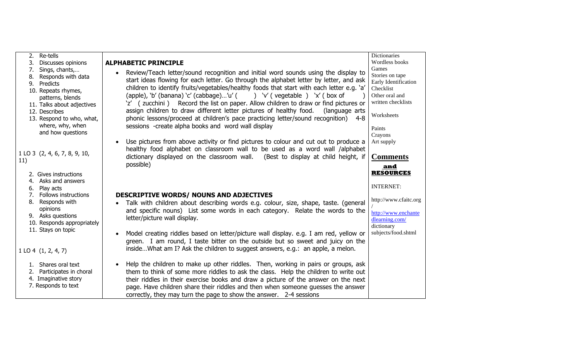| 2. Re-tells                                   |                                                                                                 | Dictionaries                            |
|-----------------------------------------------|-------------------------------------------------------------------------------------------------|-----------------------------------------|
| Discusses opinions<br>3.                      | <b>ALPHABETIC PRINCIPLE</b>                                                                     | Wordless books                          |
| 7.<br>Sings, chants,                          | Review/Teach letter/sound recognition and initial word sounds using the display to<br>$\bullet$ | Games                                   |
| 8. Responds with data                         | start ideas flowing for each letter. Go through the alphabet letter by letter, and ask          | Stories on tape<br>Early Identification |
| 9. Predicts                                   | children to identify fruits/vegetables/healthy foods that start with each letter e.g. 'a'       | Checklist                               |
| 10. Repeats rhymes,                           | (apple), 'b' (banana) 'c' (cabbage)'u' ( ) 'v' (vegetable ) 'x' ( box of                        | Other oral and                          |
| patterns, blends                              | 'z' (zucchini) Record the list on paper. Allow children to draw or find pictures or             | written checklists                      |
| 11. Talks about adjectives<br>12. Describes   | assign children to draw different letter pictures of healthy food.<br>(language arts            |                                         |
|                                               | $4 - 8$                                                                                         | Worksheets                              |
| 13. Respond to who, what,<br>where, why, when | phonic lessons/proceed at children's pace practicing letter/sound recognition)                  |                                         |
| and how questions                             | sessions -create alpha books and word wall display                                              | Paints                                  |
|                                               |                                                                                                 | Crayons                                 |
|                                               | Use pictures from above activity or find pictures to colour and cut out to produce a            | Art supply                              |
| 1 LO 3 (2, 4, 6, 7, 8, 9, 10,                 | healthy food alphabet on classroom wall to be used as a word wall /alphabet                     |                                         |
| 11)                                           | dictionary displayed on the classroom wall. (Best to display at child height, if                | <b>Comments</b>                         |
|                                               | possible)                                                                                       | <u>and</u>                              |
| 2. Gives instructions                         |                                                                                                 | <b>RESOURCES</b>                        |
| 4. Asks and answers                           |                                                                                                 |                                         |
| Play acts<br>6.                               |                                                                                                 | <b>INTERNET:</b>                        |
| Follows instructions<br>7.                    | <b>DESCRIPTIVE WORDS/ NOUNS AND ADJECTIVES</b>                                                  |                                         |
| 8. Responds with                              | Talk with children about describing words e.g. colour, size, shape, taste. (general             | http://www.cfaitc.org                   |
| opinions                                      | and specific nouns) List some words in each category. Relate the words to the                   | http://www.enchante                     |
| 9. Asks questions                             | letter/picture wall display.                                                                    | dlearning.com/                          |
| 10. Responds appropriately                    |                                                                                                 | dictionary                              |
| 11. Stays on topic                            | Model creating riddles based on letter/picture wall display. e.g. I am red, yellow or           | subjects/food.shtml                     |
|                                               | green. I am round, I taste bitter on the outside but so sweet and juicy on the                  |                                         |
| 1 L0 4 (1, 2, 4, 7)                           | insideWhat am I? Ask the children to suggest answers, e.g.: an apple, a melon.                  |                                         |
|                                               |                                                                                                 |                                         |
| 1. Shares oral text                           | Help the children to make up other riddles. Then, working in pairs or groups, ask               |                                         |
| 2. Participates in choral                     | them to think of some more riddles to ask the class. Help the children to write out             |                                         |
| 4. Imaginative story                          | their riddles in their exercise books and draw a picture of the answer on the next              |                                         |
| 7. Responds to text                           | page. Have children share their riddles and then when someone guesses the answer                |                                         |
|                                               | correctly, they may turn the page to show the answer. 2-4 sessions                              |                                         |
|                                               |                                                                                                 |                                         |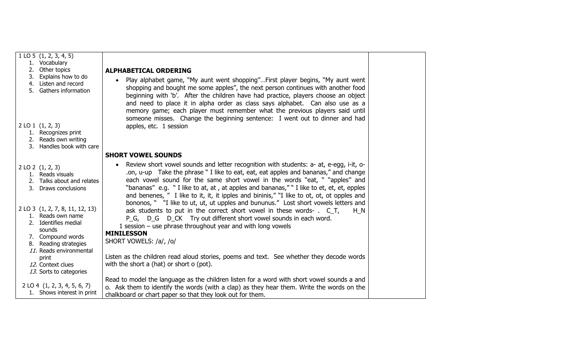| $1$ LO 5 $(1, 2, 3, 4, 5)$   |                                                  |                                                                                            |  |
|------------------------------|--------------------------------------------------|--------------------------------------------------------------------------------------------|--|
| 1. Vocabulary                |                                                  |                                                                                            |  |
| 2. Other topics              |                                                  | <b>ALPHABETICAL ORDERING</b>                                                               |  |
|                              | 3. Explains how to do                            | Play alphabet game, "My aunt went shopping"First player begins, "My aunt went              |  |
| 4. Listen and record         |                                                  | shopping and bought me some apples", the next person continues with another food           |  |
|                              | 5. Gathers information                           | beginning with 'b'. After the children have had practice, players choose an object         |  |
|                              |                                                  | and need to place it in alpha order as class says alphabet. Can also use as a              |  |
|                              |                                                  | memory game; each player must remember what the previous players said until                |  |
|                              |                                                  |                                                                                            |  |
|                              |                                                  | someone misses. Change the beginning sentence: I went out to dinner and had                |  |
| $2$ LO $1$ $(1, 2, 3)$       |                                                  | apples, etc. 1 session                                                                     |  |
| 1. Recognizes print          | 2. Reads own writing                             |                                                                                            |  |
|                              | 3. Handles book with care                        |                                                                                            |  |
|                              |                                                  |                                                                                            |  |
|                              |                                                  | <b>SHORT VOWEL SOUNDS</b>                                                                  |  |
| 2 LO 2 (1, 2, 3)             |                                                  | Review short vowel sounds and letter recognition with students: a- at, e-egg, i-it, o-     |  |
| 1. Reads visuals             |                                                  | .on, u-up Take the phrase " I like to eat, eat, eat apples and bananas," and change        |  |
|                              | 2. Talks about and relates                       | each vowel sound for the same short vowel in the words "eat, " "apples" and                |  |
|                              | 3. Draws conclusions                             | "bananas" e.g. " I like to at, at, at apples and bananas," " I like to et, et, et, epples  |  |
|                              |                                                  | and benenes, " I like to it, it, it ipples and bininis," "I like to ot, ot, ot opples and  |  |
|                              |                                                  | bononos, " "I like to ut, ut, ut upples and bununus." Lost short vowels letters and        |  |
|                              | 2 LO 3 (1, 2, 7, 8, 11, 12, 13)                  | ask students to put in the correct short vowel in these words- . C_T,<br>H N               |  |
| 1. Reads own name            |                                                  | P_G, D_G D_CK Try out different short vowel sounds in each word.                           |  |
| 2. Identifies medial         |                                                  | 1 session $-$ use phrase throughout year and with long vowels                              |  |
| sounds                       |                                                  | <b>MINILESSON</b>                                                                          |  |
| 7. Compound words            |                                                  | SHORT VOWELS: /a/, /o/                                                                     |  |
|                              | 8. Reading strategies<br>11. Reads environmental |                                                                                            |  |
| print                        |                                                  | Listen as the children read aloud stories, poems and text. See whether they decode words   |  |
| 12. Context clues            |                                                  | with the short a (hat) or short o (pot).                                                   |  |
|                              | 13. Sorts to categories                          |                                                                                            |  |
|                              |                                                  | Read to model the language as the children listen for a word with short vowel sounds a and |  |
| 2 LO 4 (1, 2, 3, 4, 5, 6, 7) |                                                  | o. Ask them to identify the words (with a clap) as they hear them. Write the words on the  |  |
|                              | 1. Shows interest in print                       | chalkboard or chart paper so that they look out for them.                                  |  |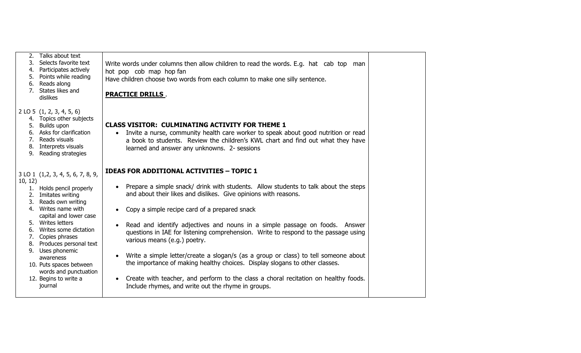| Talks about text<br>2.<br>3. Selects favorite text<br>4. Participates actively<br>5. Points while reading<br>6. Reads along<br>7. States likes and<br>dislikes                                                                                                                                                                                                                                          | Write words under columns then allow children to read the words. E.g. hat cab top man<br>hot pop cob map hop fan<br>Have children choose two words from each column to make one silly sentence.<br><b>PRACTICE DRILLS.</b>                                                                                                                                                                                                                                                                                                                                                                                                                                                                                                                                                                                                  |  |
|---------------------------------------------------------------------------------------------------------------------------------------------------------------------------------------------------------------------------------------------------------------------------------------------------------------------------------------------------------------------------------------------------------|-----------------------------------------------------------------------------------------------------------------------------------------------------------------------------------------------------------------------------------------------------------------------------------------------------------------------------------------------------------------------------------------------------------------------------------------------------------------------------------------------------------------------------------------------------------------------------------------------------------------------------------------------------------------------------------------------------------------------------------------------------------------------------------------------------------------------------|--|
| $2$ LO 5 $(1, 2, 3, 4, 5, 6)$<br>4. Topics other subjects<br>5. Builds upon<br>6. Asks for clarification<br>7. Reads visuals<br>8. Interprets visuals<br>9. Reading strategies                                                                                                                                                                                                                          | <b>CLASS VISITOR: CULMINATING ACTIVITY FOR THEME 1</b><br>• Invite a nurse, community health care worker to speak about good nutrition or read<br>a book to students. Review the children's KWL chart and find out what they have<br>learned and answer any unknowns. 2- sessions                                                                                                                                                                                                                                                                                                                                                                                                                                                                                                                                           |  |
| 3 LO 1 (1,2, 3, 4, 5, 6, 7, 8, 9,<br>10, 12)<br>1. Holds pencil properly<br>2. Imitates writing<br>3. Reads own writing<br>4. Writes name with<br>capital and lower case<br>5. Writes letters<br>Writes some dictation<br>6.<br>7. Copies phrases<br>8. Produces personal text<br>9. Uses phonemic<br>awareness<br>10. Puts spaces between<br>words and punctuation<br>12. Begins to write a<br>journal | <b>IDEAS FOR ADDITIONAL ACTIVITIES - TOPIC 1</b><br>Prepare a simple snack/ drink with students. Allow students to talk about the steps<br>and about their likes and dislikes. Give opinions with reasons.<br>Copy a simple recipe card of a prepared snack<br>Read and identify adjectives and nouns in a simple passage on foods. Answer<br>$\bullet$<br>questions in IAE for listening comprehension. Write to respond to the passage using<br>various means (e.g.) poetry.<br>Write a simple letter/create a slogan/s (as a group or class) to tell someone about<br>$\bullet$<br>the importance of making healthy choices. Display slogans to other classes.<br>Create with teacher, and perform to the class a choral recitation on healthy foods.<br>$\bullet$<br>Include rhymes, and write out the rhyme in groups. |  |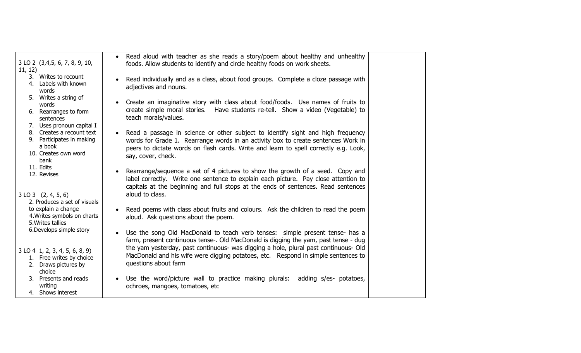| 3 LO 2 (3,4,5, 6, 7, 8, 9, 10,<br>11, 12)                                                                                     | Read aloud with teacher as she reads a story/poem about healthy and unhealthy<br>$\bullet$<br>foods. Allow students to identify and circle healthy foods on work sheets.                                                                                                                        |  |
|-------------------------------------------------------------------------------------------------------------------------------|-------------------------------------------------------------------------------------------------------------------------------------------------------------------------------------------------------------------------------------------------------------------------------------------------|--|
| 3. Writes to recount<br>4. Labels with known<br>words                                                                         | Read individually and as a class, about food groups. Complete a cloze passage with<br>$\bullet$<br>adjectives and nouns.                                                                                                                                                                        |  |
| 5. Writes a string of<br>words<br>6. Rearranges to form<br>sentences                                                          | Create an imaginative story with class about food/foods. Use names of fruits to<br>$\bullet$<br>create simple moral stories. Have students re-tell. Show a video (Vegetable) to<br>teach morals/values.                                                                                         |  |
| 7. Uses pronoun capital I<br>8. Creates a recount text<br>9. Participates in making<br>a book<br>10. Creates own word<br>bank | Read a passage in science or other subject to identify sight and high frequency<br>$\bullet$<br>words for Grade 1. Rearrange words in an activity box to create sentences Work in<br>peers to dictate words on flash cards. Write and learn to spell correctly e.g. Look,<br>say, cover, check. |  |
| 11. Edits<br>12. Revises<br>$3$ LO $3$ $(2, 4, 5, 6)$<br>2. Produces a set of visuals                                         | Rearrange/sequence a set of 4 pictures to show the growth of a seed. Copy and<br>$\bullet$<br>label correctly. Write one sentence to explain each picture. Pay close attention to<br>capitals at the beginning and full stops at the ends of sentences. Read sentences<br>aloud to class.       |  |
| to explain a change<br>4. Writes symbols on charts<br>5. Writes tallies                                                       | Read poems with class about fruits and colours. Ask the children to read the poem<br>$\bullet$<br>aloud. Ask questions about the poem.                                                                                                                                                          |  |
| 6. Develops simple story                                                                                                      | Use the song Old MacDonald to teach verb tenses: simple present tense- has a<br>$\bullet$<br>farm, present continuous tense-. Old MacDonald is digging the yam, past tense - dug                                                                                                                |  |
| $3$ LO 4 1, 2, 3, 4, 5, 6, 8, 9)<br>1. Free writes by choice<br>2. Draws pictures by<br>choice                                | the yam yesterday, past continuous- was digging a hole, plural past continuous- Old<br>MacDonald and his wife were digging potatoes, etc. Respond in simple sentences to<br>questions about farm                                                                                                |  |
| 3. Presents and reads<br>writing<br>4. Shows interest                                                                         | Use the word/picture wall to practice making plurals: adding s/es- potatoes,<br>$\bullet$<br>ochroes, mangoes, tomatoes, etc.                                                                                                                                                                   |  |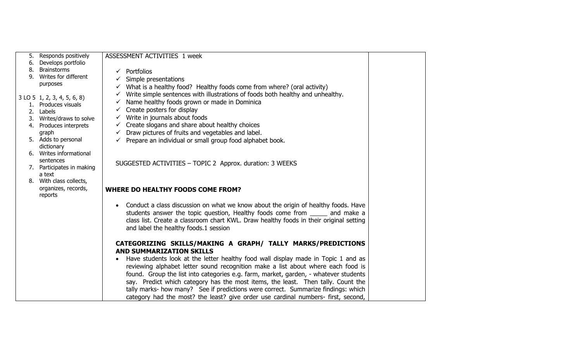|    | 5. Responds positively                | ASSESSMENT ACTIVITIES 1 week                                                                   |  |
|----|---------------------------------------|------------------------------------------------------------------------------------------------|--|
| 6. | Develops portfolio                    |                                                                                                |  |
| 8. | <b>Brainstorms</b>                    | $\checkmark$ Portfolios                                                                        |  |
| 9. | Writes for different                  | Simple presentations                                                                           |  |
|    | purposes                              | What is a healthy food? Healthy foods come from where? (oral activity)                         |  |
|    |                                       | Write simple sentences with illustrations of foods both healthy and unhealthy.<br>$\checkmark$ |  |
|    | 3 LO 5 1, 2, 3, 4, 5, 6, 8)           | Name healthy foods grown or made in Dominica                                                   |  |
|    | 1. Produces visuals                   | Create posters for display                                                                     |  |
|    | 2. Labels                             | $\checkmark$ Write in journals about foods                                                     |  |
|    | 3. Writes/draws to solve              |                                                                                                |  |
|    | 4. Produces interprets                | Create slogans and share about healthy choices<br>$\checkmark$                                 |  |
|    | graph                                 | Draw pictures of fruits and vegetables and label.<br>$\checkmark$                              |  |
|    | 5. Adds to personal                   | Prepare an individual or small group food alphabet book.                                       |  |
|    | dictionary<br>6. Writes informational |                                                                                                |  |
|    | sentences                             |                                                                                                |  |
|    | 7. Participates in making             | SUGGESTED ACTIVITIES - TOPIC 2 Approx. duration: 3 WEEKS                                       |  |
|    | a text                                |                                                                                                |  |
|    | 8. With class collects,               |                                                                                                |  |
|    | organizes, records,                   | <b>WHERE DO HEALTHY FOODS COME FROM?</b>                                                       |  |
|    | reports                               |                                                                                                |  |
|    |                                       | Conduct a class discussion on what we know about the origin of healthy foods. Have             |  |
|    |                                       | students answer the topic question, Healthy foods come from ______ and make a                  |  |
|    |                                       | class list. Create a classroom chart KWL. Draw healthy foods in their original setting         |  |
|    |                                       |                                                                                                |  |
|    |                                       | and label the healthy foods.1 session                                                          |  |
|    |                                       |                                                                                                |  |
|    |                                       | CATEGORIZING SKILLS/MAKING A GRAPH/ TALLY MARKS/PREDICTIONS                                    |  |
|    |                                       | <b>AND SUMMARIZATION SKILLS</b>                                                                |  |
|    |                                       | Have students look at the letter healthy food wall display made in Topic 1 and as              |  |
|    |                                       | reviewing alphabet letter sound recognition make a list about where each food is               |  |
|    |                                       | found. Group the list into categories e.g. farm, market, garden, - whatever students           |  |
|    |                                       | say. Predict which category has the most items, the least. Then tally. Count the               |  |
|    |                                       | tally marks- how many? See if predictions were correct. Summarize findings: which              |  |
|    |                                       | category had the most? the least? give order use cardinal numbers- first, second,              |  |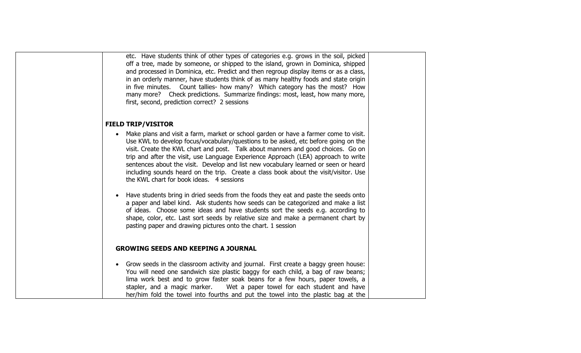etc. Have students think of other types of categories e.g. grows in the soil, picked off a tree, made by someone, or shipped to the island, grown in Dominica, shipped and processed in Dominica, etc. Predict and then regroup display items or as a class, in an orderly manner, have students think of as many healthy foods and state origin in five minutes. Count tallies- how many? Which category has the most? How many more? Check predictions. Summarize findings: most, least, how many more, first, second, prediction correct? 2 sessions

#### **FIELD TRIP/VISITOR**

- Make plans and visit a farm, market or school garden or have a farmer come to visit. Use KWL to develop focus/vocabulary/questions to be asked, etc before going on the visit. Create the KWL chart and post. Talk about manners and good choices. Go on trip and after the visit, use Language Experience Approach (LEA) approach to write sentences about the visit. Develop and list new vocabulary learned or seen or heard including sounds heard on the trip. Create a class book about the visit/visitor. Use the KWL chart for book ideas. 4 sessions
- Have students bring in dried seeds from the foods they eat and paste the seeds onto a paper and label kind. Ask students how seeds can be categorized and make a list of ideas. Choose some ideas and have students sort the seeds e.g. according to shape, color, etc. Last sort seeds by relative size and make a permanent chart by pasting paper and drawing pictures onto the chart. 1 session

#### **GROWING SEEDS AND KEEPING A JOURNAL**

• Grow seeds in the classroom activity and journal. First create a baggy green house: You will need one sandwich size plastic baggy for each child, a bag of raw beans; lima work best and to grow faster soak beans for a few hours, paper towels, a stapler, and a magic marker. Wet a paper towel for each student and have her/him fold the towel into fourths and put the towel into the plastic bag at the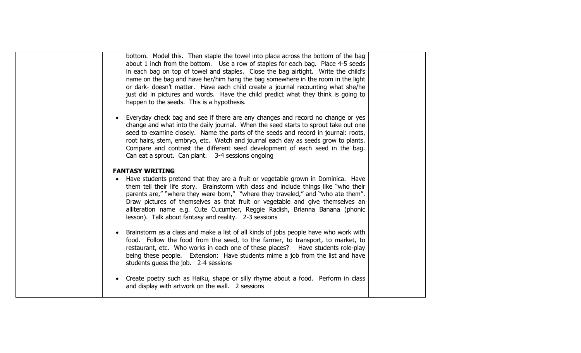bottom. Model this. Then staple the towel into place across the bottom of the bag about 1 inch from the bottom. Use a row of staples for each bag. Place 4-5 seeds in each bag on top of towel and staples. Close the bag airtight. Write the child's name on the bag and have her/him hang the bag somewhere in the room in the light or dark- doesn't matter. Have each child create a journal recounting what she/he just did in pictures and words. Have the child predict what they think is going to happen to the seeds. This is a hypothesis.

• Everyday check bag and see if there are any changes and record no change or yes change and what into the daily journal. When the seed starts to sprout take out one seed to examine closely. Name the parts of the seeds and record in journal: roots, root hairs, stem, embryo, etc. Watch and journal each day as seeds grow to plants. Compare and contrast the different seed development of each seed in the bag. Can eat a sprout. Can plant. 3-4 sessions ongoing

#### **FANTASY WRITING**

- Have students pretend that they are a fruit or vegetable grown in Dominica. Have them tell their life story. Brainstorm with class and include things like "who their parents are," "where they were born," "where they traveled," and "who ate them". Draw pictures of themselves as that fruit or vegetable and give themselves an alliteration name e.g. Cute Cucumber, Reggie Radish, Brianna Banana (phonic lesson). Talk about fantasy and reality. 2-3 sessions
- Brainstorm as a class and make a list of all kinds of jobs people have who work with food. Follow the food from the seed, to the farmer, to transport, to market, to restaurant, etc. Who works in each one of these places? Have students role-play being these people. Extension: Have students mime a job from the list and have students guess the job. 2-4 sessions
- Create poetry such as Haiku, shape or silly rhyme about a food. Perform in class and display with artwork on the wall. 2 sessions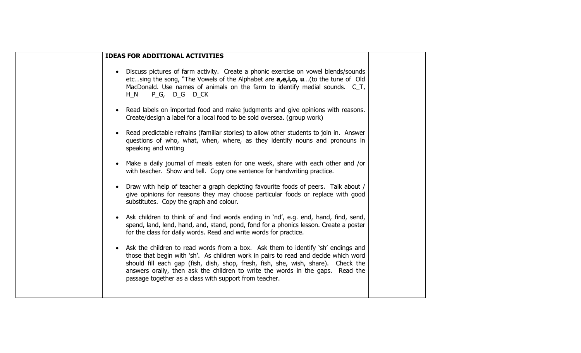| <b>IDEAS FOR ADDITIONAL ACTIVITIES</b>                                                                                                                                                                                                                                                                                                                                                                                |  |
|-----------------------------------------------------------------------------------------------------------------------------------------------------------------------------------------------------------------------------------------------------------------------------------------------------------------------------------------------------------------------------------------------------------------------|--|
| Discuss pictures of farm activity. Create a phonic exercise on vowel blends/sounds<br>etcsing the song, "The Vowels of the Alphabet are <b>a,e,i,o, u</b> (to the tune of Old<br>MacDonald. Use names of animals on the farm to identify medial sounds. C_T,<br>P <sub>_</sub> G, D_G D_CK<br>$H_N$                                                                                                                   |  |
| Read labels on imported food and make judgments and give opinions with reasons.<br>Create/design a label for a local food to be sold oversea. (group work)                                                                                                                                                                                                                                                            |  |
| Read predictable refrains (familiar stories) to allow other students to join in. Answer<br>questions of who, what, when, where, as they identify nouns and pronouns in<br>speaking and writing                                                                                                                                                                                                                        |  |
| Make a daily journal of meals eaten for one week, share with each other and /or<br>with teacher. Show and tell. Copy one sentence for handwriting practice.                                                                                                                                                                                                                                                           |  |
| Draw with help of teacher a graph depicting favourite foods of peers. Talk about /<br>give opinions for reasons they may choose particular foods or replace with good<br>substitutes. Copy the graph and colour.                                                                                                                                                                                                      |  |
| Ask children to think of and find words ending in 'nd', e.g. end, hand, find, send,<br>spend, land, lend, hand, and, stand, pond, fond for a phonics lesson. Create a poster<br>for the class for daily words. Read and write words for practice.                                                                                                                                                                     |  |
| Ask the children to read words from a box. Ask them to identify 'sh' endings and<br>$\bullet$<br>those that begin with 'sh'. As children work in pairs to read and decide which word<br>should fill each gap (fish, dish, shop, fresh, fish, she, wish, share). Check the<br>answers orally, then ask the children to write the words in the gaps. Read the<br>passage together as a class with support from teacher. |  |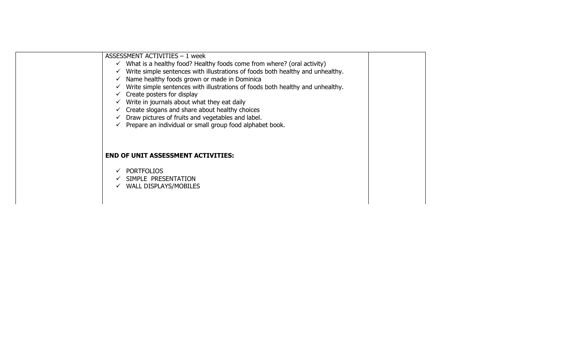| ASSESSMENT ACTIVITIES - 1 week<br>$\checkmark$ What is a healthy food? Healthy foods come from where? (oral activity)<br>$\checkmark$ Write simple sentences with illustrations of foods both healthy and unhealthy.<br>$\checkmark$ Name healthy foods grown or made in Dominica<br>$\checkmark$ Write simple sentences with illustrations of foods both healthy and unhealthy.<br>$\checkmark$ Create posters for display<br>$\checkmark$ Write in journals about what they eat daily<br>$\checkmark$ Create slogans and share about healthy choices<br>$\checkmark$ Draw pictures of fruits and vegetables and label.<br>$\checkmark$ Prepare an individual or small group food alphabet book. |  |
|---------------------------------------------------------------------------------------------------------------------------------------------------------------------------------------------------------------------------------------------------------------------------------------------------------------------------------------------------------------------------------------------------------------------------------------------------------------------------------------------------------------------------------------------------------------------------------------------------------------------------------------------------------------------------------------------------|--|
| <b>END OF UNIT ASSESSMENT ACTIVITIES:</b><br><b>PORTFOLIOS</b><br>SIMPLE PRESENTATION<br>$\checkmark$ WALL DISPLAYS/MOBILES                                                                                                                                                                                                                                                                                                                                                                                                                                                                                                                                                                       |  |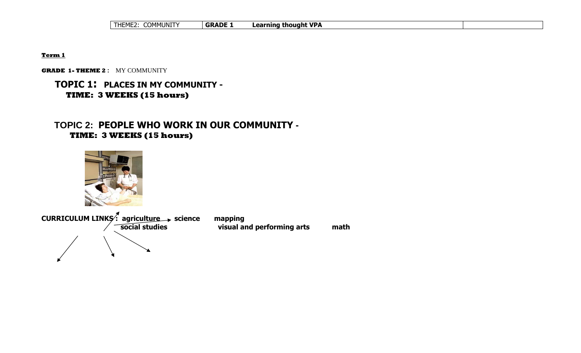| <sup>∽</sup> ำMMUNITY<br>THEME2. | <b>GRADE</b> | <b>Learning thought VPA</b> |  |
|----------------------------------|--------------|-----------------------------|--|
|                                  |              |                             |  |

**Term 1**

**GRADE 1- THEME 2** : MY COMMUNITY

## **TOPIC 1: PLACES IN MY COMMUNITY - TIME: 3 WEEKS (15 hours)**

## **TOPIC 2: PEOPLE WHO WORK IN OUR COMMUNITY - TIME: 3 WEEKS (15 hours)**



**CURRICULUM LINKS: agriculture > science mapping social studies visual and performing arts math**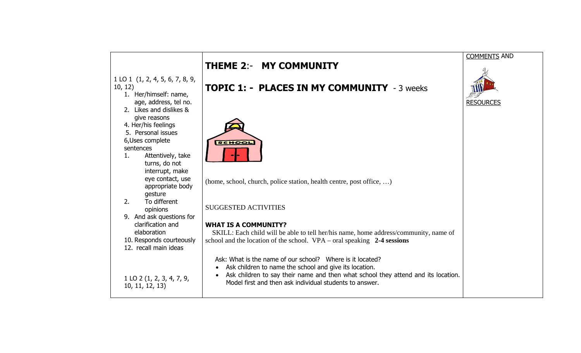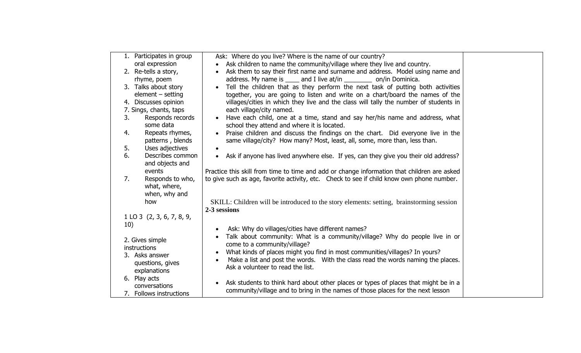| 1. Participates in group  | Ask: Where do you live? Where is the name of our country?                                        |  |
|---------------------------|--------------------------------------------------------------------------------------------------|--|
| oral expression           | Ask children to name the community/village where they live and country.                          |  |
| 2. Re-tells a story,      | Ask them to say their first name and surname and address. Model using name and                   |  |
| rhyme, poem               | address. My name is _____ and I live at/in ___________ on/in Dominica.                           |  |
| 3. Talks about story      | Tell the children that as they perform the next task of putting both activities                  |  |
| $element - setting$       | together, you are going to listen and write on a chart/board the names of the                    |  |
| 4. Discusses opinion      | villages/cities in which they live and the class will tally the number of students in            |  |
| 7. Sings, chants, taps    | each village/city named.                                                                         |  |
| 3.<br>Responds records    | Have each child, one at a time, stand and say her/his name and address, what                     |  |
| some data                 | school they attend and where it is located.                                                      |  |
| Repeats rhymes,<br>4.     | Praise children and discuss the findings on the chart. Did everyone live in the                  |  |
| patterns, blends          | same village/city? How many? Most, least, all, some, more than, less than.                       |  |
| 5.<br>Uses adjectives     |                                                                                                  |  |
| 6.<br>Describes common    | Ask if anyone has lived anywhere else. If yes, can they give you their old address?<br>$\bullet$ |  |
| and objects and           |                                                                                                  |  |
| events                    | Practice this skill from time to time and add or change information that children are asked      |  |
| 7.<br>Responds to who,    | to give such as age, favorite activity, etc. Check to see if child know own phone number.        |  |
| what, where,              |                                                                                                  |  |
| when, why and             |                                                                                                  |  |
| how                       | SKILL: Children will be introduced to the story elements: setting, brainstorming session         |  |
|                           | 2-3 sessions                                                                                     |  |
| 1 LO 3 (2, 3, 6, 7, 8, 9, |                                                                                                  |  |
| 10)                       |                                                                                                  |  |
|                           | Ask: Why do villages/cities have different names?<br>$\bullet$                                   |  |
| 2. Gives simple           | Talk about community: What is a community/village? Why do people live in or<br>$\bullet$         |  |
| instructions              | come to a community/village?                                                                     |  |
| 3. Asks answer            | What kinds of places might you find in most communities/villages? In yours?<br>$\bullet$         |  |
| questions, gives          | Make a list and post the words. With the class read the words naming the places.                 |  |
| explanations              | Ask a volunteer to read the list.                                                                |  |
| 6. Play acts              |                                                                                                  |  |
| conversations             | Ask students to think hard about other places or types of places that might be in a<br>$\bullet$ |  |
| 7. Follows instructions   | community/village and to bring in the names of those places for the next lesson                  |  |
|                           |                                                                                                  |  |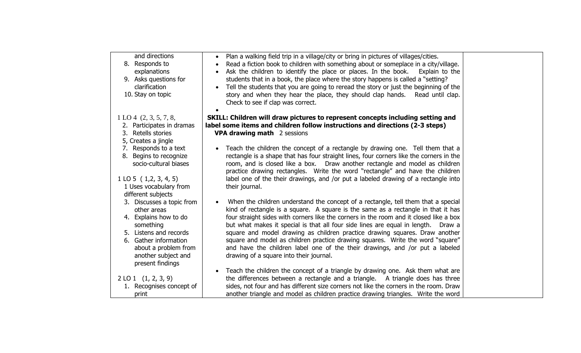| and directions<br>8. Responds to<br>explanations<br>9. Asks questions for<br>clarification<br>10. Stay on topic                                                                                                            | • Plan a walking field trip in a village/city or bring in pictures of villages/cities.<br>Read a fiction book to children with something about or someplace in a city/village.<br>Ask the children to identify the place or places. In the book.<br>Explain to the<br>students that in a book, the place where the story happens is called a "setting?<br>Tell the students that you are going to reread the story or just the beginning of the<br>story and when they hear the place, they should clap hands.<br>Read until clap.<br>Check to see if clap was correct.                                                                              |  |
|----------------------------------------------------------------------------------------------------------------------------------------------------------------------------------------------------------------------------|------------------------------------------------------------------------------------------------------------------------------------------------------------------------------------------------------------------------------------------------------------------------------------------------------------------------------------------------------------------------------------------------------------------------------------------------------------------------------------------------------------------------------------------------------------------------------------------------------------------------------------------------------|--|
| 1 L O 4 (2, 3, 5, 7, 8,<br>2. Participates in dramas<br>3. Retells stories<br>5, Creates a jingle                                                                                                                          | SKILL: Children will draw pictures to represent concepts including setting and<br>label some items and children follow instructions and directions (2-3 steps)<br><b>VPA drawing math</b> 2 sessions                                                                                                                                                                                                                                                                                                                                                                                                                                                 |  |
| 7. Responds to a text<br>8. Begins to recognize<br>socio-cultural biases<br>$1$ LO 5 $(1,2,3,4,5)$<br>1 Uses vocabulary from                                                                                               | Teach the children the concept of a rectangle by drawing one. Tell them that a<br>rectangle is a shape that has four straight lines, four corners like the corners in the<br>room, and is closed like a box.  Draw another rectangle and model as children<br>practice drawing rectangles. Write the word "rectangle" and have the children<br>label one of the their drawings, and /or put a labeled drawing of a rectangle into<br>their journal.                                                                                                                                                                                                  |  |
| different subjects<br>3. Discusses a topic from<br>other areas<br>4. Explains how to do<br>something<br>5. Listens and records<br>6. Gather information<br>about a problem from<br>another subject and<br>present findings | When the children understand the concept of a rectangle, tell them that a special<br>kind of rectangle is a square. A square is the same as a rectangle in that it has<br>four straight sides with corners like the corners in the room and it closed like a box<br>but what makes it special is that all four side lines are equal in length.<br>Draw a<br>square and model drawing as children practice drawing squares. Draw another<br>square and model as children practice drawing squares. Write the word "square"<br>and have the children label one of the their drawings, and /or put a labeled<br>drawing of a square into their journal. |  |
| $2$ LO 1 $(1, 2, 3, 9)$<br>1. Recognises concept of<br>print                                                                                                                                                               | Teach the children the concept of a triangle by drawing one. Ask them what are<br>the differences between a rectangle and a triangle. A triangle does has three<br>sides, not four and has different size corners not like the corners in the room. Draw<br>another triangle and model as children practice drawing triangles. Write the word                                                                                                                                                                                                                                                                                                        |  |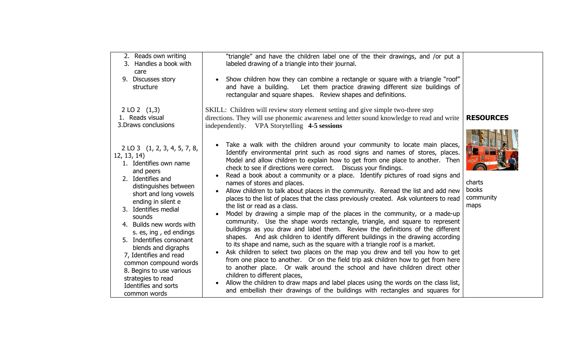| 2. Reads own writing<br>3. Handles a book with<br>care<br>9. Discusses story<br>structure                                                                                                                                                                                                                                                                                                                                                                               | "triangle" and have the children label one of the their drawings, and /or put a<br>labeled drawing of a triangle into their journal.<br>Show children how they can combine a rectangle or square with a triangle "roof"<br>and have a building. Let them practice drawing different size buildings of<br>rectangular and square shapes. Review shapes and definitions.                                                                                                                                                                                                                                                                                                                                                                                                                                                                                                                                                                                                                                                                                                                                                                                                                                                                                                                                                                                                                                                                                                                                                         |                                      |
|-------------------------------------------------------------------------------------------------------------------------------------------------------------------------------------------------------------------------------------------------------------------------------------------------------------------------------------------------------------------------------------------------------------------------------------------------------------------------|--------------------------------------------------------------------------------------------------------------------------------------------------------------------------------------------------------------------------------------------------------------------------------------------------------------------------------------------------------------------------------------------------------------------------------------------------------------------------------------------------------------------------------------------------------------------------------------------------------------------------------------------------------------------------------------------------------------------------------------------------------------------------------------------------------------------------------------------------------------------------------------------------------------------------------------------------------------------------------------------------------------------------------------------------------------------------------------------------------------------------------------------------------------------------------------------------------------------------------------------------------------------------------------------------------------------------------------------------------------------------------------------------------------------------------------------------------------------------------------------------------------------------------|--------------------------------------|
| 2 LO 2 $(1,3)$<br>1. Reads visual<br>3. Draws conclusions                                                                                                                                                                                                                                                                                                                                                                                                               | SKILL: Children will review story element setting and give simple two-three step<br>directions. They will use phonemic awareness and letter sound knowledge to read and write<br>independently. VPA Storytelling 4-5 sessions                                                                                                                                                                                                                                                                                                                                                                                                                                                                                                                                                                                                                                                                                                                                                                                                                                                                                                                                                                                                                                                                                                                                                                                                                                                                                                  | <b>RESOURCES</b>                     |
| 2 LO 3 (1, 2, 3, 4, 5, 7, 8,<br>12, 13, 14)<br>1. Identifies own name<br>and peers<br>2. Identifies and<br>distinguishes between<br>short and long vowels<br>ending in silent e<br>3. Identifies medial<br>sounds<br>4. Builds new words with<br>s. es, ing, ed endings<br>5. Indentifies consonant<br>blends and digraphs<br>7, Identifies and read<br>common compound words<br>8. Begins to use various<br>strategies to read<br>Identifies and sorts<br>common words | Take a walk with the children around your community to locate main places,<br>Identify environmental print such as rood signs and names of stores, places.<br>Model and allow children to explain how to get from one place to another. Then<br>check to see if directions were correct.  Discuss your findings.<br>Read a book about a community or a place. Identify pictures of road signs and<br>names of stores and places.<br>Allow children to talk about places in the community. Reread the list and add new<br>places to the list of places that the class previously created. Ask volunteers to read<br>the list or read as a class.<br>Model by drawing a simple map of the places in the community, or a made-up<br>community. Use the shape words rectangle, triangle, and square to represent<br>buildings as you draw and label them. Review the definitions of the different<br>shapes. And ask children to identify different buildings in the drawing according<br>to its shape and name, such as the square with a triangle roof is a market.<br>Ask children to select two places on the map you drew and tell you how to get<br>from one place to another. Or on the field trip ask children how to get from here<br>to another place. Or walk around the school and have children direct other<br>children to different places,<br>Allow the children to draw maps and label places using the words on the class list,<br>and embellish their drawings of the buildings with rectangles and squares for | charts<br>books<br>community<br>maps |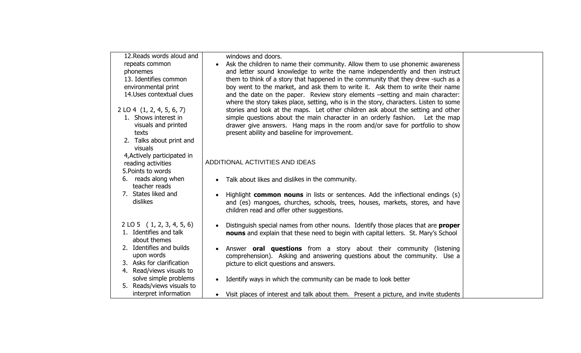| 12. Reads words aloud and              | windows and doors.                                                                                                                                                     |  |
|----------------------------------------|------------------------------------------------------------------------------------------------------------------------------------------------------------------------|--|
| repeats common                         | Ask the children to name their community. Allow them to use phonemic awareness                                                                                         |  |
| phonemes                               | and letter sound knowledge to write the name independently and then instruct                                                                                           |  |
| 13. Identifies common                  | them to think of a story that happened in the community that they drew -such as a                                                                                      |  |
| environmental print                    | boy went to the market, and ask them to write it. Ask them to write their name                                                                                         |  |
| 14. Uses contextual clues              | and the date on the paper. Review story elements -setting and main character:<br>where the story takes place, setting, who is in the story, characters. Listen to some |  |
| $2$ LO 4 $(1, 2, 4, 5, 6, 7)$          | stories and look at the maps. Let other children ask about the setting and other                                                                                       |  |
| 1. Shows interest in                   | simple questions about the main character in an orderly fashion. Let the map                                                                                           |  |
| visuals and printed                    | drawer give answers. Hang maps in the room and/or save for portfolio to show                                                                                           |  |
| texts                                  | present ability and baseline for improvement.                                                                                                                          |  |
| 2. Talks about print and<br>visuals    |                                                                                                                                                                        |  |
| 4, Actively participated in            |                                                                                                                                                                        |  |
| reading activities                     | ADDITIONAL ACTIVITIES AND IDEAS                                                                                                                                        |  |
| 5. Points to words                     |                                                                                                                                                                        |  |
| 6. reads along when                    | Talk about likes and dislikes in the community.                                                                                                                        |  |
| teacher reads                          |                                                                                                                                                                        |  |
| 7. States liked and                    | Highlight <b>common nouns</b> in lists or sentences. Add the inflectional endings (s)                                                                                  |  |
| dislikes                               | and (es) mangoes, churches, schools, trees, houses, markets, stores, and have<br>children read and offer other suggestions.                                            |  |
|                                        |                                                                                                                                                                        |  |
| $2$ LO 5 (1, 2, 3, 4, 5, 6)            | Distinguish special names from other nouns. Identify those places that are <b>proper</b>                                                                               |  |
| 1. Identifies and talk<br>about themes | nouns and explain that these need to begin with capital letters. St. Mary's School                                                                                     |  |
| 2. Identifies and builds               | Answer <b>oral questions</b> from a story about their community (listening                                                                                             |  |
| upon words                             | comprehension). Asking and answering questions about the community. Use a                                                                                              |  |
| 3. Asks for clarification              | picture to elicit questions and answers.                                                                                                                               |  |
| 4. Read/views visuals to               |                                                                                                                                                                        |  |
| solve simple problems                  | Identify ways in which the community can be made to look better                                                                                                        |  |
| 5. Reads/views visuals to              |                                                                                                                                                                        |  |
| interpret information                  | Visit places of interest and talk about them. Present a picture, and invite students                                                                                   |  |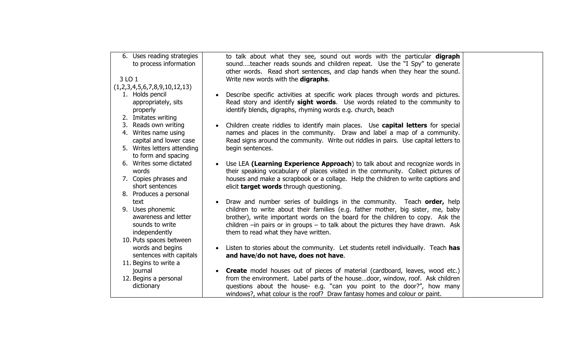| to talk about what they see, sound out words with the particular digraph<br>soundteacher reads sounds and children repeat. Use the "I Spy" to generate<br>other words. Read short sentences, and clap hands when they hear the sound.                                                                |                                                                                                                                                                                                                                                                                                                                                                                                                                                                                                                                                                                                                                                                                                                                                       |
|------------------------------------------------------------------------------------------------------------------------------------------------------------------------------------------------------------------------------------------------------------------------------------------------------|-------------------------------------------------------------------------------------------------------------------------------------------------------------------------------------------------------------------------------------------------------------------------------------------------------------------------------------------------------------------------------------------------------------------------------------------------------------------------------------------------------------------------------------------------------------------------------------------------------------------------------------------------------------------------------------------------------------------------------------------------------|
|                                                                                                                                                                                                                                                                                                      |                                                                                                                                                                                                                                                                                                                                                                                                                                                                                                                                                                                                                                                                                                                                                       |
|                                                                                                                                                                                                                                                                                                      |                                                                                                                                                                                                                                                                                                                                                                                                                                                                                                                                                                                                                                                                                                                                                       |
| Describe specific activities at specific work places through words and pictures.<br>Read story and identify sight words. Use words related to the community to<br>identify blends, digraphs, rhyming words e.g. church, beach                                                                        |                                                                                                                                                                                                                                                                                                                                                                                                                                                                                                                                                                                                                                                                                                                                                       |
|                                                                                                                                                                                                                                                                                                      |                                                                                                                                                                                                                                                                                                                                                                                                                                                                                                                                                                                                                                                                                                                                                       |
| names and places in the community. Draw and label a map of a community.<br>Read signs around the community. Write out riddles in pairs. Use capital letters to                                                                                                                                       |                                                                                                                                                                                                                                                                                                                                                                                                                                                                                                                                                                                                                                                                                                                                                       |
| begin sentences.                                                                                                                                                                                                                                                                                     |                                                                                                                                                                                                                                                                                                                                                                                                                                                                                                                                                                                                                                                                                                                                                       |
| Use LEA (Learning Experience Approach) to talk about and recognize words in                                                                                                                                                                                                                          |                                                                                                                                                                                                                                                                                                                                                                                                                                                                                                                                                                                                                                                                                                                                                       |
| houses and make a scrapbook or a collage. Help the children to write captions and<br>elicit target words through questioning.                                                                                                                                                                        |                                                                                                                                                                                                                                                                                                                                                                                                                                                                                                                                                                                                                                                                                                                                                       |
|                                                                                                                                                                                                                                                                                                      |                                                                                                                                                                                                                                                                                                                                                                                                                                                                                                                                                                                                                                                                                                                                                       |
|                                                                                                                                                                                                                                                                                                      |                                                                                                                                                                                                                                                                                                                                                                                                                                                                                                                                                                                                                                                                                                                                                       |
| children to write about their families (e.g. father mother, big sister, me, baby<br>brother), write important words on the board for the children to copy. Ask the<br>children $-$ in pairs or in groups $-$ to talk about the pictures they have drawn. Ask<br>them to read what they have written. |                                                                                                                                                                                                                                                                                                                                                                                                                                                                                                                                                                                                                                                                                                                                                       |
|                                                                                                                                                                                                                                                                                                      |                                                                                                                                                                                                                                                                                                                                                                                                                                                                                                                                                                                                                                                                                                                                                       |
|                                                                                                                                                                                                                                                                                                      |                                                                                                                                                                                                                                                                                                                                                                                                                                                                                                                                                                                                                                                                                                                                                       |
|                                                                                                                                                                                                                                                                                                      |                                                                                                                                                                                                                                                                                                                                                                                                                                                                                                                                                                                                                                                                                                                                                       |
|                                                                                                                                                                                                                                                                                                      |                                                                                                                                                                                                                                                                                                                                                                                                                                                                                                                                                                                                                                                                                                                                                       |
|                                                                                                                                                                                                                                                                                                      |                                                                                                                                                                                                                                                                                                                                                                                                                                                                                                                                                                                                                                                                                                                                                       |
|                                                                                                                                                                                                                                                                                                      |                                                                                                                                                                                                                                                                                                                                                                                                                                                                                                                                                                                                                                                                                                                                                       |
|                                                                                                                                                                                                                                                                                                      |                                                                                                                                                                                                                                                                                                                                                                                                                                                                                                                                                                                                                                                                                                                                                       |
|                                                                                                                                                                                                                                                                                                      | Write new words with the digraphs.<br>Children create riddles to identify main places. Use capital letters for special<br>their speaking vocabulary of places visited in the community. Collect pictures of<br>Draw and number series of buildings in the community. Teach order, help<br>Listen to stories about the community. Let students retell individually. Teach has<br>and have/do not have, does not have.<br><b>Create</b> model houses out of pieces of material (cardboard, leaves, wood etc.)<br>from the environment. Label parts of the housedoor, window, roof. Ask children<br>questions about the house- e.g. "can you point to the door?", how many<br>windows?, what colour is the roof? Draw fantasy homes and colour or paint. |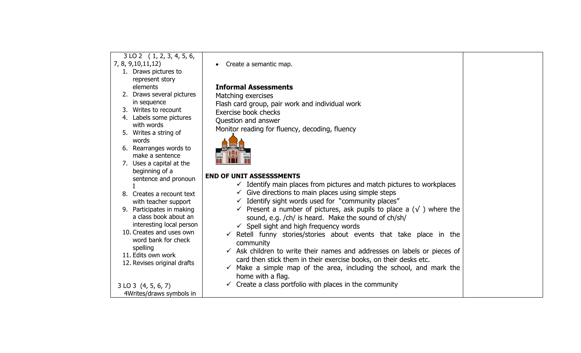| $3$ LO 2 $(1, 2, 3, 4, 5, 6,$ |                                                                                             |  |
|-------------------------------|---------------------------------------------------------------------------------------------|--|
| 7, 8, 9, 10, 11, 12)          | Create a semantic map.                                                                      |  |
| 1. Draws pictures to          |                                                                                             |  |
| represent story               |                                                                                             |  |
| elements                      | <b>Informal Assessments</b>                                                                 |  |
| 2. Draws several pictures     | Matching exercises                                                                          |  |
| in sequence                   | Flash card group, pair work and individual work                                             |  |
| 3. Writes to recount          | Exercise book checks                                                                        |  |
| 4. Labels some pictures       | Question and answer                                                                         |  |
| with words                    | Monitor reading for fluency, decoding, fluency                                              |  |
| 5. Writes a string of         |                                                                                             |  |
| words                         |                                                                                             |  |
| 6. Rearranges words to        |                                                                                             |  |
| make a sentence               |                                                                                             |  |
| 7. Uses a capital at the      |                                                                                             |  |
| beginning of a                | <b>END OF UNIT ASSESSSMENTS</b>                                                             |  |
| sentence and pronoun          | $\checkmark$ Identify main places from pictures and match pictures to workplaces            |  |
| 8. Creates a recount text     | $\checkmark$ Give directions to main places using simple steps                              |  |
| with teacher support          | Identify sight words used for "community places"                                            |  |
| 9. Participates in making     | $\checkmark$ Present a number of pictures, ask pupils to place a ( $\checkmark$ ) where the |  |
| a class book about an         |                                                                                             |  |
| interesting local person      | sound, e.g. /ch/ is heard. Make the sound of ch/sh/                                         |  |
| 10. Creates and uses own      | $\checkmark$ Spell sight and high frequency words                                           |  |
| word bank for check           | Retell funny stories/stories about events that take place in the                            |  |
| spelling                      | community                                                                                   |  |
| 11. Edits own work            | Ask children to write their names and addresses on labels or pieces of                      |  |
| 12. Revises original drafts   | card then stick them in their exercise books, on their desks etc.                           |  |
|                               | Make a simple map of the area, including the school, and mark the                           |  |
|                               | home with a flag.                                                                           |  |
| $3$ LO $3$ (4, 5, 6, 7)       | $\checkmark$ Create a class portfolio with places in the community                          |  |
| 4Writes/draws symbols in      |                                                                                             |  |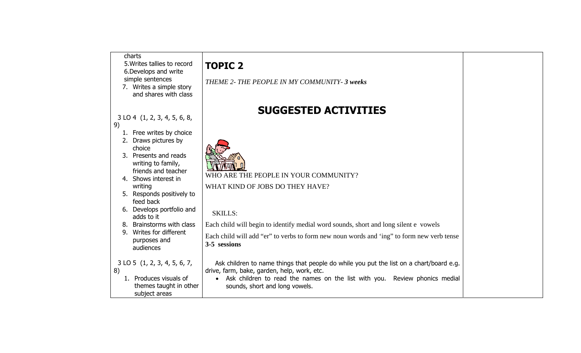|                           | <b>TOPIC 2</b>                                                                                                                                                                                                                                                                                                                                                                                                                                                                                         |                                                                                                                                                                                                                                                                                                                                                                                                                                                   |
|---------------------------|--------------------------------------------------------------------------------------------------------------------------------------------------------------------------------------------------------------------------------------------------------------------------------------------------------------------------------------------------------------------------------------------------------------------------------------------------------------------------------------------------------|---------------------------------------------------------------------------------------------------------------------------------------------------------------------------------------------------------------------------------------------------------------------------------------------------------------------------------------------------------------------------------------------------------------------------------------------------|
| and shares with class     | THEME 2- THE PEOPLE IN MY COMMUNITY- 3 weeks                                                                                                                                                                                                                                                                                                                                                                                                                                                           |                                                                                                                                                                                                                                                                                                                                                                                                                                                   |
|                           | <b>SUGGESTED ACTIVITIES</b>                                                                                                                                                                                                                                                                                                                                                                                                                                                                            |                                                                                                                                                                                                                                                                                                                                                                                                                                                   |
| Free writes by choice     |                                                                                                                                                                                                                                                                                                                                                                                                                                                                                                        |                                                                                                                                                                                                                                                                                                                                                                                                                                                   |
|                           |                                                                                                                                                                                                                                                                                                                                                                                                                                                                                                        |                                                                                                                                                                                                                                                                                                                                                                                                                                                   |
| choice                    |                                                                                                                                                                                                                                                                                                                                                                                                                                                                                                        |                                                                                                                                                                                                                                                                                                                                                                                                                                                   |
|                           |                                                                                                                                                                                                                                                                                                                                                                                                                                                                                                        |                                                                                                                                                                                                                                                                                                                                                                                                                                                   |
|                           |                                                                                                                                                                                                                                                                                                                                                                                                                                                                                                        |                                                                                                                                                                                                                                                                                                                                                                                                                                                   |
|                           |                                                                                                                                                                                                                                                                                                                                                                                                                                                                                                        |                                                                                                                                                                                                                                                                                                                                                                                                                                                   |
|                           |                                                                                                                                                                                                                                                                                                                                                                                                                                                                                                        |                                                                                                                                                                                                                                                                                                                                                                                                                                                   |
|                           |                                                                                                                                                                                                                                                                                                                                                                                                                                                                                                        |                                                                                                                                                                                                                                                                                                                                                                                                                                                   |
|                           |                                                                                                                                                                                                                                                                                                                                                                                                                                                                                                        |                                                                                                                                                                                                                                                                                                                                                                                                                                                   |
|                           |                                                                                                                                                                                                                                                                                                                                                                                                                                                                                                        |                                                                                                                                                                                                                                                                                                                                                                                                                                                   |
| adds to it                |                                                                                                                                                                                                                                                                                                                                                                                                                                                                                                        |                                                                                                                                                                                                                                                                                                                                                                                                                                                   |
|                           | Each child will begin to identify medial word sounds, short and long silent e vowels                                                                                                                                                                                                                                                                                                                                                                                                                   |                                                                                                                                                                                                                                                                                                                                                                                                                                                   |
| Writes for different      |                                                                                                                                                                                                                                                                                                                                                                                                                                                                                                        |                                                                                                                                                                                                                                                                                                                                                                                                                                                   |
| purposes and<br>audiences | 3-5 sessions                                                                                                                                                                                                                                                                                                                                                                                                                                                                                           |                                                                                                                                                                                                                                                                                                                                                                                                                                                   |
|                           |                                                                                                                                                                                                                                                                                                                                                                                                                                                                                                        |                                                                                                                                                                                                                                                                                                                                                                                                                                                   |
|                           |                                                                                                                                                                                                                                                                                                                                                                                                                                                                                                        |                                                                                                                                                                                                                                                                                                                                                                                                                                                   |
|                           |                                                                                                                                                                                                                                                                                                                                                                                                                                                                                                        |                                                                                                                                                                                                                                                                                                                                                                                                                                                   |
|                           |                                                                                                                                                                                                                                                                                                                                                                                                                                                                                                        |                                                                                                                                                                                                                                                                                                                                                                                                                                                   |
|                           |                                                                                                                                                                                                                                                                                                                                                                                                                                                                                                        |                                                                                                                                                                                                                                                                                                                                                                                                                                                   |
|                           | charts<br>5. Writes tallies to record<br>6. Develops and write<br>simple sentences<br>7. Writes a simple story<br>$3$ LO 4 $(1, 2, 3, 4, 5, 6, 8,$<br>2. Draws pictures by<br>3. Presents and reads<br>writing to family,<br>friends and teacher<br>4. Shows interest in<br>writing<br>5. Responds positively to<br>feed back<br>6. Develops portfolio and<br>8. Brainstorms with class<br>9.<br>$3$ LO 5 $(1, 2, 3, 4, 5, 6, 7,$<br>1. Produces visuals of<br>themes taught in other<br>subject areas | WHO ARE THE PEOPLE IN YOUR COMMUNITY?<br>WHAT KIND OF JOBS DO THEY HAVE?<br><b>SKILLS:</b><br>Each child will add "er" to verbs to form new noun words and 'ing" to form new verb tense<br>Ask children to name things that people do while you put the list on a chart/board e.g.<br>drive, farm, bake, garden, help, work, etc.<br>Ask children to read the names on the list with you. Review phonics medial<br>sounds, short and long vowels. |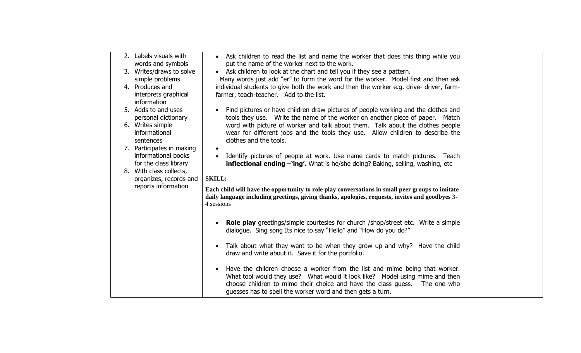| 2. Labels visuals with    | • Ask children to read the list and name the worker that does this thing while you                        |
|---------------------------|-----------------------------------------------------------------------------------------------------------|
| words and symbols         | put the name of the worker next to the work.                                                              |
| 3. Writes/draws to solve  | • Ask children to look at the chart and tell you if they see a pattern.                                   |
| simple problems           | Many words just add "er" to form the word for the worker. Model first and then ask                        |
| 4. Produces and           | individual students to give both the work and then the worker e.g. drive- driver, farm-                   |
| interprets graphical      | farmer, teach-teacher. Add to the list.                                                                   |
| information               |                                                                                                           |
| 5. Adds to and uses       | Find pictures or have children draw pictures of people working and the clothes and                        |
| personal dictionary       | tools they use. Write the name of the worker on another piece of paper. Match                             |
| 6. Writes simple          | word with picture of worker and talk about them. Talk about the clothes people                            |
| informational             | wear for different jobs and the tools they use. Allow children to describe the                            |
| sentences                 | clothes and the tools.                                                                                    |
| 7. Participates in making |                                                                                                           |
| informational books       | Identify pictures of people at work. Use name cards to match pictures. Teach                              |
| for the class library     | <b>inflectional ending <math>-\text{ing}'</math>.</b> What is he/she doing? Baking, selling, washing, etc |
| 8. With class collects,   |                                                                                                           |
| organizes, records and    | <b>SKILL:</b>                                                                                             |
| reports information       | Each child will have the opportunity to role play conversations in small peer groups to imitate           |
|                           | daily language including greetings, giving thanks, apologies, requests, invites and goodbyes 3-           |
|                           | 4 sessions                                                                                                |
|                           |                                                                                                           |
|                           | <b>Role play</b> greetings/simple courtesies for church /shop/street etc. Write a simple                  |
|                           | dialogue. Sing song Its nice to say "Hello" and "How do you do?"                                          |
|                           |                                                                                                           |
|                           | Talk about what they want to be when they grow up and why? Have the child                                 |
|                           | draw and write about it. Save it for the portfolio.                                                       |
|                           |                                                                                                           |
|                           | Have the children choose a worker from the list and mime being that worker.                               |
|                           | What tool would they use? What would it look like? Model using mime and then                              |
|                           | choose children to mime their choice and have the class guess.<br>The one who                             |
|                           | quesses has to spell the worker word and then gets a turn.                                                |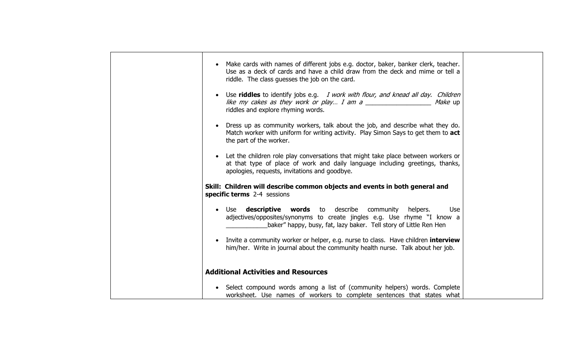| Make cards with names of different jobs e.g. doctor, baker, banker clerk, teacher.<br>Use as a deck of cards and have a child draw from the deck and mime or tell a<br>riddle. The class guesses the job on the card. |  |
|-----------------------------------------------------------------------------------------------------------------------------------------------------------------------------------------------------------------------|--|
| Use <b>riddles</b> to identify jobs e.g. I work with flour, and knead all day. Children<br>like my cakes as they work or play I am a<br>riddles and explore rhyming words.                                            |  |
| Dress up as community workers, talk about the job, and describe what they do.<br>Match worker with uniform for writing activity. Play Simon Says to get them to act<br>the part of the worker.                        |  |
| Let the children role play conversations that might take place between workers or<br>at that type of place of work and daily language including greetings, thanks,<br>apologies, requests, invitations and goodbye.   |  |
| Skill: Children will describe common objects and events in both general and<br>specific terms 2-4 sessions                                                                                                            |  |
| Use <b>descriptive words</b> to describe community helpers.<br>Use<br>adjectives/opposites/synonyms to create jingles e.g. Use rhyme "I know a<br>baker" happy, busy, fat, lazy baker. Tell story of Little Ren Hen   |  |
| Invite a community worker or helper, e.g. nurse to class. Have children interview<br>him/her. Write in journal about the community health nurse. Talk about her job.                                                  |  |
| <b>Additional Activities and Resources</b>                                                                                                                                                                            |  |
| Select compound words among a list of (community helpers) words. Complete<br>$\bullet$<br>worksheet. Use names of workers to complete sentences that states what                                                      |  |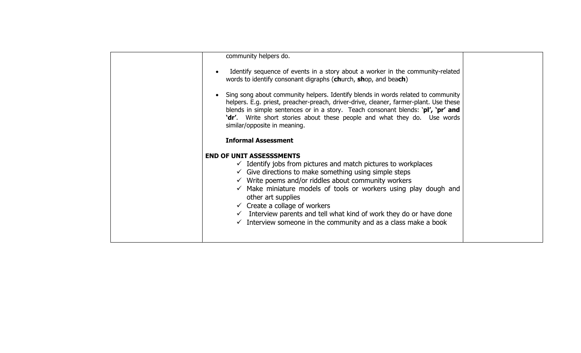| community helpers do.                                                                                                                                                                                                                                                                                                                                                     |  |
|---------------------------------------------------------------------------------------------------------------------------------------------------------------------------------------------------------------------------------------------------------------------------------------------------------------------------------------------------------------------------|--|
| Identify sequence of events in a story about a worker in the community-related<br>words to identify consonant digraphs (church, shop, and beach)                                                                                                                                                                                                                          |  |
| Sing song about community helpers. Identify blends in words related to community<br>helpers. E.g. priest, preacher-preach, driver-drive, cleaner, farmer-plant. Use these<br>blends in simple sentences or in a story. Teach consonant blends: 'pl', 'pr' and<br>'dr'. Write short stories about these people and what they do. Use words<br>similar/opposite in meaning. |  |
| <b>Informal Assessment</b>                                                                                                                                                                                                                                                                                                                                                |  |
| <b>END OF UNIT ASSESSSMENTS</b>                                                                                                                                                                                                                                                                                                                                           |  |
| $\checkmark$ Identify jobs from pictures and match pictures to workplaces                                                                                                                                                                                                                                                                                                 |  |
| $\checkmark$ Give directions to make something using simple steps                                                                                                                                                                                                                                                                                                         |  |
| $\checkmark$ Write poems and/or riddles about community workers                                                                                                                                                                                                                                                                                                           |  |
| $\checkmark$ Make miniature models of tools or workers using play dough and<br>other art supplies                                                                                                                                                                                                                                                                         |  |
| $\checkmark$ Create a collage of workers                                                                                                                                                                                                                                                                                                                                  |  |
| Interview parents and tell what kind of work they do or have done                                                                                                                                                                                                                                                                                                         |  |
| $\checkmark$ Interview someone in the community and as a class make a book                                                                                                                                                                                                                                                                                                |  |
|                                                                                                                                                                                                                                                                                                                                                                           |  |
|                                                                                                                                                                                                                                                                                                                                                                           |  |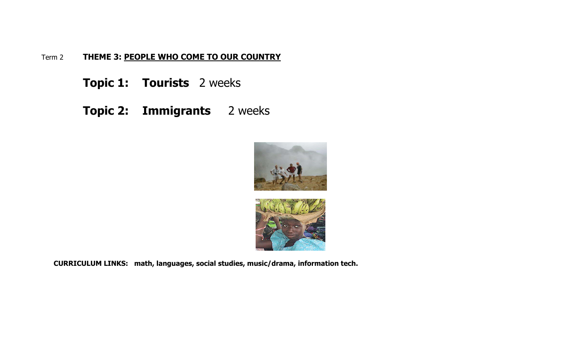## Term 2 **THEME 3: PEOPLE WHO COME TO OUR COUNTRY**

**Topic 1: Tourists** 2 weeks

**Topic 2: Immigrants** 2 weeks





 **CURRICULUM LINKS: math, languages, social studies, music/drama, information tech.**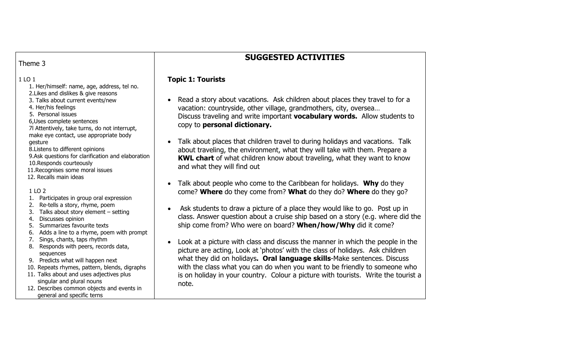# **SUGGESTED ACTIVITIES**

### Theme 3

### 1 LO 1

- 1. Her/himself: name, age, address, tel no.
- 2.Likes and dislikes & give reasons
- 3. Talks about current events/new
- 4. Her/his feelings
- 5. Personal issues
- 6,Uses complete sentences

7l Attentively, take turns, do not interrupt, make eye contact, use appropriate body gesture

8.Listens to different opinions

- 9.Ask questions for clarification and elaboration
- 10.Responds courteously
- 11.Recognises some moral issues
- 12. Recalls main ideas

1 LO 2

- 1. Participates in group oral expression
- 2. Re-tells a story, rhyme, poem
- 3. Talks about story element setting
- 4. Discusses opinion
- 5. Summarizes favourite texts
- 6. Adds a line to a rhyme, poem with prompt
- 7. Sings, chants, taps rhythm
- 8. Responds with peers, records data, sequences
- 9. Predicts what will happen next
- 10. Repeats rhymes, pattern, blends, digraphs
- 11. Talks about and uses adjectives plus singular and plural nouns
- 12. Describes common objects and events in general and specific terns

### **Topic 1: Tourists**

- • Read a story about vacations. Ask children about places they travel to for a vacation: countryside, other village, grandmothers, city, oversea… Discuss traveling and write important **vocabulary words.** Allow students to copy to **personal dictionary.**
- • Talk about places that children travel to during holidays and vacations. Talk about traveling, the environment, what they will take with them. Prepare a **KWL chart** of what children know about traveling, what they want to know and what they will find out
- • Talk about people who come to the Caribbean for holidays. **Why** do they come? **Where** do they come from? **What** do they do? **Where** do they go?
- Ask students to draw a picture of a place they would like to go. Post up in class. Answer question about a cruise ship based on a story (e.g. where did the ship come from? Who were on board? **When/how/Why** did it come?
- • Look at a picture with class and discuss the manner in which the people in the picture are acting, Look at 'photos' with the class of holidays. Ask children what they did on holidays**. Oral language skills**-Make sentences. Discuss with the class what you can do when you want to be friendly to someone who is on holiday in your country. Colour a picture with tourists. Write the tourist a note.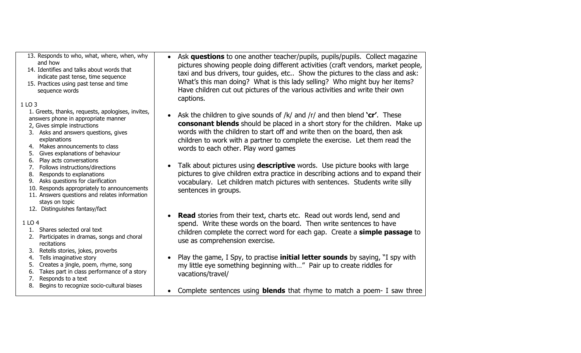| 13. Responds to who, what, where, when, why<br>and how<br>14. Identifies and talks about words that<br>indicate past tense, time sequence<br>15. Practices using past tense and time<br>sequence words<br>1 LO 3 | Ask questions to one another teacher/pupils, pupils/pupils. Collect magazine<br>$\bullet$<br>pictures showing people doing different activities (craft vendors, market people,<br>taxi and bus drivers, tour guides, etc Show the pictures to the class and ask:<br>What's this man doing? What is this lady selling? Who might buy her items?<br>Have children cut out pictures of the various activities and write their own<br>captions. |
|------------------------------------------------------------------------------------------------------------------------------------------------------------------------------------------------------------------|---------------------------------------------------------------------------------------------------------------------------------------------------------------------------------------------------------------------------------------------------------------------------------------------------------------------------------------------------------------------------------------------------------------------------------------------|
| 1. Greets, thanks, requests, apologises, invites,                                                                                                                                                                |                                                                                                                                                                                                                                                                                                                                                                                                                                             |
| answers phone in appropriate manner<br>2, Gives simple instructions<br>3. Asks and answers questions, gives<br>explanations<br>Makes announcements to class<br>4.<br>Gives explanations of behaviour<br>5.       | Ask the children to give sounds of $/k/$ and $/r/$ and then blend <b>'cr'</b> . These<br>consonant blends should be placed in a short story for the children. Make up<br>words with the children to start off and write then on the board, then ask<br>children to work with a partner to complete the exercise. Let them read the<br>words to each other. Play word games                                                                  |
| Play acts conversations<br>6.                                                                                                                                                                                    | Talk about pictures using <b>descriptive</b> words. Use picture books with large                                                                                                                                                                                                                                                                                                                                                            |
| Follows instructions/directions<br>7.<br>Responds to explanations<br>8.                                                                                                                                          | pictures to give children extra practice in describing actions and to expand their                                                                                                                                                                                                                                                                                                                                                          |
| Asks questions for clarification<br>9.                                                                                                                                                                           |                                                                                                                                                                                                                                                                                                                                                                                                                                             |
| 10. Responds appropriately to announcements                                                                                                                                                                      | vocabulary. Let children match pictures with sentences. Students write silly                                                                                                                                                                                                                                                                                                                                                                |
| 11. Answers questions and relates information                                                                                                                                                                    | sentences in groups.                                                                                                                                                                                                                                                                                                                                                                                                                        |
| stays on topic                                                                                                                                                                                                   |                                                                                                                                                                                                                                                                                                                                                                                                                                             |
| 12. Distinguishes fantasy/fact                                                                                                                                                                                   |                                                                                                                                                                                                                                                                                                                                                                                                                                             |
|                                                                                                                                                                                                                  | <b>Read</b> stories from their text, charts etc. Read out words lend, send and                                                                                                                                                                                                                                                                                                                                                              |
| 1 LO 4                                                                                                                                                                                                           | spend. Write these words on the board. Then write sentences to have                                                                                                                                                                                                                                                                                                                                                                         |
| 1. Shares selected oral text                                                                                                                                                                                     | children complete the correct word for each gap. Create a simple passage to                                                                                                                                                                                                                                                                                                                                                                 |
| Participates in dramas, songs and choral<br>2.<br>recitations                                                                                                                                                    | use as comprehension exercise.                                                                                                                                                                                                                                                                                                                                                                                                              |
| Retells stories, jokes, proverbs<br>3.                                                                                                                                                                           |                                                                                                                                                                                                                                                                                                                                                                                                                                             |
| Tells imaginative story<br>4.                                                                                                                                                                                    | Play the game, I Spy, to practise <i>initial letter sounds</i> by saying, "I spy with                                                                                                                                                                                                                                                                                                                                                       |
| Creates a jingle, poem, rhyme, song<br>5.                                                                                                                                                                        | my little eye something beginning with" Pair up to create riddles for                                                                                                                                                                                                                                                                                                                                                                       |
| Takes part in class performance of a story<br>6.                                                                                                                                                                 | vacations/travel/                                                                                                                                                                                                                                                                                                                                                                                                                           |
| Responds to a text<br>7.                                                                                                                                                                                         |                                                                                                                                                                                                                                                                                                                                                                                                                                             |
| 8. Begins to recognize socio-cultural biases                                                                                                                                                                     | Complete sentences using <b>blends</b> that rhyme to match a poem- I saw three                                                                                                                                                                                                                                                                                                                                                              |
|                                                                                                                                                                                                                  |                                                                                                                                                                                                                                                                                                                                                                                                                                             |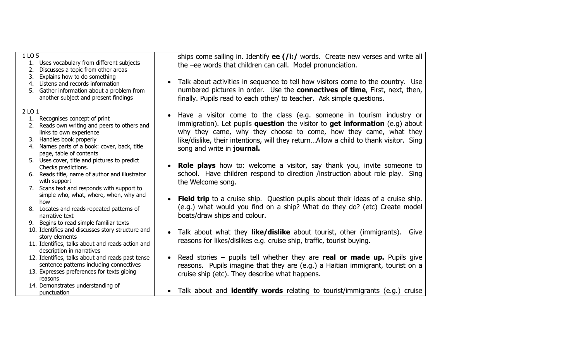| 1 LO 5<br>1. Uses vocabulary from different subjects<br>Discusses a topic from other areas<br>2.<br>Explains how to do something<br>3.                                                                                     | ships come sailing in. Identify $ee$ (/i:/ words. Create new verses and write all<br>the -ee words that children can call. Model pronunciation.                                                                                                                                                                                                                        |
|----------------------------------------------------------------------------------------------------------------------------------------------------------------------------------------------------------------------------|------------------------------------------------------------------------------------------------------------------------------------------------------------------------------------------------------------------------------------------------------------------------------------------------------------------------------------------------------------------------|
| 4. Listens and records information<br>5. Gather information about a problem from<br>another subject and present findings                                                                                                   | Talk about activities in sequence to tell how visitors come to the country. Use<br>$\bullet$<br>numbered pictures in order. Use the <b>connectives of time</b> , First, next, then,<br>finally. Pupils read to each other/ to teacher. Ask simple questions.                                                                                                           |
| 2 LO 1<br>1. Recognises concept of print<br>2. Reads own writing and peers to others and<br>links to own experience<br>3. Handles book properly<br>4. Names parts of a book: cover, back, title<br>page, table of contents | Have a visitor come to the class (e.g. someone in tourism industry or<br>$\bullet$<br>immigration). Let pupils question the visitor to get information $(e.g.)$ about<br>why they came, why they choose to come, how they came, what they<br>like/dislike, their intentions, will they returnAllow a child to thank visitor. Sing<br>song and write in <b>journal.</b> |
| 5. Uses cover, title and pictures to predict<br>Checks predictions.<br>6. Reads title, name of author and illustrator<br>with support<br>7. Scans text and responds with support to                                        | Role plays how to: welcome a visitor, say thank you, invite someone to<br>school. Have children respond to direction /instruction about role play. Sing<br>the Welcome song.                                                                                                                                                                                           |
| simple who, what, where, when, why and<br>how<br>8. Locates and reads repeated patterns of<br>narrative text<br>9. Begins to read simple familiar texts                                                                    | <b>Field trip</b> to a cruise ship. Question pupils about their ideas of a cruise ship.<br>$\bullet$<br>(e.g.) what would you find on a ship? What do they do? (etc) Create model<br>boats/draw ships and colour.                                                                                                                                                      |
| 10. Identifies and discusses story structure and<br>story elements<br>11. Identifies, talks about and reads action and                                                                                                     | Talk about what they <b>like/dislike</b> about tourist, other (immigrants).<br>Give<br>$\bullet$<br>reasons for likes/dislikes e.g. cruise ship, traffic, tourist buying.                                                                                                                                                                                              |
| description in narratives<br>12. Identifies, talks about and reads past tense<br>sentence patterns including connectives<br>13. Expresses preferences for texts gibing<br>reasons                                          | Read stories – pupils tell whether they are real or made up. Pupils give<br>reasons. Pupils imagine that they are (e.g.) a Haitian immigrant, tourist on a<br>cruise ship (etc). They describe what happens.                                                                                                                                                           |
| 14. Demonstrates understanding of<br>punctuation                                                                                                                                                                           | Talk about and <b>identify words</b> relating to tourist/immigrants (e.g.) cruise<br>$\bullet$                                                                                                                                                                                                                                                                         |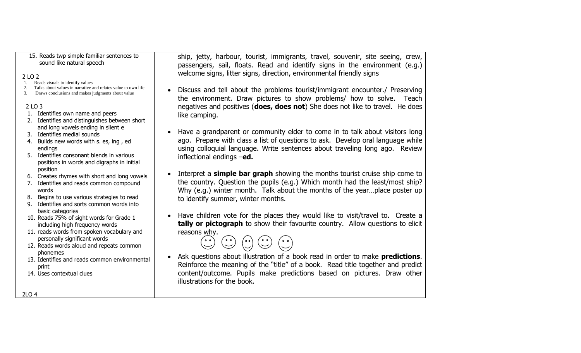#### 15. Reads twp simple familiar sentences to sound like natural speech

#### 2 LO 2

- 1. Reads visuals to identify values
- 2. Talks about values in narrative and relates value to own life
- 3. Draws conclusions and makes judgments about value

#### 2 LO 3

- 1. Identifies own name and peers
- 2. Identifies and distinguishes between short and long vowels ending in silent e
- 3. Identifies medial sounds
- 4. Builds new words with s. es, ing , ed endings
- 5. Identifies consonant blends in various positions in words and digraphs in initial position
- 6. Creates rhymes with short and long vowels
- 7. Identifies and reads common compound words
- 8. Begins to use various strategies to read
- 9. Identifies and sorts common words into basic categories
- 10. Reads 75% of sight words for Grade 1 including high frequency words
- 11. reads words from spoken vocabulary and personally significant words
- 12. Reads words aloud and repeats common phonemes
- 13. Identifies and reads common environmental print
- 14. Uses contextual clues

ship, jetty, harbour, tourist, immigrants, travel, souvenir, site seeing, crew, passengers, sail, floats. Read and identify signs in the environment (e.g.) welcome signs, litter signs, direction, environmental friendly signs

- • Discuss and tell about the problems tourist/immigrant encounter./ Preserving the environment. Draw pictures to show problems/ how to solve. Teach negatives and positives (**does, does not**) She does not like to travel. He does like camping.
- • Have a grandparent or community elder to come in to talk about visitors long ago. Prepare with class a list of questions to ask. Develop oral language while using colloquial language. Write sentences about traveling long ago. Review inflectional endings –**ed.**
- • Interpret a **simple bar graph** showing the months tourist cruise ship come to the country. Question the pupils (e.g.) Which month had the least/most ship? Why (e.g.) winter month. Talk about the months of the year...place poster up to identify summer, winter months.
- • Have children vote for the places they would like to visit/travel to. Create a **tally or pictograph** to show their favourite country. Allow questions to elicit reasons why.



• Ask questions about illustration of a book read in order to make **predictions**. Reinforce the meaning of the "title" of a book. Read title together and predict content/outcome. Pupils make predictions based on pictures. Draw other illustrations for the book.

2LO 4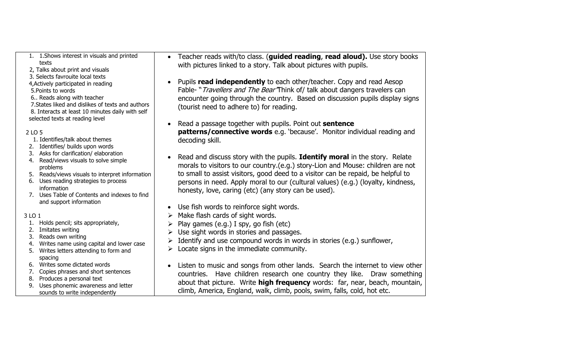| 1. 1. Shows interest in visuals and printed<br>texts<br>2, Talks about print and visuals                                                                                                                                                                                | • Teacher reads with/to class. (guided reading, read aloud). Use story books<br>with pictures linked to a story. Talk about pictures with pupils.                                                                                                                                                                                                                                              |
|-------------------------------------------------------------------------------------------------------------------------------------------------------------------------------------------------------------------------------------------------------------------------|------------------------------------------------------------------------------------------------------------------------------------------------------------------------------------------------------------------------------------------------------------------------------------------------------------------------------------------------------------------------------------------------|
| 3. Selects favrouite local texts<br>4, Actively participated in reading<br>5. Points to words<br>6 Reads along with teacher<br>7. States liked and dislikes of texts and authors<br>8. Interacts at least 10 minutes daily with self<br>selected texts at reading level | Pupils read independently to each other/teacher. Copy and read Aesop<br>Fable- "Travellers and The Bear Think of/ talk about dangers travelers can<br>encounter going through the country. Based on discussion pupils display signs<br>(tourist need to adhere to) for reading.                                                                                                                |
| 2 LO 5<br>1. Identifies/talk about themes<br>2. Identifies/ builds upon words                                                                                                                                                                                           | Read a passage together with pupils. Point out sentence<br>patterns/connective words e.g. 'because'. Monitor individual reading and<br>decoding skill.                                                                                                                                                                                                                                         |
| 3. Asks for clarification/elaboration<br>Read/views visuals to solve simple<br>4.<br>problems<br>5. Reads/views visuals to interpret information<br>6. Uses reading strategies to process<br>information<br>7. Uses Table of Contents and indexes to find               | Read and discuss story with the pupils. Identify moral in the story. Relate<br>morals to visitors to our country.(e.g.) story-Lion and Mouse: children are not<br>to small to assist visitors, good deed to a visitor can be repaid, be helpful to<br>persons in need. Apply moral to our (cultural values) (e.g.) (loyalty, kindness,<br>honesty, love, caring (etc) (any story can be used). |
| and support information<br>3 LO 1<br>Holds pencil; sits appropriately,<br>1.<br>Imitates writing<br>2.<br>Reads own writing<br>3.<br>Writes name using capital and lower case<br>4.                                                                                     | Use fish words to reinforce sight words.<br>Make flash cards of sight words.<br>$\blacktriangleright$<br>Play games (e.g.) I spy, go fish (etc)<br>Use sight words in stories and passages.<br>➤<br>Identify and use compound words in words in stories (e.g.) sunflower,<br>Locate signs in the immediate community.<br>≻                                                                     |
| Writes letters attending to form and<br>5.<br>spacing<br>6. Writes some dictated words<br>Copies phrases and short sentences<br>7.<br>Produces a personal text<br>8.<br>Uses phonemic awareness and letter<br>9.<br>sounds to write independently                       | Listen to music and songs from other lands. Search the internet to view other<br>countries. Have children research one country they like. Draw something<br>about that picture. Write high frequency words: far, near, beach, mountain,<br>climb, America, England, walk, climb, pools, swim, falls, cold, hot etc.                                                                            |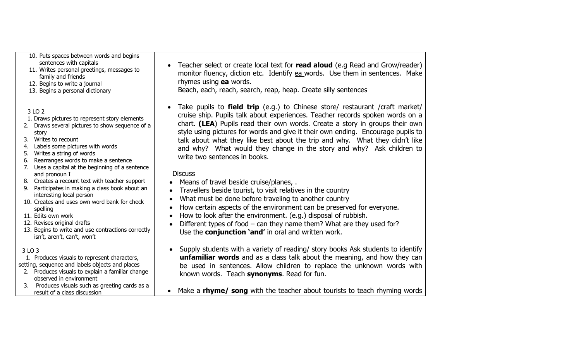- 10. Puts spaces between words and begins sentences with capitals
- 11. Writes personal greetings, messages to family and friends
- 12. Begins to write a journal
- 13. Begins a personal dictionary

### 3 LO 2

- 1. Draws pictures to represent story elements
- 2. Draws several pictures to show sequence of a story
- 3. Writes to recount
- 4. Labels some pictures with words
- 5. Writes a string of words
- 6. Rearranges words to make a sentence
- 7. Uses a capital at the beginning of a sentence and pronoun I
- 8. Creates a recount text with teacher support
- 9. Participates in making a class book about an interesting local person
- 10. Creates and uses own word bank for check spelling
- 11. Edits own work
- 12. Revises original drafts
- 13. Begins to write and use contractions correctly isn't, aren't, can't, won't

### 3 LO 3

 1. Produces visuals to represent characters, setting, sequence and labels objects and places

- 2. Produces visuals to explain a familiar change observed in environment
- 3. Produces visuals such as greeting cards as a result of a class discussion

• Teacher select or create local text for **read aloud** (e.g Read and Grow/reader) monitor fluency, diction etc. Identify ea words. Use them in sentences. Make rhymes using **ea** words.

Beach, each, reach, search, reap, heap. Create silly sentences

• Take pupils to **field trip** (e.g.) to Chinese store/ restaurant /craft market/ cruise ship. Pupils talk about experiences. Teacher records spoken words on a chart. **(LEA**) Pupils read their own words. Create a story in groups their own style using pictures for words and give it their own ending. Encourage pupils to talk about what they like best about the trip and why. What they didn't like and why? What would they change in the story and why? Ask children to write two sentences in books.

### **Discuss**

- Means of travel beside cruise/planes, .
- Travellers beside tourist, to visit relatives in the country
- •What must be done before traveling to another country
- •How certain aspects of the environment can be preserved for everyone.
- •How to look after the environment. (e.g.) disposal of rubbish.
- • Different types of food – can they name them? What are they used for? Use the **conjunction 'and'** in oral and written work.
- Supply students with a variety of reading/ story books Ask students to identify **unfamiliar words** and as a class talk about the meaning, and how they can be used in sentences. Allow children to replace the unknown words with known words. Teach **synonyms**. Read for fun.
- •Make a **rhyme/ song** with the teacher about tourists to teach rhyming words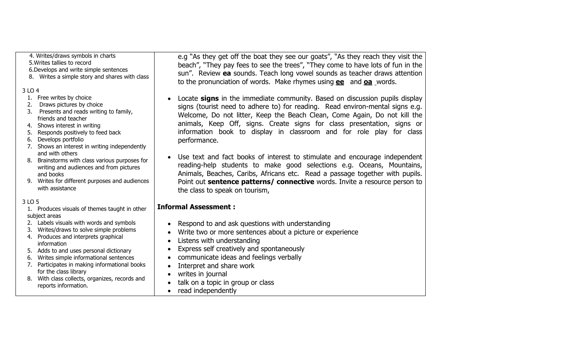## 4. Writes/draws symbols in charts

5.Writes tallies to record

- 6.Develops and write simple sentences
- 8. Writes a simple story and shares with class

### 3 LO 4

- 1. Free writes by choice
- 2. Draws pictures by choice
- 3. Presents and reads writing to family, friends and teacher
- 4. Shows interest in writing
- 5. Responds positively to feed back
- 6. Develops portfolio
- 7. Shows an interest in writing independently and with others
- 8. Brainstorms with class various purposes for writing and audiences and from pictures and books
- 9. Writes for different purposes and audiences with assistance

### 3 LO 5

- 1. Produces visuals of themes taught in other subject areas
- 2. Labels visuals with words and symbols
- 3. Writes/draws to solve simple problems
- 4. Produces and interprets graphical information
- 5. Adds to and uses personal dictionary
- 6. Writes simple informational sentences
- 7. Participates in making informational books for the class library
- 8. With class collects, organizes, records and reports information.

e.g "As they get off the boat they see our goats", "As they reach they visit the beach", "They pay fees to see the trees", "They come to have lots of fun in the sun". Review **ea** sounds. Teach long vowel sounds as teacher draws attention to the pronunciation of words. Make rhymes using **ee** and **oa** words.

- • Locate **signs** in the immediate community. Based on discussion pupils display signs (tourist need to adhere to) for reading. Read environ-mental signs e.g. Welcome, Do not litter, Keep the Beach Clean, Come Again, Do not kill the animals, Keep Off, signs. Create signs for class presentation, signs or information book to display in classroom and for role play for class performance.
- • Use text and fact books of interest to stimulate and encourage independent reading-help students to make good selections e.g. Oceans, Mountains, Animals, Beaches, Caribs, Africans etc. Read a passage together with pupils. Point out **sentence patterns/ connective** words. Invite a resource person to the class to speak on tourism,

## **Informal Assessment :**

- •Respond to and ask questions with understanding
- •Write two or more sentences about a picture or experience
- •Listens with understanding
- •Express self creatively and spontaneously
- •communicate ideas and feelings verbally
- •Interpret and share work
- •writes in journal
- •talk on a topic in group or class
- •read independently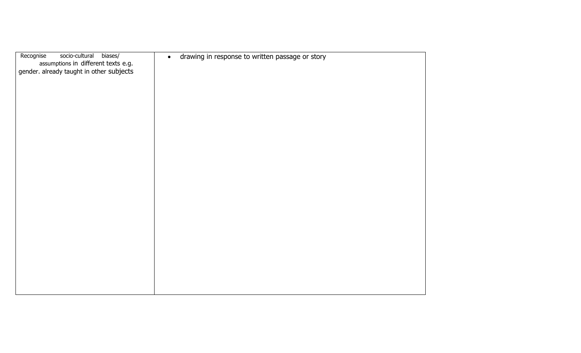| Recognise<br>biases/<br>socio-cultural<br>assumptions in different texts e.g. | drawing in response to written passage or story<br>$\bullet$ |
|-------------------------------------------------------------------------------|--------------------------------------------------------------|
| gender. already taught in other subjects                                      |                                                              |
|                                                                               |                                                              |
|                                                                               |                                                              |
|                                                                               |                                                              |
|                                                                               |                                                              |
|                                                                               |                                                              |
|                                                                               |                                                              |
|                                                                               |                                                              |
|                                                                               |                                                              |
|                                                                               |                                                              |
|                                                                               |                                                              |
|                                                                               |                                                              |
|                                                                               |                                                              |
|                                                                               |                                                              |
|                                                                               |                                                              |
|                                                                               |                                                              |
|                                                                               |                                                              |
|                                                                               |                                                              |
|                                                                               |                                                              |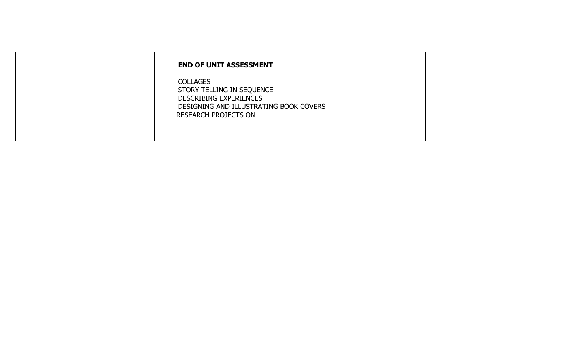| <b>END OF UNIT ASSESSMENT</b>                                                                                                                          |
|--------------------------------------------------------------------------------------------------------------------------------------------------------|
| <b>COLLAGES</b><br>STORY TELLING IN SEQUENCE<br><b>DESCRIBING EXPERIENCES</b><br>DESIGNING AND ILLUSTRATING BOOK COVERS<br><b>RESEARCH PROJECTS ON</b> |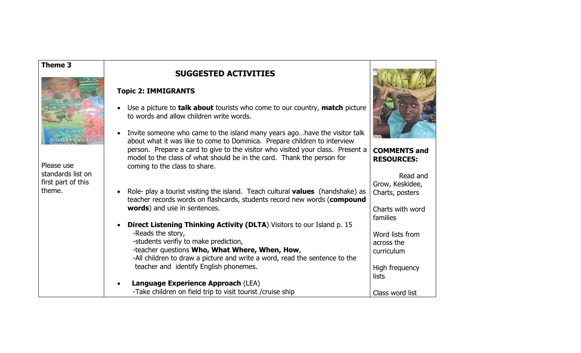#### **Theme 3**



Please use standards list on first part of this theme.

•

# **SUGGESTED ACTIVITIES**

#### **Topic 2: IMMIGRANTS**

- Use a picture to **talk about** tourists who come to our country, **match** picture to words and allow children write words.
- Invite someone who came to the island many years ago…have the visitor talk about what it was like to come to Dominica. Prepare children to interview person. Prepare a card to give to the visitor who visited your class. Present a model to the class of what should be in the card. Thank the person for coming to the class to share.
- Role- play a tourist visiting the island. Teach cultural **values** (handshake) as teacher records words on flashcards, students record new words (**compound words**) and use in sentences.
- **Direct Listening Thinking Activity (DLTA**) Visitors to our Island p. 15 -Reads the story, -students verifiy to make prediction, -teacher questions **Who, What Where, When, How**, -All children to draw a picture and write a word, read the sentence to the teacher and identify English phonemes. Word lists from across the curriculum High frequency lists

**Language Experience Approach** (LEA)

-Take children on field trip to visit tourist /cruise ship



Class word list

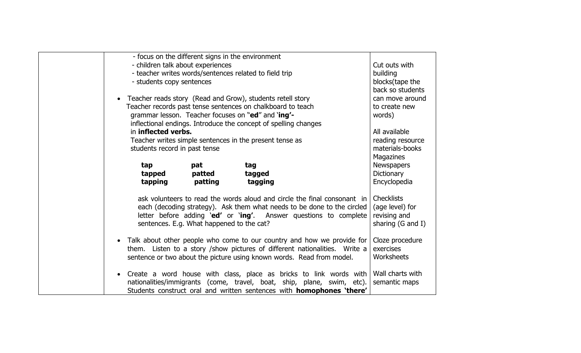| - focus on the different signs in the environment                            |                              |
|------------------------------------------------------------------------------|------------------------------|
| - children talk about experiences                                            | Cut outs with                |
| - teacher writes words/sentences related to field trip                       | building                     |
| - students copy sentences                                                    | blocks(tape the              |
|                                                                              | back so students             |
| Teacher reads story (Read and Grow), students retell story                   | can move around              |
| Teacher records past tense sentences on chalkboard to teach                  | to create new                |
| grammar lesson. Teacher focuses on "ed" and 'ing'-                           | words)                       |
| inflectional endings. Introduce the concept of spelling changes              |                              |
| in inflected verbs.                                                          | All available                |
| Teacher writes simple sentences in the present tense as                      | reading resource             |
| students record in past tense                                                | materials-books              |
|                                                                              | Magazines                    |
| tap<br>pat<br>tag                                                            | <b>Newspapers</b>            |
| tapped<br>patted<br>tagged                                                   | Dictionary                   |
| tapping<br>patting<br>tagging                                                | Encyclopedia                 |
|                                                                              |                              |
| ask volunteers to read the words aloud and circle the final consonant in     | <b>Checklists</b>            |
| each (decoding strategy). Ask them what needs to be done to the circled      | (age level) for              |
| letter before adding 'ed' or 'ing'. Answer questions to complete             | revising and                 |
| sentences. E.g. What happened to the cat?                                    | sharing $(G \text{ and } I)$ |
|                                                                              |                              |
| Talk about other people who come to our country and how we provide for       | Cloze procedure              |
| them. Listen to a story / show pictures of different nationalities. Write a  | exercises                    |
| sentence or two about the picture using known words. Read from model.        | Worksheets                   |
|                                                                              |                              |
| Create a word house with class, place as bricks to link words with           | Wall charts with             |
| nationalities/immigrants (come, travel, boat, ship, plane, swim, etc).       | semantic maps                |
| Students construct oral and written sentences with <b>homophones 'there'</b> |                              |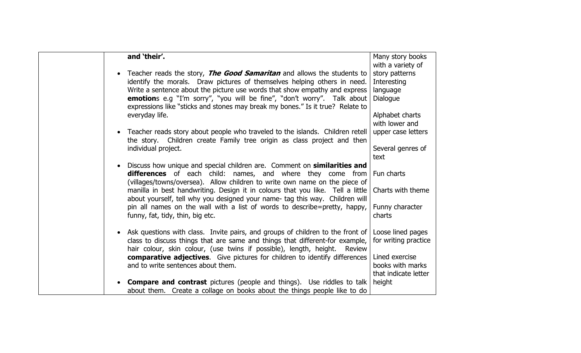| and 'their'.                                                                                                                                                                                                                                    | Many story books<br>with a variety of                      |
|-------------------------------------------------------------------------------------------------------------------------------------------------------------------------------------------------------------------------------------------------|------------------------------------------------------------|
| Teacher reads the story, <b>The Good Samaritan</b> and allows the students to<br>identify the morals. Draw pictures of themselves helping others in need.                                                                                       | story patterns<br>Interesting                              |
| Write a sentence about the picture use words that show empathy and express<br><b>emotion</b> s e.g "I'm sorry", "you will be fine", "don't worry". Talk about<br>expressions like "sticks and stones may break my bones." Is it true? Relate to | language<br>Dialogue                                       |
| everyday life.                                                                                                                                                                                                                                  | Alphabet charts<br>with lower and                          |
| Teacher reads story about people who traveled to the islands. Children retell<br>the story. Children create Family tree origin as class project and then                                                                                        | upper case letters                                         |
| individual project.                                                                                                                                                                                                                             | Several genres of<br>text                                  |
| Discuss how unique and special children are. Comment on similarities and<br>differences of each child: names, and where they come from<br>(villages/towns/oversea). Allow children to write own name on the piece of                            | Fun charts                                                 |
| manilla in best handwriting. Design it in colours that you like. Tell a little<br>about yourself, tell why you designed your name- tag this way. Children will                                                                                  | Charts with theme                                          |
| pin all names on the wall with a list of words to describe=pretty, happy,<br>funny, fat, tidy, thin, big etc.                                                                                                                                   | Funny character<br>charts                                  |
| • Ask questions with class. Invite pairs, and groups of children to the front of<br>class to discuss things that are same and things that different-for example,<br>hair colour, skin colour, (use twins if possible), length, height. Review   | Loose lined pages<br>for writing practice                  |
| <b>comparative adjectives.</b> Give pictures for children to identify differences<br>and to write sentences about them.                                                                                                                         | Lined exercise<br>books with marks<br>that indicate letter |
| <b>Compare and contrast</b> pictures (people and things). Use riddles to talk<br>about them. Create a collage on books about the things people like to do                                                                                       | height                                                     |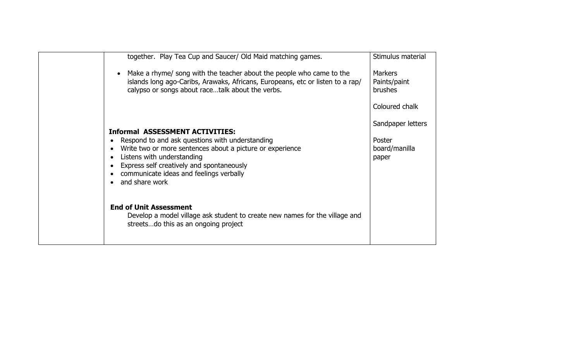| together. Play Tea Cup and Saucer/ Old Maid matching games.                                                                                                                                                                                                                                      | Stimulus material                                     |
|--------------------------------------------------------------------------------------------------------------------------------------------------------------------------------------------------------------------------------------------------------------------------------------------------|-------------------------------------------------------|
| Make a rhyme/ song with the teacher about the people who came to the<br>islands long ago-Caribs, Arawaks, Africans, Europeans, etc or listen to a rap/<br>calypso or songs about racetalk about the verbs.                                                                                       | <b>Markers</b><br>Paints/paint<br><b>brushes</b>      |
|                                                                                                                                                                                                                                                                                                  | Coloured chalk                                        |
| <b>Informal ASSESSMENT ACTIVITIES:</b><br>Respond to and ask questions with understanding<br>Write two or more sentences about a picture or experience<br>Listens with understanding<br>Express self creatively and spontaneously<br>communicate ideas and feelings verbally<br>• and share work | Sandpaper letters<br>Poster<br>board/manilla<br>paper |
| <b>End of Unit Assessment</b><br>Develop a model village ask student to create new names for the village and<br>streetsdo this as an ongoing project                                                                                                                                             |                                                       |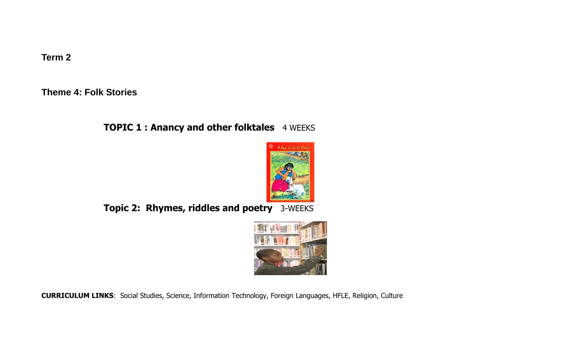**Term 2** 

**Theme 4: Folk Stories** 

# **TOPIC 1 : Anancy and other folktales** 4 WEEKS



**Topic 2: Rhymes, riddles and poetry** 3-WEEKS



**CURRICULUM LINKS**: Social Studies, Science, Information Technology, Foreign Languages, HFLE, Religion, Culture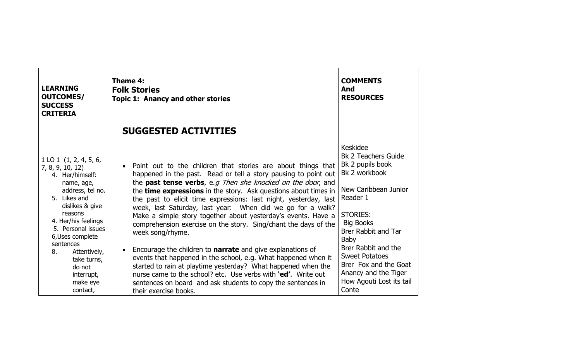| <b>LEARNING</b><br><b>OUTCOMES/</b><br><b>SUCCESS</b><br><b>CRITERIA</b>                                                                                                                                                                                                                                            | Theme 4:<br><b>Folk Stories</b><br><b>Topic 1: Anancy and other stories</b>                                                                                                                                                                                                                                                                                                                                                                                                                                                                                                                                                                                                                                                                                                                                                                                                                                                                                                   | <b>COMMENTS</b><br>And<br><b>RESOURCES</b>                                                                                                                                                                                                                                                                                                |
|---------------------------------------------------------------------------------------------------------------------------------------------------------------------------------------------------------------------------------------------------------------------------------------------------------------------|-------------------------------------------------------------------------------------------------------------------------------------------------------------------------------------------------------------------------------------------------------------------------------------------------------------------------------------------------------------------------------------------------------------------------------------------------------------------------------------------------------------------------------------------------------------------------------------------------------------------------------------------------------------------------------------------------------------------------------------------------------------------------------------------------------------------------------------------------------------------------------------------------------------------------------------------------------------------------------|-------------------------------------------------------------------------------------------------------------------------------------------------------------------------------------------------------------------------------------------------------------------------------------------------------------------------------------------|
|                                                                                                                                                                                                                                                                                                                     | <b>SUGGESTED ACTIVITIES</b>                                                                                                                                                                                                                                                                                                                                                                                                                                                                                                                                                                                                                                                                                                                                                                                                                                                                                                                                                   |                                                                                                                                                                                                                                                                                                                                           |
| $1$ LO $1$ (1, 2, 4, 5, 6,<br>7, 8, 9, 10, 12<br>4. Her/himself:<br>name, age,<br>address, tel no.<br>5. Likes and<br>dislikes & give<br>reasons<br>4. Her/his feelings<br>5. Personal issues<br>6, Uses complete<br>sentences<br>8.<br>Attentively,<br>take turns,<br>do not<br>interrupt,<br>make eye<br>contact, | Point out to the children that stories are about things that<br>$\bullet$<br>happened in the past. Read or tell a story pausing to point out<br>the <b>past tense verbs</b> , e.g Then she knocked on the door, and<br>the <b>time expressions</b> in the story. Ask questions about times in<br>the past to elicit time expressions: last night, yesterday, last<br>week, last Saturday, last year: When did we go for a walk?<br>Make a simple story together about yesterday's events. Have a<br>comprehension exercise on the story. Sing/chant the days of the<br>week song/rhyme.<br>Encourage the children to <b>narrate</b> and give explanations of<br>$\bullet$<br>events that happened in the school, e.g. What happened when it<br>started to rain at playtime yesterday? What happened when the<br>nurse came to the school? etc. Use verbs with <b>'ed'.</b> Write out<br>sentences on board and ask students to copy the sentences in<br>their exercise books. | Keskidee<br><b>Bk 2 Teachers Guide</b><br>Bk 2 pupils book<br>Bk 2 workbook<br>New Caribbean Junior<br>Reader 1<br><b>STORIES:</b><br><b>Big Books</b><br><b>Brer Rabbit and Tar</b><br><b>Baby</b><br>Brer Rabbit and the<br><b>Sweet Potatoes</b><br>Brer Fox and the Goat<br>Anancy and the Tiger<br>How Agouti Lost its tail<br>Conte |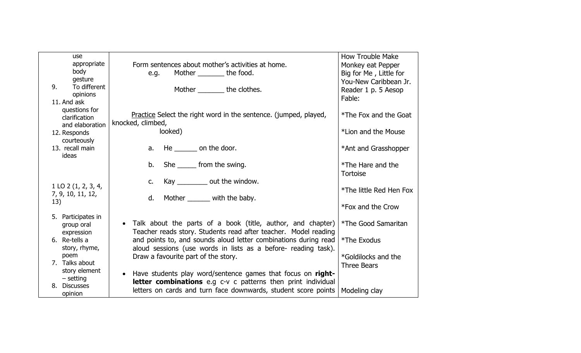| <b>use</b>               |                                                                     | <b>How Trouble Make</b> |
|--------------------------|---------------------------------------------------------------------|-------------------------|
| appropriate              | Form sentences about mother's activities at home.                   | Monkey eat Pepper       |
| body                     | Mother ________ the food.<br>e.g.                                   | Big for Me, Little for  |
| gesture                  |                                                                     | You-New Caribbean Jr.   |
| To different<br>9.       | Mother _________ the clothes.                                       | Reader 1 p. 5 Aesop     |
| opinions<br>11. And ask  |                                                                     | Fable:                  |
| questions for            |                                                                     |                         |
| clarification            | Practice Select the right word in the sentence. (jumped, played,    | *The Fox and the Goat   |
| and elaboration          | knocked, climbed,                                                   |                         |
| 12. Responds             | looked)                                                             | *Lion and the Mouse     |
| courteously              |                                                                     |                         |
| 13. recall main          | a. He $\_\_\_\_$ on the door.                                       | *Ant and Grasshopper    |
| ideas                    |                                                                     |                         |
|                          | b. She _______ from the swing.                                      | *The Hare and the       |
|                          |                                                                     | <b>Tortoise</b>         |
|                          | Kay $\_\_\_\_\_$ out the window.<br>C.                              |                         |
| $1$ LO $2$ (1, 2, 3, 4,  |                                                                     | *The little Red Hen Fox |
| 7, 9, 10, 11, 12,<br>13) | d. Mother _______ with the baby.                                    |                         |
|                          |                                                                     | *Fox and the Crow       |
| 5. Participates in       |                                                                     |                         |
| group oral               | • Talk about the parts of a book (title, author, and chapter)       | *The Good Samaritan     |
| expression               | Teacher reads story. Students read after teacher. Model reading     |                         |
| 6. Re-tells a            | and points to, and sounds aloud letter combinations during read     | *The Exodus             |
| story, rhyme,            | aloud sessions (use words in lists as a before- reading task).      |                         |
| poem                     | Draw a favourite part of the story.                                 | *Goldilocks and the     |
| 7. Talks about           |                                                                     | <b>Three Bears</b>      |
| story element            | Have students play word/sentence games that focus on right-         |                         |
| $-$ setting              | <b>letter combinations</b> e.g c-v c patterns then print individual |                         |
| 8. Discusses             | letters on cards and turn face downwards, student score points      | Modeling clay           |
| opinion                  |                                                                     |                         |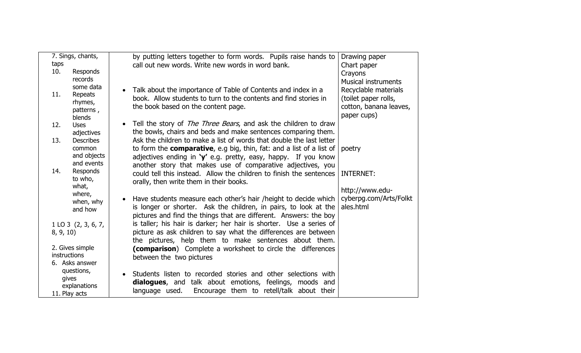|               | 7. Sings, chants,       | by putting letters together to form words. Pupils raise hands to             | Drawing paper              |
|---------------|-------------------------|------------------------------------------------------------------------------|----------------------------|
| taps          |                         | call out new words. Write new words in word bank.                            | Chart paper                |
| 10.           | Responds                |                                                                              | Crayons                    |
|               | records<br>some data    |                                                                              | <b>Musical instruments</b> |
| 11.           | Repeats                 | Talk about the importance of Table of Contents and index in a                | Recyclable materials       |
|               | rhymes,                 | book. Allow students to turn to the contents and find stories in             | (toilet paper rolls,       |
|               | patterns,               | the book based on the content page.                                          | cotton, banana leaves,     |
|               | blends                  |                                                                              | paper cups)                |
| 12.           | <b>Uses</b>             | Tell the story of <i>The Three Bears</i> , and ask the children to draw      |                            |
|               | adjectives              | the bowls, chairs and beds and make sentences comparing them.                |                            |
| 13.           | <b>Describes</b>        | Ask the children to make a list of words that double the last letter         |                            |
|               | common                  | to form the <b>comparative</b> , e.g big, thin, fat: and a list of a list of | poetry                     |
|               | and objects             | adjectives ending in ' $y'$ e.g. pretty, easy, happy. If you know            |                            |
|               | and events              | another story that makes use of comparative adjectives, you                  |                            |
| 14.           | Responds                | could tell this instead. Allow the children to finish the sentences          | <b>INTERNET:</b>           |
|               | to who,                 | orally, then write them in their books.                                      |                            |
|               | what,                   |                                                                              | http://www.edu-            |
|               | where,                  | Have students measure each other's hair /height to decide which              | cyberpg.com/Arts/Folkt     |
|               | when, why<br>and how    | is longer or shorter. Ask the children, in pairs, to look at the             | ales.html                  |
|               |                         | pictures and find the things that are different. Answers: the boy            |                            |
|               | $1$ LO 3 $(2, 3, 6, 7,$ | is taller; his hair is darker; her hair is shorter. Use a series of          |                            |
| 8, 9, 10      |                         | picture as ask children to say what the differences are between              |                            |
|               |                         | the pictures, help them to make sentences about them.                        |                            |
|               | 2. Gives simple         | (comparison) Complete a worksheet to circle the differences                  |                            |
| instructions  |                         | between the two pictures                                                     |                            |
|               | 6. Asks answer          |                                                                              |                            |
|               | questions,              | Students listen to recorded stories and other selections with                |                            |
| gives         |                         | <b>dialogues</b> , and talk about emotions, feelings, moods and              |                            |
|               | explanations            | language used.<br>Encourage them to retell/talk about their                  |                            |
| 11. Play acts |                         |                                                                              |                            |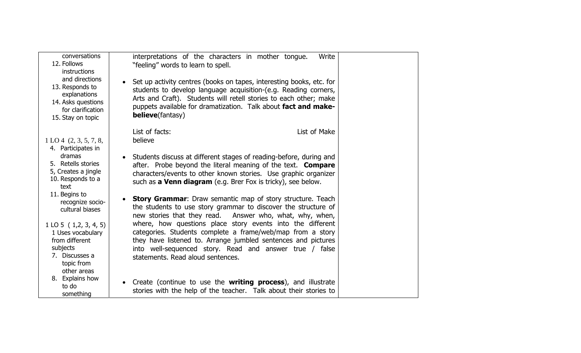| conversations<br>12. Follows<br><b>instructions</b>                                                                      | interpretations of the characters in mother tongue.<br>Write<br>"feeling" words to learn to spell.                                                                                                                                                                                                                      |  |
|--------------------------------------------------------------------------------------------------------------------------|-------------------------------------------------------------------------------------------------------------------------------------------------------------------------------------------------------------------------------------------------------------------------------------------------------------------------|--|
| and directions<br>13. Responds to<br>explanations<br>14. Asks questions<br>for clarification<br>15. Stay on topic        | Set up activity centres (books on tapes, interesting books, etc. for<br>$\bullet$<br>students to develop language acquisition-(e.g. Reading corners,<br>Arts and Craft). Students will retell stories to each other; make<br>puppets available for dramatization. Talk about fact and make-<br><b>believe</b> (fantasy) |  |
| 1 L O 4 (2, 3, 5, 7, 8,<br>4. Participates in                                                                            | List of facts:<br>List of Make<br>believe                                                                                                                                                                                                                                                                               |  |
| dramas<br>5. Retells stories<br>5, Creates a jingle<br>10. Responds to a<br>text                                         | Students discuss at different stages of reading-before, during and<br>$\bullet$<br>after. Probe beyond the literal meaning of the text. <b>Compare</b><br>characters/events to other known stories. Use graphic organizer<br>such as a Venn diagram (e.g. Brer Fox is tricky), see below.                               |  |
| 11. Begins to<br>recognize socio-<br>cultural biases                                                                     | <b>Story Grammar:</b> Draw semantic map of story structure. Teach<br>$\bullet$<br>the students to use story grammar to discover the structure of<br>new stories that they read. Answer who, what, why, when,                                                                                                            |  |
| $1$ LO 5 $(1,2,3,4,5)$<br>1 Uses vocabulary<br>from different<br>subjects<br>7. Discusses a<br>topic from<br>other areas | where, how questions place story events into the different<br>categories. Students complete a frame/web/map from a story<br>they have listened to. Arrange jumbled sentences and pictures<br>into well-sequenced story. Read and answer true / false<br>statements. Read aloud sentences.                               |  |
| 8. Explains how<br>to do<br>something                                                                                    | Create (continue to use the writing process), and illustrate<br>$\bullet$<br>stories with the help of the teacher. Talk about their stories to                                                                                                                                                                          |  |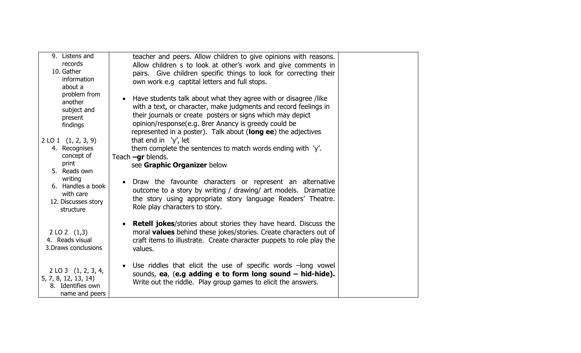| 9. Listens and<br>records<br>10. Gather<br>information<br>about a                             | teacher and peers. Allow children to give opinions with reasons.<br>Allow children s to look at other's work and give comments in<br>pairs. Give children specific things to look for correcting their<br>own work e.g captital letters and full stops.                                                                                 |  |
|-----------------------------------------------------------------------------------------------|-----------------------------------------------------------------------------------------------------------------------------------------------------------------------------------------------------------------------------------------------------------------------------------------------------------------------------------------|--|
| problem from<br>another<br>subject and<br>present<br>findings                                 | Have students talk about what they agree with or disagree /like<br>$\bullet$<br>with a text, or character, make judgments and record feelings in<br>their journals or create posters or signs which may depict<br>opinion/response(e.g. Brer Anancy is greedy could be<br>represented in a poster). Talk about (long ee) the adjectives |  |
| $2$ LO 1 $(1, 2, 3, 9)$<br>4. Recognises<br>concept of<br>print                               | that end in $\forall$ , let<br>them complete the sentences to match words ending with 'y'.<br>Teach $-qr$ blends.<br>see Graphic Organizer below                                                                                                                                                                                        |  |
| 5. Reads own<br>writing<br>6. Handles a book<br>with care<br>12. Discusses story<br>structure | Draw the favourite characters or represent an alternative<br>$\bullet$<br>outcome to a story by writing / drawing/ art models. Dramatize<br>the story using appropriate story language Readers' Theatre.<br>Role play characters to story.                                                                                              |  |
| 2 LO 2 (1,3)<br>4. Reads visual<br>3. Draws conclusions                                       | <b>Retell jokes/stories about stories they have heard. Discuss the</b><br>$\bullet$<br>moral <b>values</b> behind these jokes/stories. Create characters out of<br>craft items to illustrate. Create character puppets to role play the<br>values.                                                                                      |  |
| $2$ LO 3 $(1, 2, 3, 4,$<br>5, 7, 8, 12, 13, 14)<br>8. Identifies own<br>name and peers        | Use riddles that elicit the use of specific words -long vowel<br>$\bullet$<br>sounds, ea, (e.g adding e to form long sound - hid-hide).<br>Write out the riddle. Play group games to elicit the answers.                                                                                                                                |  |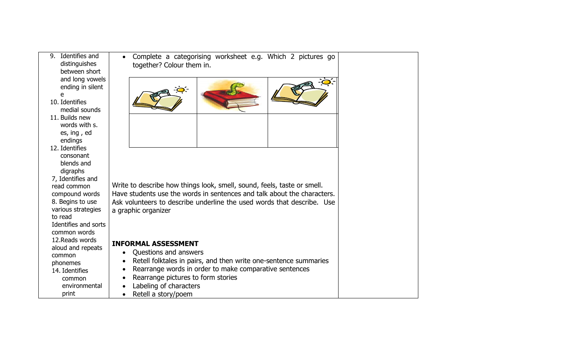| 9. Identifies and<br>distinguishes<br>between short                                                                                                                                                                         | Complete a categorising worksheet e.g. Which 2 pictures go<br>together? Colour them in.                                                                                                                                                                                                            |
|-----------------------------------------------------------------------------------------------------------------------------------------------------------------------------------------------------------------------------|----------------------------------------------------------------------------------------------------------------------------------------------------------------------------------------------------------------------------------------------------------------------------------------------------|
| and long vowels<br>ending in silent<br>e<br>10. Identifies<br>medial sounds                                                                                                                                                 | $\overline{Q}$ .                                                                                                                                                                                                                                                                                   |
| 11. Builds new<br>words with s.<br>es, ing, ed<br>endings                                                                                                                                                                   |                                                                                                                                                                                                                                                                                                    |
| 12. Identifies<br>consonant<br>blends and<br>digraphs<br>7, Identifies and<br>read common<br>compound words<br>8. Begins to use<br>various strategies<br>to read<br>Identifies and sorts<br>common words<br>12. Reads words | Write to describe how things look, smell, sound, feels, taste or smell.<br>Have students use the words in sentences and talk about the characters.<br>Ask volunteers to describe underline the used words that describe. Use<br>a graphic organizer                                                |
| aloud and repeats<br>common<br>phonemes<br>14. Identifies<br>common<br>environmental<br>print                                                                                                                               | <b>INFORMAL ASSESSMENT</b><br>Questions and answers<br>Retell folktales in pairs, and then write one-sentence summaries<br>$\bullet$<br>Rearrange words in order to make comparative sentences<br>$\bullet$<br>Rearrange pictures to form stories<br>Labeling of characters<br>Retell a story/poem |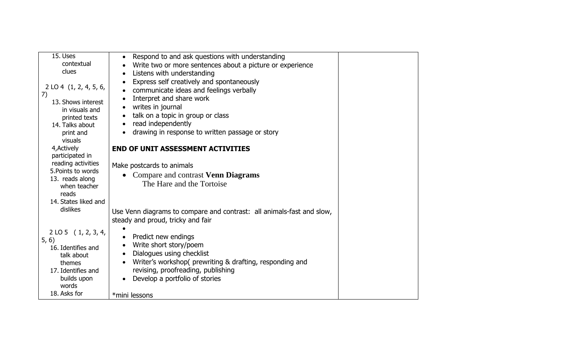| 15. Uses                             | Respond to and ask questions with understanding<br>$\bullet$          |  |
|--------------------------------------|-----------------------------------------------------------------------|--|
| contextual                           | Write two or more sentences about a picture or experience             |  |
| clues                                | Listens with understanding                                            |  |
|                                      | Express self creatively and spontaneously<br>$\bullet$                |  |
| $2$ LO 4 $(1, 2, 4, 5, 6,$           | communicate ideas and feelings verbally                               |  |
| 7)                                   | Interpret and share work                                              |  |
| 13. Shows interest<br>in visuals and | writes in journal<br>$\bullet$                                        |  |
| printed texts                        | talk on a topic in group or class<br>$\bullet$                        |  |
| 14. Talks about                      | read independently                                                    |  |
| print and                            | drawing in response to written passage or story                       |  |
| visuals                              |                                                                       |  |
| 4, Actively                          | <b>END OF UNIT ASSESSMENT ACTIVITIES</b>                              |  |
| participated in                      |                                                                       |  |
| reading activities                   | Make postcards to animals                                             |  |
| 5. Points to words                   | • Compare and contrast Venn Diagrams                                  |  |
| 13. reads along                      | The Hare and the Tortoise                                             |  |
| when teacher<br>reads                |                                                                       |  |
| 14. States liked and                 |                                                                       |  |
| dislikes                             |                                                                       |  |
|                                      | Use Venn diagrams to compare and contrast: all animals-fast and slow, |  |
|                                      | steady and proud, tricky and fair                                     |  |
| $2$ LO 5 (1, 2, 3, 4,                |                                                                       |  |
| 5, 6)                                | Predict new endings                                                   |  |
| 16. Identifies and                   | Write short story/poem                                                |  |
| talk about                           | Dialogues using checklist<br>$\bullet$                                |  |
| themes                               | Writer's workshop(prewriting & drafting, responding and               |  |
| 17. Identifies and                   | revising, proofreading, publishing                                    |  |
| builds upon<br>words                 | Develop a portfolio of stories                                        |  |
| 18. Asks for                         |                                                                       |  |
|                                      | *mini lessons                                                         |  |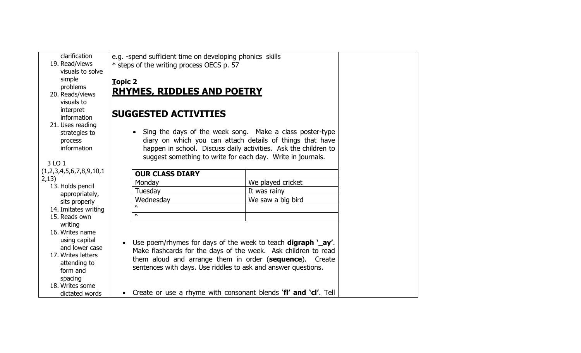| e.g. -spend sufficient time on developing phonics skills<br>* steps of the writing process OECS p. 57<br><b>RHYMES, RIDDLES AND POETRY</b><br><b>SUGGESTED ACTIVITIES</b><br>• Sing the days of the week song. Make a class poster-type<br>diary on which you can attach details of things that have<br>happen in school. Discuss daily activities. Ask the children to<br>suggest something to write for each day. Write in journals.<br><b>OUR CLASS DIARY</b><br>We played cricket<br>Monday<br>Tuesday<br>It was rainy |                                                                 |
|----------------------------------------------------------------------------------------------------------------------------------------------------------------------------------------------------------------------------------------------------------------------------------------------------------------------------------------------------------------------------------------------------------------------------------------------------------------------------------------------------------------------------|-----------------------------------------------------------------|
|                                                                                                                                                                                                                                                                                                                                                                                                                                                                                                                            |                                                                 |
|                                                                                                                                                                                                                                                                                                                                                                                                                                                                                                                            |                                                                 |
|                                                                                                                                                                                                                                                                                                                                                                                                                                                                                                                            |                                                                 |
|                                                                                                                                                                                                                                                                                                                                                                                                                                                                                                                            |                                                                 |
|                                                                                                                                                                                                                                                                                                                                                                                                                                                                                                                            |                                                                 |
| Wednesday<br>We saw a big bird                                                                                                                                                                                                                                                                                                                                                                                                                                                                                             |                                                                 |
|                                                                                                                                                                                                                                                                                                                                                                                                                                                                                                                            |                                                                 |
|                                                                                                                                                                                                                                                                                                                                                                                                                                                                                                                            |                                                                 |
| Use poem/rhymes for days of the week to teach <b>digraph</b> '_ay'.<br>Make flashcards for the days of the week. Ask children to read<br>them aloud and arrange them in order (sequence). Create<br>sentences with days. Use riddles to ask and answer questions.                                                                                                                                                                                                                                                          |                                                                 |
|                                                                                                                                                                                                                                                                                                                                                                                                                                                                                                                            | Create or use a rhyme with consonant blends 'fl' and 'cl'. Tell |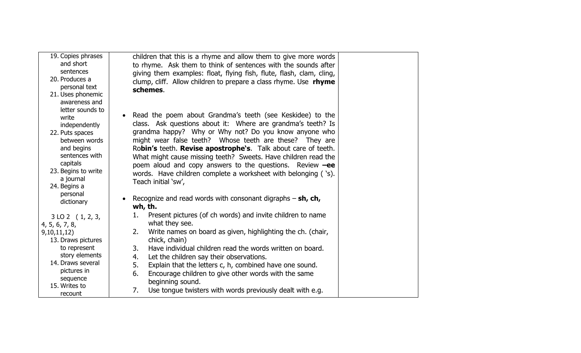| 19. Copies phrases<br>and short<br>sentences<br>20. Produces a<br>personal text<br>21. Uses phonemic<br>awareness and                                                                     | children that this is a rhyme and allow them to give more words<br>to rhyme. Ask them to think of sentences with the sounds after<br>giving them examples: float, flying fish, flute, flash, clam, cling,<br>clump, cliff. Allow children to prepare a class rhyme. Use rhyme<br>schemes.                                                                                                                                                                                                                                                            |  |
|-------------------------------------------------------------------------------------------------------------------------------------------------------------------------------------------|------------------------------------------------------------------------------------------------------------------------------------------------------------------------------------------------------------------------------------------------------------------------------------------------------------------------------------------------------------------------------------------------------------------------------------------------------------------------------------------------------------------------------------------------------|--|
| letter sounds to<br>write<br>independently<br>22. Puts spaces<br>between words<br>and begins<br>sentences with<br>capitals<br>23. Begins to write<br>a journal<br>24. Begins a            | Read the poem about Grandma's teeth (see Keskidee) to the<br>$\bullet$<br>class. Ask questions about it: Where are grandma's teeth? Is<br>grandma happy? Why or Why not? Do you know anyone who<br>might wear false teeth? Whose teeth are these? They are<br>Robin's teeth. Revise apostrophe's. Talk about care of teeth.<br>What might cause missing teeth? Sweets. Have children read the<br>poem aloud and copy answers to the questions. Review $-ee$<br>words. Have children complete a worksheet with belonging ('s).<br>Teach initial 'sw', |  |
| personal<br>dictionary                                                                                                                                                                    | Recognize and read words with consonant digraphs $-$ sh, ch,<br>wh, th.                                                                                                                                                                                                                                                                                                                                                                                                                                                                              |  |
| $3$ LO 2 $(1, 2, 3,$<br>4, 5, 6, 7, 8,<br>9,10,11,12)<br>13. Draws pictures<br>to represent<br>story elements<br>14. Draws several<br>pictures in<br>sequence<br>15. Writes to<br>recount | Present pictures (of ch words) and invite children to name<br>1.<br>what they see.<br>Write names on board as given, highlighting the ch. (chair,<br>2.<br>chick, chain)<br>Have individual children read the words written on board.<br>3.<br>Let the children say their observations.<br>4.<br>5.<br>Explain that the letters c, h, combined have one sound.<br>6.<br>Encourage children to give other words with the same<br>beginning sound.<br>Use tongue twisters with words previously dealt with e.g.<br>7.                                  |  |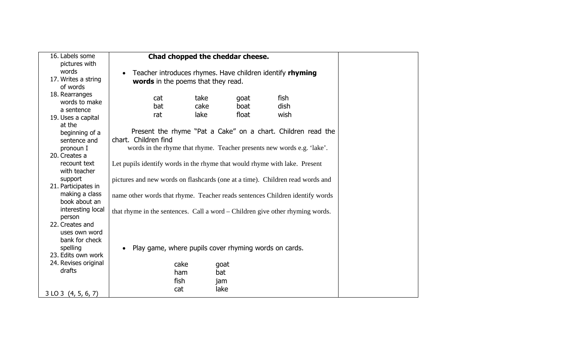| 16. Labels some<br>pictures with |                                                                               |      | Chad chopped the cheddar cheese. |             |  |
|----------------------------------|-------------------------------------------------------------------------------|------|----------------------------------|-------------|--|
| words                            | Teacher introduces rhymes. Have children identify rhyming<br>$\bullet$        |      |                                  |             |  |
| 17. Writes a string              |                                                                               |      |                                  |             |  |
| of words                         | words in the poems that they read.                                            |      |                                  |             |  |
| 18. Rearranges                   |                                                                               |      |                                  |             |  |
| words to make                    | cat                                                                           | take | goat                             | fish        |  |
| a sentence                       | bat                                                                           | cake | boat                             | <b>dish</b> |  |
| 19. Uses a capital               | rat                                                                           | lake | float                            | wish        |  |
| at the                           |                                                                               |      |                                  |             |  |
| beginning of a                   | Present the rhyme "Pat a Cake" on a chart. Children read the                  |      |                                  |             |  |
| sentence and                     | chart. Children find                                                          |      |                                  |             |  |
| pronoun I                        | words in the rhyme that rhyme. Teacher presents new words e.g. 'lake'.        |      |                                  |             |  |
| 20. Creates a                    |                                                                               |      |                                  |             |  |
| recount text                     | Let pupils identify words in the rhyme that would rhyme with lake. Present    |      |                                  |             |  |
| with teacher                     |                                                                               |      |                                  |             |  |
| support                          | pictures and new words on flashcards (one at a time). Children read words and |      |                                  |             |  |
| 21. Participates in              |                                                                               |      |                                  |             |  |
| making a class                   | name other words that rhyme. Teacher reads sentences Children identify words  |      |                                  |             |  |
| book about an                    |                                                                               |      |                                  |             |  |
| interesting local                | that rhyme in the sentences. Call a word – Children give other rhyming words. |      |                                  |             |  |
| person                           |                                                                               |      |                                  |             |  |
| 22. Creates and                  |                                                                               |      |                                  |             |  |
| uses own word                    |                                                                               |      |                                  |             |  |
| bank for check                   |                                                                               |      |                                  |             |  |
| spelling                         | Play game, where pupils cover rhyming words on cards.                         |      |                                  |             |  |
| 23. Edits own work               |                                                                               |      |                                  |             |  |
| 24. Revises original             |                                                                               | cake | goat                             |             |  |
| drafts                           |                                                                               | ham  | bat                              |             |  |
|                                  |                                                                               | fish | jam                              |             |  |
|                                  |                                                                               | cat  | lake                             |             |  |
| $3$ LO 3 $(4, 5, 6, 7)$          |                                                                               |      |                                  |             |  |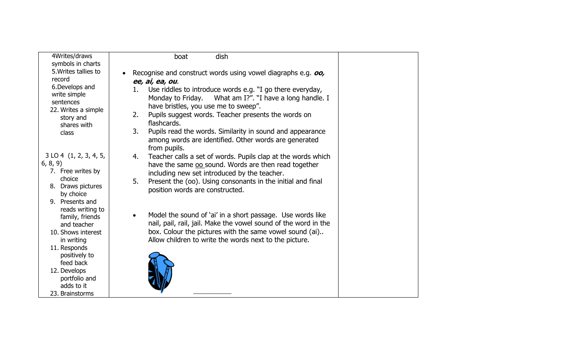| 4Writes/draws<br>symbols in charts | dish<br>boat                                                                                                                  |  |
|------------------------------------|-------------------------------------------------------------------------------------------------------------------------------|--|
| 5. Writes tallies to               | Recognise and construct words using vowel diagraphs e.g. oo,                                                                  |  |
| record                             | ee, ai, ea, ou.                                                                                                               |  |
| 6. Develops and                    | Use riddles to introduce words e.g. "I go there everyday,<br>1.                                                               |  |
| write simple                       | Monday to Friday. What am I?". "I have a long handle. I                                                                       |  |
| sentences<br>22. Writes a simple   | have bristles, you use me to sweep".                                                                                          |  |
| story and                          | Pupils suggest words. Teacher presents the words on<br>2.                                                                     |  |
| shares with                        | flashcards.                                                                                                                   |  |
| class                              | 3.<br>Pupils read the words. Similarity in sound and appearance                                                               |  |
|                                    | among words are identified. Other words are generated                                                                         |  |
|                                    | from pupils.                                                                                                                  |  |
| 3 LO 4 (1, 2, 3, 4, 5,             | Teacher calls a set of words. Pupils clap at the words which<br>4.                                                            |  |
| 6, 8, 9)<br>7. Free writes by      | have the same oo sound. Words are then read together                                                                          |  |
| choice                             | including new set introduced by the teacher.                                                                                  |  |
| 8. Draws pictures                  | 5.<br>Present the (oo). Using consonants in the initial and final                                                             |  |
| by choice                          | position words are constructed.                                                                                               |  |
| 9. Presents and                    |                                                                                                                               |  |
| reads writing to                   |                                                                                                                               |  |
| family, friends                    | Model the sound of 'ai' in a short passage. Use words like<br>nail, pail, rail, jail. Make the vowel sound of the word in the |  |
| and teacher<br>10. Shows interest  | box. Colour the pictures with the same vowel sound (ai)                                                                       |  |
| in writing                         | Allow children to write the words next to the picture.                                                                        |  |
| 11. Responds                       |                                                                                                                               |  |
| positively to                      |                                                                                                                               |  |
| feed back                          |                                                                                                                               |  |
| 12. Develops                       |                                                                                                                               |  |
| portfolio and                      |                                                                                                                               |  |
| adds to it<br>23. Brainstorms      |                                                                                                                               |  |
|                                    |                                                                                                                               |  |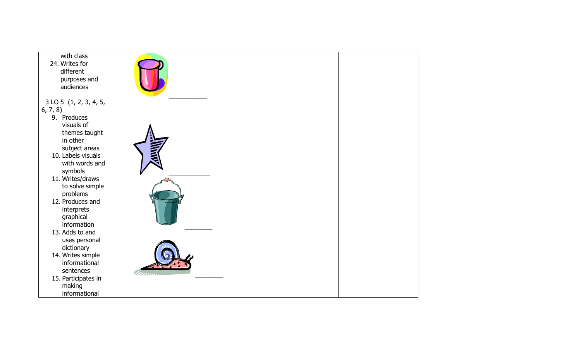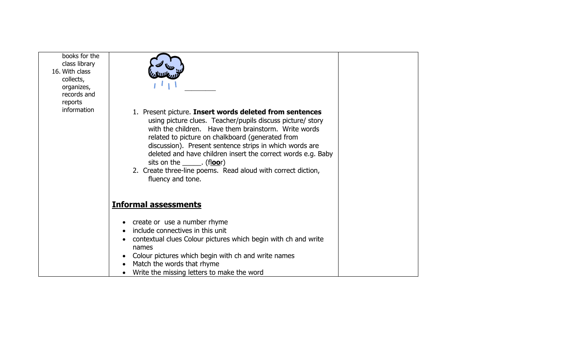| books for the<br>class library<br>16. With class<br>collects,<br>organizes, |                                                                                                                                                                                                                                                                                                                                                                                                                                                                                               |  |
|-----------------------------------------------------------------------------|-----------------------------------------------------------------------------------------------------------------------------------------------------------------------------------------------------------------------------------------------------------------------------------------------------------------------------------------------------------------------------------------------------------------------------------------------------------------------------------------------|--|
| records and                                                                 |                                                                                                                                                                                                                                                                                                                                                                                                                                                                                               |  |
| reports<br>information                                                      |                                                                                                                                                                                                                                                                                                                                                                                                                                                                                               |  |
|                                                                             | 1. Present picture. Insert words deleted from sentences<br>using picture clues. Teacher/pupils discuss picture/ story<br>with the children. Have them brainstorm. Write words<br>related to picture on chalkboard (generated from<br>discussion). Present sentence strips in which words are<br>deleted and have children insert the correct words e.g. Baby<br>sits on the $\rule{1em}{0.15mm}$ (floor)<br>2. Create three-line poems. Read aloud with correct diction,<br>fluency and tone. |  |
|                                                                             | <b>Informal assessments</b>                                                                                                                                                                                                                                                                                                                                                                                                                                                                   |  |
|                                                                             |                                                                                                                                                                                                                                                                                                                                                                                                                                                                                               |  |
|                                                                             | • create or use a number rhyme                                                                                                                                                                                                                                                                                                                                                                                                                                                                |  |
|                                                                             | include connectives in this unit<br>contextual clues Colour pictures which begin with ch and write                                                                                                                                                                                                                                                                                                                                                                                            |  |
|                                                                             | names                                                                                                                                                                                                                                                                                                                                                                                                                                                                                         |  |
|                                                                             | Colour pictures which begin with ch and write names                                                                                                                                                                                                                                                                                                                                                                                                                                           |  |
|                                                                             | Match the words that rhyme                                                                                                                                                                                                                                                                                                                                                                                                                                                                    |  |
|                                                                             | Write the missing letters to make the word                                                                                                                                                                                                                                                                                                                                                                                                                                                    |  |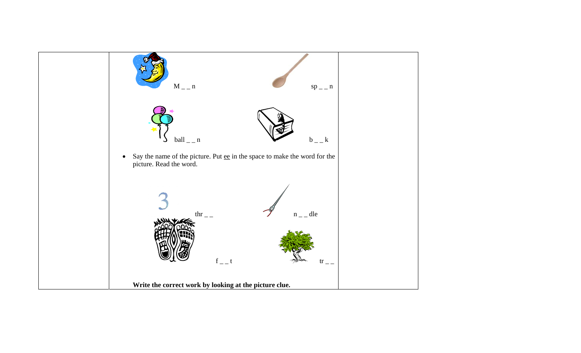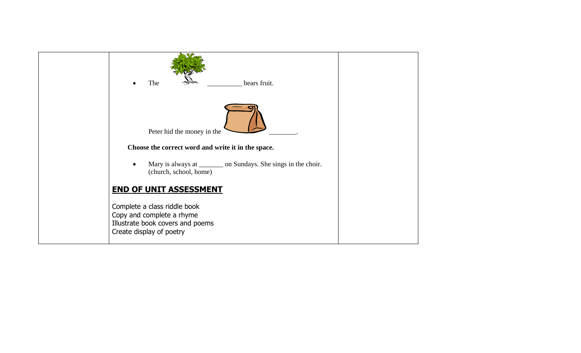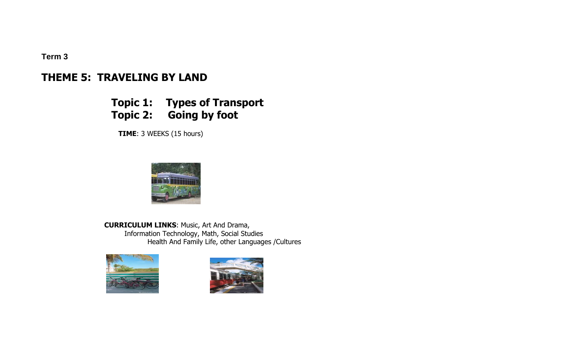**Term 3** 

# **THEME 5: TRAVELING BY LAND**

# **Topic 1: Types of Transport Topic 2: Going by foot**

 **TIME**: 3 WEEKS (15 hours)



 **CURRICULUM LINKS**: Music, Art And Drama, Information Technology, Math, Social Studies Health And Family Life, other Languages /Cultures



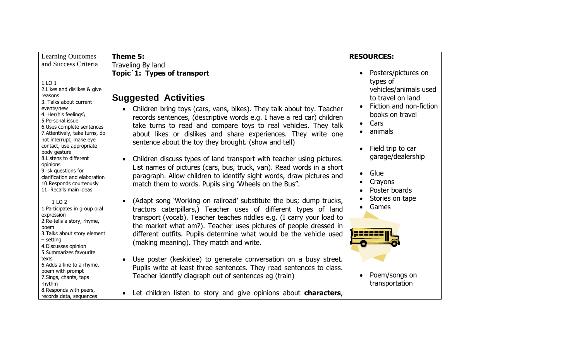| <b>Learning Outcomes</b>                                                                                                                                                                                                                                                                                             | Theme 5:                                                                                                                                                                                                                                                                                                                                                                                                                                                                                                    | <b>RESOURCES:</b>                                                                                                                                                                        |
|----------------------------------------------------------------------------------------------------------------------------------------------------------------------------------------------------------------------------------------------------------------------------------------------------------------------|-------------------------------------------------------------------------------------------------------------------------------------------------------------------------------------------------------------------------------------------------------------------------------------------------------------------------------------------------------------------------------------------------------------------------------------------------------------------------------------------------------------|------------------------------------------------------------------------------------------------------------------------------------------------------------------------------------------|
| and Success Criteria                                                                                                                                                                                                                                                                                                 | Traveling By land                                                                                                                                                                                                                                                                                                                                                                                                                                                                                           |                                                                                                                                                                                          |
| 1 LO 1<br>2. Likes and dislikes & give<br>reasons<br>3. Talks about current<br>events/new<br>4. Her/his feelings\<br>5. Personal issue<br>6. Uses complete sentences<br>7. Attentively, take turns, do<br>not interrupt, make eye<br>contact, use appropriate<br>body gesture<br>8. Listens to different<br>opinions | Topic 1: Types of transport<br><b>Suggested Activities</b><br>Children bring toys (cars, vans, bikes). They talk about toy. Teacher<br>$\bullet$<br>records sentences, (descriptive words e.g. I have a red car) children<br>take turns to read and compare toys to real vehicles. They talk<br>about likes or dislikes and share experiences. They write one<br>sentence about the toy they brought. (show and tell)<br>Children discuss types of land transport with teacher using pictures.<br>$\bullet$ | Posters/pictures on<br>types of<br>vehicles/animals used<br>to travel on land<br>Fiction and non-fiction<br>books on travel<br>Cars<br>animals<br>Field trip to car<br>garage/dealership |
| 9. sk questions for<br>clarification and elaboration<br>10. Responds courteously<br>11. Recalls main ideas<br>1 LO 2<br>1. Participates in group oral<br>expression                                                                                                                                                  | List names of pictures (cars, bus, truck, van). Read words in a short<br>paragraph. Allow children to identify sight words, draw pictures and<br>match them to words. Pupils sing 'Wheels on the Bus".<br>(Adapt song 'Working on railroad' substitute the bus; dump trucks,<br>$\bullet$<br>tractors caterpillars,) Teacher uses of different types of land                                                                                                                                                | Glue<br>Crayons<br>Poster boards<br>Stories on tape<br>Games                                                                                                                             |
| 2. Re-tells a story, rhyme,<br>poem<br>3. Talks about story element<br>$-$ setting<br>4. Discusses opinion<br>5.Summarizes favourite<br>texts<br>6.Adds a line to a rhyme,<br>poem with prompt                                                                                                                       | transport (vocab). Teacher teaches riddles e.g. (I carry your load to<br>the market what am?). Teacher uses pictures of people dressed in<br>different outfits. Pupils determine what would be the vehicle used<br>(making meaning). They match and write.<br>Use poster (keskidee) to generate conversation on a busy street.<br>$\bullet$<br>Pupils write at least three sentences. They read sentences to class.                                                                                         | Poem/songs on                                                                                                                                                                            |
| 7. Sings, chants, taps<br>rhythm<br>8. Responds with peers,<br>records data, sequences                                                                                                                                                                                                                               | Teacher identify diagraph out of sentences eg (train)<br>Let children listen to story and give opinions about <b>characters</b> ,<br>$\bullet$                                                                                                                                                                                                                                                                                                                                                              | transportation                                                                                                                                                                           |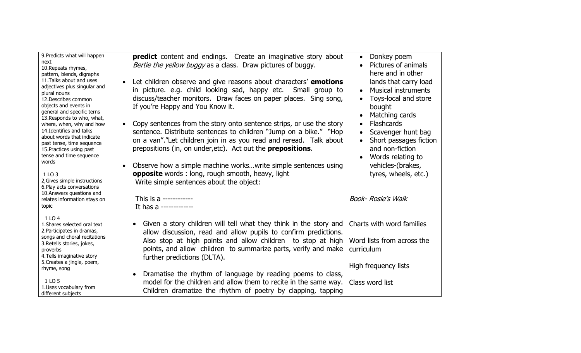| 9. Predicts what will happen<br>next<br>10. Repeats rhymes,<br>pattern, blends, digraphs<br>11. Talks about and uses<br>adjectives plus singular and<br>plural nouns<br>12. Describes common<br>objects and events in<br>general and specific terns<br>13. Responds to who, what,<br>where, when, why and how<br>14. Identifies and talks<br>about words that indicate<br>past tense, time sequence<br>15. Practices using past<br>tense and time sequence<br>words<br>1 LO 3<br>2, Gives simple instructions<br>6. Play acts conversations | <b>predict</b> content and endings. Create an imaginative story about<br><i>Bertie the yellow buggy</i> as a class. Draw pictures of buggy.<br>Let children observe and give reasons about characters' emotions<br>in picture. e.g. child looking sad, happy etc.<br>Small group to<br>discuss/teacher monitors. Draw faces on paper places. Sing song,<br>If you're Happy and You Know it.<br>Copy sentences from the story onto sentence strips, or use the story<br>sentence. Distribute sentences to children "Jump on a bike." "Hop<br>on a van". "Let children join in as you read and reread. Talk about<br>prepositions (in, on under, etc). Act out the <b>prepositions</b> .<br>Observe how a simple machine works write simple sentences using<br><b>opposite</b> words: long, rough smooth, heavy, light<br>Write simple sentences about the object: | Donkey poem<br>$\bullet$<br>Pictures of animals<br>$\bullet$<br>here and in other<br>lands that carry load<br><b>Musical instruments</b><br>Toys-local and store<br>bought<br>Matching cards<br><b>Flashcards</b><br>$\bullet$<br>Scavenger hunt bag<br>Short passages fiction<br>$\bullet$<br>and non-fiction<br>Words relating to<br>vehicles-(brakes,<br>tyres, wheels, etc.) |
|---------------------------------------------------------------------------------------------------------------------------------------------------------------------------------------------------------------------------------------------------------------------------------------------------------------------------------------------------------------------------------------------------------------------------------------------------------------------------------------------------------------------------------------------|------------------------------------------------------------------------------------------------------------------------------------------------------------------------------------------------------------------------------------------------------------------------------------------------------------------------------------------------------------------------------------------------------------------------------------------------------------------------------------------------------------------------------------------------------------------------------------------------------------------------------------------------------------------------------------------------------------------------------------------------------------------------------------------------------------------------------------------------------------------|----------------------------------------------------------------------------------------------------------------------------------------------------------------------------------------------------------------------------------------------------------------------------------------------------------------------------------------------------------------------------------|
| 10. Answers questions and<br>relates information stays on<br>topic                                                                                                                                                                                                                                                                                                                                                                                                                                                                          | This is a ------------<br>It has a -------------                                                                                                                                                                                                                                                                                                                                                                                                                                                                                                                                                                                                                                                                                                                                                                                                                 | <b>Book- Rosie's Walk</b>                                                                                                                                                                                                                                                                                                                                                        |
| 1 LO 4<br>1. Shares selected oral text<br>2. Participates in dramas,<br>songs and choral recitations<br>3. Retells stories, jokes,<br>proverbs<br>4. Tells imaginative story<br>5. Creates a jingle, poem,<br>rhyme, song<br>1 LO 5<br>1.Uses vocabulary from                                                                                                                                                                                                                                                                               | • Given a story children will tell what they think in the story and<br>allow discussion, read and allow pupils to confirm predictions.<br>Also stop at high points and allow children to stop at high<br>points, and allow children to summarize parts, verify and make<br>further predictions (DLTA).<br>Dramatise the rhythm of language by reading poems to class,<br>model for the children and allow them to recite in the same way.                                                                                                                                                                                                                                                                                                                                                                                                                        | Charts with word families<br>Word lists from across the<br>curriculum<br>High frequency lists<br>Class word list                                                                                                                                                                                                                                                                 |
| different subjects                                                                                                                                                                                                                                                                                                                                                                                                                                                                                                                          | Children dramatize the rhythm of poetry by clapping, tapping                                                                                                                                                                                                                                                                                                                                                                                                                                                                                                                                                                                                                                                                                                                                                                                                     |                                                                                                                                                                                                                                                                                                                                                                                  |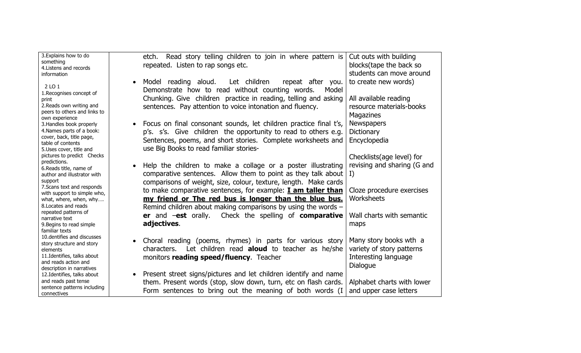| 3. Explains how to do                                     | etch. Read story telling children to join in where pattern is          | Cut outs with building      |
|-----------------------------------------------------------|------------------------------------------------------------------------|-----------------------------|
| something<br>4. Listens and records                       | repeated. Listen to rap songs etc.                                     | blocks(tape the back so     |
| information                                               |                                                                        | students can move around    |
|                                                           | Let children<br>repeat after you.<br>Model reading aloud.<br>$\bullet$ | to create new words)        |
| 2 LO 1                                                    | Demonstrate how to read without counting words.<br>Model               |                             |
| 1. Recognises concept of                                  |                                                                        |                             |
| print                                                     | Chunking. Give children practice in reading, telling and asking        | All available reading       |
| 2. Reads own writing and<br>peers to others and links to  | sentences. Pay attention to voice intonation and fluency.              | resource materials-books    |
| own experience                                            |                                                                        | <b>Magazines</b>            |
| 3. Handles book properly                                  | Focus on final consonant sounds, let children practice final t's,      | <b>Newspapers</b>           |
| 4. Names parts of a book:                                 | p's. s's. Give children the opportunity to read to others e.g.         | <b>Dictionary</b>           |
| cover, back, title page,                                  | Sentences, poems, and short stories. Complete worksheets and           | Encyclopedia                |
| table of contents<br>5.Uses cover, title and              | use Big Books to read familiar stories-                                |                             |
| pictures to predict Checks                                |                                                                        | Checklists(age level) for   |
| predictions.                                              |                                                                        |                             |
| 6. Reads title, name of                                   | Help the children to make a collage or a poster illustrating           | revising and sharing (G and |
| author and illustrator with                               | comparative sentences. Allow them to point as they talk about $  I$ )  |                             |
| support                                                   | comparisons of weight, size, colour, texture, length. Make cards       |                             |
| 7. Scans text and responds<br>with support to simple who, | to make comparative sentences, for example: <b>I am taller than</b>    | Cloze procedure exercises   |
| what, where, when, why                                    | my friend or The red bus is longer than the blue bus.                  | Worksheets                  |
| 8. Locates and reads                                      | Remind children about making comparisons by using the words -          |                             |
| repeated patterns of                                      | Check the spelling of <b>comparative</b><br>er and $-est$ orally.      | Wall charts with semantic   |
| narrative text                                            | adjectives.                                                            | maps                        |
| 9. Begins to read simple<br>familiar texts                |                                                                        |                             |
| 10. dentifies and discusses                               |                                                                        |                             |
| story structure and story                                 | Choral reading (poems, rhymes) in parts for various story              | Many story books wth a      |
| elements                                                  | Let children read aloud to teacher as he/she<br>characters.            | variety of story patterns   |
| 11. Identifies, talks about                               | monitors reading speed/fluency. Teacher                                | Interesting language        |
| and reads action and<br>description in narratives         |                                                                        | Dialogue                    |
| 12. Identifies, talks about                               | Present street signs/pictures and let children identify and name       |                             |
| and reads past tense                                      | them. Present words (stop, slow down, turn, etc on flash cards.        | Alphabet charts with lower  |
| sentence patterns including                               | Form sentences to bring out the meaning of both words (I               | and upper case letters      |
| connectives                                               |                                                                        |                             |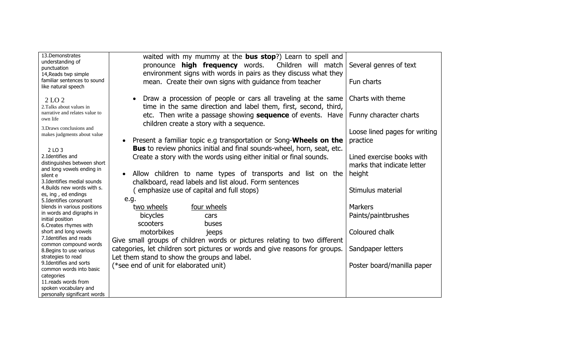| 13.Demonstrates<br>understanding of<br>punctuation                         | waited with my mummy at the <b>bus stop</b> ?) Learn to spell and<br>Children will match<br>pronounce <b>high frequency</b> words.                        | Several genres of text                                  |
|----------------------------------------------------------------------------|-----------------------------------------------------------------------------------------------------------------------------------------------------------|---------------------------------------------------------|
| 14, Reads twp simple<br>familiar sentences to sound<br>like natural speech | environment signs with words in pairs as they discuss what they<br>mean. Create their own signs with guidance from teacher                                | Fun charts                                              |
| 2 LO 2<br>2. Talks about values in                                         | Draw a procession of people or cars all traveling at the same<br>time in the same direction and label them, first, second, third,                         | Charts with theme                                       |
| narrative and relates value to<br>own life                                 | etc. Then write a passage showing <b>sequence</b> of events. Have<br>children create a story with a sequence.                                             | Funny character charts                                  |
| 3. Draws conclusions and<br>makes judgments about value                    | Present a familiar topic e.g transportation or Song- <b>Wheels on the</b>                                                                                 | Loose lined pages for writing<br>practice               |
| 2 LO 3                                                                     | <b>Bus</b> to review phonics initial and final sounds-wheel, horn, seat, etc.                                                                             |                                                         |
| 2.Identifies and<br>distinguishes between short                            | Create a story with the words using either initial or final sounds.                                                                                       | Lined exercise books with<br>marks that indicate letter |
| and long vowels ending in<br>silent e                                      | Allow children to name types of transports and list on the                                                                                                | height                                                  |
| 3. Identifies medial sounds<br>4. Builds new words with s.                 | chalkboard, read labels and list aloud. Form sentences                                                                                                    |                                                         |
| es, ing, ed endings                                                        | (emphasize use of capital and full stops)<br>e.g.                                                                                                         | Stimulus material                                       |
| 5. Identifies consonant<br>blends in various positions                     | four wheels<br>two wheels                                                                                                                                 | <b>Markers</b>                                          |
| in words and digraphs in<br>initial position                               | bicycles<br>cars                                                                                                                                          | Paints/paintbrushes                                     |
| 6. Creates rhymes with<br>short and long vowels<br>7. Identifies and reads | scooters<br>buses<br>motorbikes<br>jeeps                                                                                                                  | Coloured chalk                                          |
| common compound words<br>8. Begins to use various                          | Give small groups of children words or pictures relating to two different<br>categories, let children sort pictures or words and give reasons for groups. | Sandpaper letters                                       |
| strategies to read<br>9. Identifies and sorts<br>common words into basic   | Let them stand to show the groups and label.<br>(*see end of unit for elaborated unit)                                                                    | Poster board/manilla paper                              |
| categories<br>11.reads words from                                          |                                                                                                                                                           |                                                         |
| spoken vocabulary and                                                      |                                                                                                                                                           |                                                         |
| personally significant words                                               |                                                                                                                                                           |                                                         |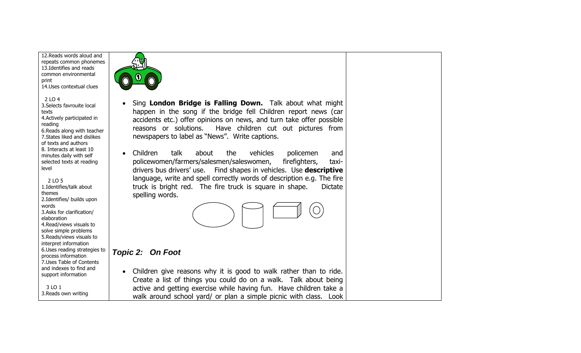12.Reads words aloud and repeats common phonemes 13.Identifies and reads common environmental print 14.Uses contextual clues  $2104$ 3.Selects favrouite local texts 4.Actively participated in reading 6.Reads along with teacher 7.States liked and dislikes of texts and authors 8. Interacts at least 10 minutes daily with self selected texts at reading level 2 LO 5 1.Identifies/talk about themes 2.Identifies/ builds upon words 3.Asks for clarification/ elaboration 4.Read/views visuals to solve simple problems 5.Reads/views visuals to interpret information 6.Uses reading strategies to process information 7.Uses Table of Contents and indexes to find and support information 3 LO 1 3.Reads own writing • Sing **London Bridge is Falling Down.** Talk about what might happen in the song if the bridge fell Children report news (car accidents etc.) offer opinions on news, and turn take offer possible reasons or solutions. Have children cut out pictures from newspapers to label as "News". Write captions. • Children talk about the vehicles policemen and policewomen/farmers/salesmen/saleswomen, firefighters, taxidrivers bus drivers' use. Find shapes in vehicles. Use **descriptive** language, write and spell correctly words of description e.g. The fire truck is bright red. The fire truck is square in shape. Dictate spelling words. *Topic 2: On Foot*  • Children give reasons why it is good to walk rather than to ride. Create a list of things you could do on a walk. Talk about being active and getting exercise while having fun. Have children take a walk around school yard/ or plan a simple picnic with class. Look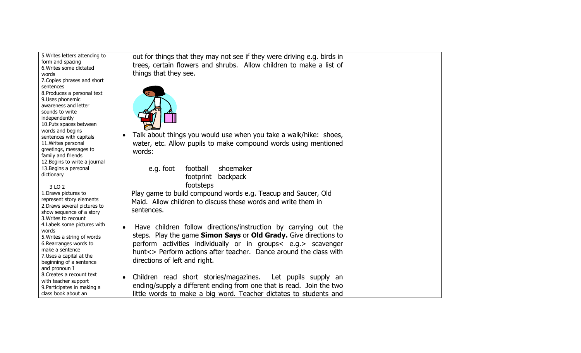| 5. Writes letters attending to<br>form and spacing<br>6. Writes some dictated<br>words<br>7. Copies phrases and short<br>sentences<br>8. Produces a personal text<br>9. Uses phonemic<br>awareness and letter<br>sounds to write<br>independently<br>10. Puts spaces between<br>words and begins<br>sentences with capitals<br>11. Writes personal | out for things that they may not see if they were driving e.g. birds in<br>trees, certain flowers and shrubs. Allow children to make a list of<br>things that they see.<br>Talk about things you would use when you take a walk/hike: shoes,<br>water, etc. Allow pupils to make compound words using mentioned           |  |
|----------------------------------------------------------------------------------------------------------------------------------------------------------------------------------------------------------------------------------------------------------------------------------------------------------------------------------------------------|---------------------------------------------------------------------------------------------------------------------------------------------------------------------------------------------------------------------------------------------------------------------------------------------------------------------------|--|
| greetings, messages to<br>family and friends<br>12. Begins to write a journal                                                                                                                                                                                                                                                                      | words:                                                                                                                                                                                                                                                                                                                    |  |
| 13. Begins a personal<br>dictionary                                                                                                                                                                                                                                                                                                                | football<br>shoemaker<br>e.g. foot<br>backpack<br>footprint<br>footsteps                                                                                                                                                                                                                                                  |  |
| 3 LO 2<br>1. Draws pictures to<br>represent story elements<br>2. Draws several pictures to<br>show sequence of a story<br>3. Writes to recount                                                                                                                                                                                                     | Play game to build compound words e.g. Teacup and Saucer, Old<br>Maid. Allow children to discuss these words and write them in<br>sentences.                                                                                                                                                                              |  |
| 4. Labels some pictures with<br>words<br>5. Writes a string of words<br>6. Rearranges words to<br>make a sentence<br>7. Uses a capital at the<br>beginning of a sentence<br>and pronoun I                                                                                                                                                          | Have children follow directions/instruction by carrying out the<br>$\bullet$<br>steps. Play the game Simon Says or Old Grady. Give directions to<br>perform activities individually or in groups < e.g. > scavenger<br>hunt<> Perform actions after teacher. Dance around the class with<br>directions of left and right. |  |
| 8. Creates a recount text<br>with teacher support<br>9. Participates in making a<br>class book about an                                                                                                                                                                                                                                            | Children read short stories/magazines. Let pupils supply an<br>ending/supply a different ending from one that is read. Join the two<br>little words to make a big word. Teacher dictates to students and                                                                                                                  |  |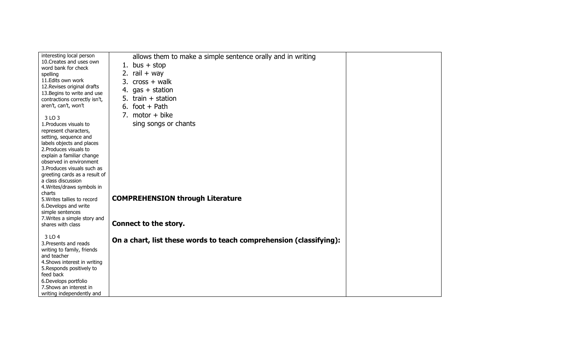| interesting local person                  | allows them to make a simple sentence orally and in writing        |  |
|-------------------------------------------|--------------------------------------------------------------------|--|
| 10. Creates and uses own                  | 1. bus $+$ stop                                                    |  |
| word bank for check                       |                                                                    |  |
| spelling                                  | 2. rail $+$ way                                                    |  |
| 11.Edits own work                         | 3. $cross + walk$                                                  |  |
| 12. Revises original drafts               | 4. $gas + station$                                                 |  |
| 13. Begins to write and use               | train $+$ station<br>5.                                            |  |
| contractions correctly isn't,             |                                                                    |  |
| aren't, can't, won't                      | 6. foot + Path                                                     |  |
| 3 LO 3                                    | 7. motor $+$ bike                                                  |  |
| 1. Produces visuals to                    | sing songs or chants                                               |  |
| represent characters,                     |                                                                    |  |
| setting, sequence and                     |                                                                    |  |
| labels objects and places                 |                                                                    |  |
| 2. Produces visuals to                    |                                                                    |  |
| explain a familiar change                 |                                                                    |  |
| observed in environment                   |                                                                    |  |
| 3. Produces visuals such as               |                                                                    |  |
| greeting cards as a result of             |                                                                    |  |
| a class discussion                        |                                                                    |  |
| 4. Writes/draws symbols in                |                                                                    |  |
| charts                                    | <b>COMPREHENSION through Literature</b>                            |  |
| 5. Writes tallies to record               |                                                                    |  |
| 6. Develops and write<br>simple sentences |                                                                    |  |
| 7. Writes a simple story and              |                                                                    |  |
| shares with class                         | Connect to the story.                                              |  |
|                                           |                                                                    |  |
| 3 LO 4                                    |                                                                    |  |
| 3. Presents and reads                     | On a chart, list these words to teach comprehension (classifying): |  |
| writing to family, friends                |                                                                    |  |
| and teacher                               |                                                                    |  |
| 4. Shows interest in writing              |                                                                    |  |
| 5. Responds positively to                 |                                                                    |  |
| feed back                                 |                                                                    |  |
| 6. Develops portfolio                     |                                                                    |  |
| 7. Shows an interest in                   |                                                                    |  |
| writing independently and                 |                                                                    |  |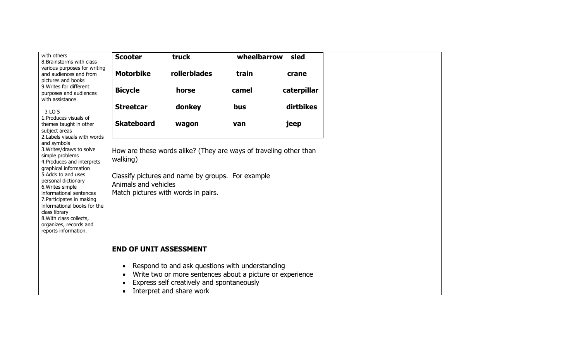| with others<br>8. Brainstorms with class    | <b>Scooter</b>                | truck                                                             | wheelbarrow | sled        |
|---------------------------------------------|-------------------------------|-------------------------------------------------------------------|-------------|-------------|
| various purposes for writing                |                               |                                                                   |             |             |
| and audiences and from                      | <b>Motorbike</b>              | rollerblades                                                      | train       | crane       |
| pictures and books                          |                               |                                                                   |             |             |
| 9. Writes for different                     | <b>Bicycle</b>                | horse                                                             | camel       | caterpillar |
| purposes and audiences<br>with assistance   |                               |                                                                   |             |             |
|                                             | <b>Streetcar</b>              |                                                                   | bus         | dirtbikes   |
| 3 LO 5                                      |                               | donkey                                                            |             |             |
| 1. Produces visuals of                      |                               |                                                                   |             |             |
| themes taught in other                      | <b>Skateboard</b>             | wagon                                                             | van         | jeep        |
| subject areas                               |                               |                                                                   |             |             |
| 2. Labels visuals with words<br>and symbols |                               |                                                                   |             |             |
| 3. Writes/draws to solve                    |                               | How are these words alike? (They are ways of traveling other than |             |             |
| simple problems                             |                               |                                                                   |             |             |
| 4. Produces and interprets                  | walking)                      |                                                                   |             |             |
| graphical information<br>5.Adds to and uses |                               |                                                                   |             |             |
| personal dictionary                         |                               | Classify pictures and name by groups. For example                 |             |             |
| 6. Writes simple                            | Animals and vehicles          |                                                                   |             |             |
| informational sentences                     |                               | Match pictures with words in pairs.                               |             |             |
| 7. Participates in making                   |                               |                                                                   |             |             |
| informational books for the                 |                               |                                                                   |             |             |
| class library<br>8. With class collects,    |                               |                                                                   |             |             |
| organizes, records and                      |                               |                                                                   |             |             |
| reports information.                        |                               |                                                                   |             |             |
|                                             |                               |                                                                   |             |             |
|                                             | <b>END OF UNIT ASSESSMENT</b> |                                                                   |             |             |
|                                             |                               |                                                                   |             |             |
|                                             |                               | Respond to and ask questions with understanding                   |             |             |
|                                             |                               | Write two or more sentences about a picture or experience         |             |             |
|                                             |                               |                                                                   |             |             |
|                                             |                               | Express self creatively and spontaneously                         |             |             |
|                                             |                               | Interpret and share work                                          |             |             |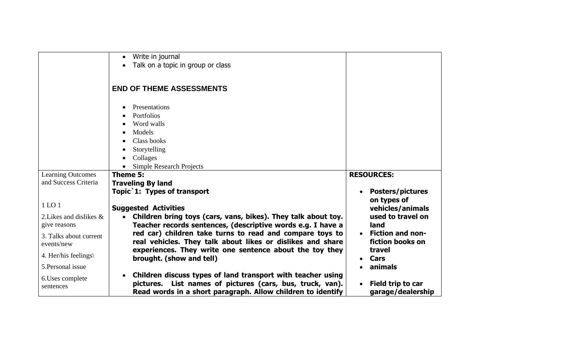|                                                                 | Write in journal<br>$\bullet$<br>Talk on a topic in group or class                                                                                                                      |                                                              |
|-----------------------------------------------------------------|-----------------------------------------------------------------------------------------------------------------------------------------------------------------------------------------|--------------------------------------------------------------|
|                                                                 | <b>END OF THEME ASSESSMENTS</b>                                                                                                                                                         |                                                              |
|                                                                 | Presentations<br>Portfolios<br>Word walls<br>Models<br>Class books<br>Storytelling<br>Collages<br><b>Simple Research Projects</b>                                                       |                                                              |
| <b>Learning Outcomes</b>                                        | Theme 5:                                                                                                                                                                                | <b>RESOURCES:</b>                                            |
| and Success Criteria                                            | <b>Traveling By land</b>                                                                                                                                                                |                                                              |
|                                                                 | Topic 1: Types of transport                                                                                                                                                             | <b>Posters/pictures</b>                                      |
| 1 <sub>LO</sub> 1<br>2. Likes and dislikes $\&$<br>give reasons | <b>Suggested Activities</b><br>Children bring toys (cars, vans, bikes). They talk about toy.<br>Teacher records sentences, (descriptive words e.g. I have a                             | on types of<br>vehicles/animals<br>used to travel on<br>land |
| 3. Talks about current<br>events/new                            | red car) children take turns to read and compare toys to<br>real vehicles. They talk about likes or dislikes and share                                                                  | <b>Fiction and non-</b><br>fiction books on                  |
| 4. Her/his feelings $\langle$                                   | experiences. They write one sentence about the toy they<br>brought. (show and tell)                                                                                                     | travel<br>Cars                                               |
| 5. Personal issue                                               |                                                                                                                                                                                         | animals                                                      |
| 6. Uses complete<br>sentences                                   | Children discuss types of land transport with teacher using<br>pictures. List names of pictures (cars, bus, truck, van).<br>Read words in a short paragraph. Allow children to identify | Field trip to car<br>garage/dealership                       |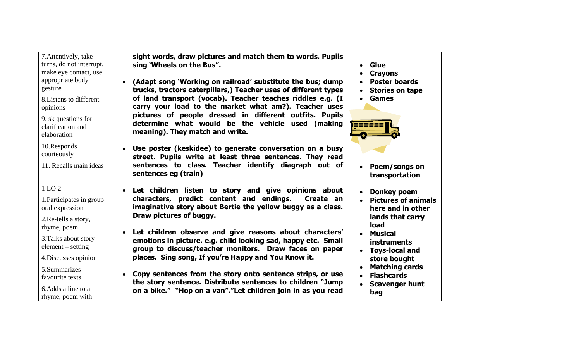| 7. Attentively, take<br>turns, do not interrupt,<br>make eye contact, use<br>appropriate body<br>gesture<br>8. Listens to different<br>opinions<br>9. sk questions for<br>clarification and<br>elaboration | sight words, draw pictures and match them to words. Pupils<br>sing 'Wheels on the Bus".<br>(Adapt song 'Working on railroad' substitute the bus; dump<br>trucks, tractors caterpillars,) Teacher uses of different types<br>of land transport (vocab). Teacher teaches riddles e.g. (I<br>carry your load to the market what am?). Teacher uses<br>pictures of people dressed in different outfits. Pupils<br>determine what would be the vehicle used (making<br>meaning). They match and write. | Glue<br><b>Crayons</b><br>$\bullet$<br><b>Poster boards</b><br><b>Stories on tape</b><br>$\bullet$<br><b>Games</b>                                                                                                             |
|------------------------------------------------------------------------------------------------------------------------------------------------------------------------------------------------------------|---------------------------------------------------------------------------------------------------------------------------------------------------------------------------------------------------------------------------------------------------------------------------------------------------------------------------------------------------------------------------------------------------------------------------------------------------------------------------------------------------|--------------------------------------------------------------------------------------------------------------------------------------------------------------------------------------------------------------------------------|
| 10.Responds<br>courteously<br>11. Recalls main ideas                                                                                                                                                       | Use poster (keskidee) to generate conversation on a busy<br>street. Pupils write at least three sentences. They read<br>sentences to class. Teacher identify diagraph out of<br>sentences eg (train)                                                                                                                                                                                                                                                                                              | Poem/songs on<br>$\bullet$<br>transportation                                                                                                                                                                                   |
| 1 LO 2<br>1. Participates in group<br>oral expression<br>2. Re-tells a story,<br>rhyme, poem<br>3. Talks about story<br>$element - setting$<br>4. Discusses opinion<br>5.Summarizes                        | • Let children listen to story and give opinions about<br>characters, predict content and endings.<br>Create an<br>imaginative story about Bertie the yellow buggy as a class.<br>Draw pictures of buggy.<br>Let children observe and give reasons about characters'<br>emotions in picture. e.g. child looking sad, happy etc. Small<br>group to discuss/teacher monitors. Draw faces on paper<br>places. Sing song, If you're Happy and You Know it.                                            | Donkey poem<br><b>Pictures of animals</b><br>$\bullet$<br>here and in other<br>lands that carry<br>load<br><b>Musical</b><br>$\bullet$<br><b>instruments</b><br><b>Toys-local and</b><br>store bought<br><b>Matching cards</b> |
| favourite texts<br>6. Adds a line to a<br>rhyme, poem with                                                                                                                                                 | Copy sentences from the story onto sentence strips, or use<br>the story sentence. Distribute sentences to children "Jump<br>on a bike." "Hop on a van"."Let children join in as you read                                                                                                                                                                                                                                                                                                          | <b>Flashcards</b><br>$\bullet$<br>• Scavenger hunt<br>bag                                                                                                                                                                      |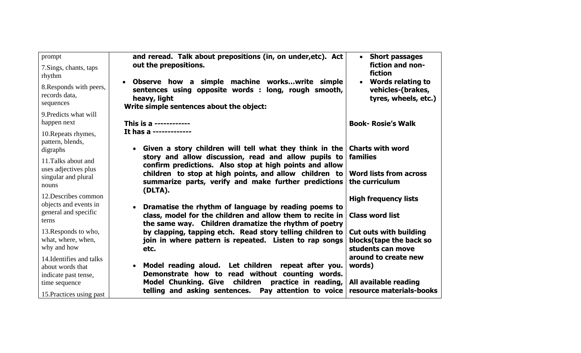| prompt                                                    | and reread. Talk about prepositions (in, on under, etc). Act                                                                                                                    | <b>Short passages</b><br>$\bullet$                                                 |
|-----------------------------------------------------------|---------------------------------------------------------------------------------------------------------------------------------------------------------------------------------|------------------------------------------------------------------------------------|
| 7. Sings, chants, taps<br>rhythm                          | out the prepositions.                                                                                                                                                           | fiction and non-<br>fiction                                                        |
| 8. Responds with peers,<br>records data,<br>sequences     | Observe how a simple machine workswrite simple<br>$\bullet$<br>sentences using opposite words : long, rough smooth,<br>heavy, light<br>Write simple sentences about the object: | <b>Words relating to</b><br>$\bullet$<br>vehicles-(brakes,<br>tyres, wheels, etc.) |
| 9. Predicts what will<br>happen next                      | This is a ------------                                                                                                                                                          | <b>Book- Rosie's Walk</b>                                                          |
| 10. Repeats rhymes,<br>pattern, blends,                   | It has a -------------                                                                                                                                                          |                                                                                    |
| digraphs                                                  | • Given a story children will tell what they think in the                                                                                                                       | <b>Charts with word</b><br>families                                                |
| 11. Talks about and                                       | story and allow discussion, read and allow pupils to<br>confirm predictions. Also stop at high points and allow                                                                 |                                                                                    |
| uses adjectives plus                                      | children to stop at high points, and allow children to                                                                                                                          | <b>Word lists from across</b>                                                      |
| singular and plural                                       | summarize parts, verify and make further predictions                                                                                                                            | the curriculum                                                                     |
| nouns                                                     | (DLTA).                                                                                                                                                                         |                                                                                    |
| 12. Describes common                                      |                                                                                                                                                                                 | <b>High frequency lists</b>                                                        |
| objects and events in                                     | Dramatise the rhythm of language by reading poems to<br>$\bullet$                                                                                                               |                                                                                    |
| general and specific<br>terns                             | class, model for the children and allow them to recite in<br>the same way. Children dramatize the rhythm of poetry                                                              | <b>Class word list</b>                                                             |
| 13. Responds to who,<br>what, where, when,<br>why and how | by clapping, tapping etch. Read story telling children to<br>join in where pattern is repeated. Listen to rap songs<br>etc.                                                     | <b>Cut outs with building</b><br>blocks(tape the back so<br>students can move      |
| 14. Identifies and talks<br>about words that              | Model reading aloud. Let children repeat after you.<br>$\bullet$                                                                                                                | around to create new<br>words)                                                     |
| indicate past tense,<br>time sequence                     | Demonstrate how to read without counting words.<br><b>Model Chunking. Give</b><br>children<br>practice in reading,                                                              | All available reading                                                              |
| 15. Practices using past                                  | telling and asking sentences. Pay attention to voice                                                                                                                            | resource materials-books                                                           |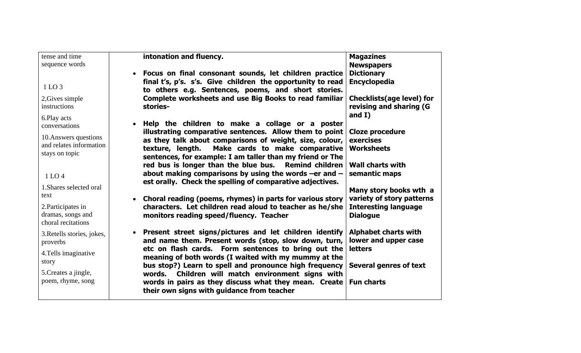| tense and time             | intonation and fluency.                                     | <b>Magazines</b>                 |
|----------------------------|-------------------------------------------------------------|----------------------------------|
| sequence words             |                                                             | <b>Newspapers</b>                |
|                            | Focus on final consonant sounds, let children practice      | <b>Dictionary</b>                |
|                            | final t's, p's. s's. Give children the opportunity to read  | Encyclopedia                     |
| 1 LO 3                     | to others e.g. Sentences, poems, and short stories.         |                                  |
| 2, Gives simple            | Complete worksheets and use Big Books to read familiar      | <b>Checklists(age level) for</b> |
| instructions               | stories-                                                    | revising and sharing (G          |
| 6.Play acts                |                                                             | and $I)$                         |
| conversations              | Help the children to make a collage or a poster             |                                  |
|                            | illustrating comparative sentences. Allow them to point     | <b>Cloze procedure</b>           |
| 10. Answers questions      | as they talk about comparisons of weight, size, colour,     | exercises                        |
| and relates information    | texture, length. Make cards to make comparative             | <b>Worksheets</b>                |
| stays on topic             | sentences, for example: I am taller than my friend or The   |                                  |
|                            | red bus is longer than the blue bus. Remind children        | <b>Wall charts with</b>          |
| 1 LO 4                     | about making comparisons by using the words -er and $-$     | semantic maps                    |
|                            | est orally. Check the spelling of comparative adjectives.   |                                  |
| 1. Shares selected oral    |                                                             | Many story books wth a           |
| text                       | • Choral reading (poems, rhymes) in parts for various story | variety of story patterns        |
| 2. Participates in         | characters. Let children read aloud to teacher as he/she    | <b>Interesting language</b>      |
| dramas, songs and          | monitors reading speed/fluency. Teacher                     | <b>Dialogue</b>                  |
| choral recitations         |                                                             |                                  |
| 3. Retells stories, jokes, | • Present street signs/pictures and let children identify   | <b>Alphabet charts with</b>      |
| proverbs                   | and name them. Present words (stop, slow down, turn,        | lower and upper case             |
|                            | etc on flash cards. Form sentences to bring out the         | <b>letters</b>                   |
| 4. Tells imaginative       | meaning of both words (I waited with my mummy at the        |                                  |
| story                      | bus stop?) Learn to spell and pronounce high frequency      | <b>Several genres of text</b>    |
| 5. Creates a jingle,       | words. Children will match environment signs with           |                                  |
| poem, rhyme, song          | words in pairs as they discuss what they mean. Create       | <b>Fun charts</b>                |
|                            | their own signs with guidance from teacher                  |                                  |
|                            |                                                             |                                  |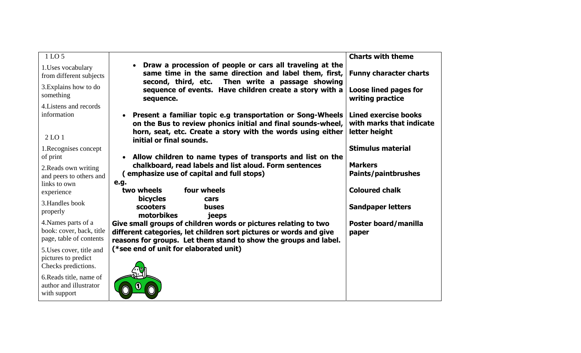| 1 LO 5                                        |                                                                                                                                                                        | <b>Charts with theme</b>                                |
|-----------------------------------------------|------------------------------------------------------------------------------------------------------------------------------------------------------------------------|---------------------------------------------------------|
| 1. Uses vocabulary<br>from different subjects | Draw a procession of people or cars all traveling at the<br>same time in the same direction and label them, first,<br>second, third, etc. Then write a passage showing | <b>Funny character charts</b>                           |
| 3. Explains how to do<br>something            | sequence of events. Have children create a story with a<br>sequence.                                                                                                   | Loose lined pages for<br>writing practice               |
| 4. Listens and records                        |                                                                                                                                                                        |                                                         |
| information                                   | Present a familiar topic e.g transportation or Song-Wheels<br>on the Bus to review phonics initial and final sounds-wheel,                                             | <b>Lined exercise books</b><br>with marks that indicate |
| 2 <sub>LO</sub> 1                             | horn, seat, etc. Create a story with the words using either<br>initial or final sounds.                                                                                | letter height                                           |
| 1. Recognises concept                         |                                                                                                                                                                        | <b>Stimulus material</b>                                |
| of print                                      | Allow children to name types of transports and list on the                                                                                                             |                                                         |
| 2. Reads own writing                          | chalkboard, read labels and list aloud. Form sentences                                                                                                                 | <b>Markers</b>                                          |
| and peers to others and                       | emphasize use of capital and full stops)                                                                                                                               | <b>Paints/paintbrushes</b>                              |
| links to own                                  | e.g.                                                                                                                                                                   |                                                         |
| experience                                    | two wheels<br>four wheels                                                                                                                                              | <b>Coloured chalk</b>                                   |
| 3. Handles book                               | <b>bicycles</b><br>cars                                                                                                                                                |                                                         |
| properly                                      | scooters<br>buses<br>motorbikes                                                                                                                                        | <b>Sandpaper letters</b>                                |
| 4. Names parts of a                           | jeeps<br>Give small groups of children words or pictures relating to two                                                                                               | Poster board/manilla                                    |
| book: cover, back, title                      | different categories, let children sort pictures or words and give                                                                                                     | paper                                                   |
| page, table of contents                       | reasons for groups. Let them stand to show the groups and label.                                                                                                       |                                                         |
| 5. Uses cover, title and                      | (*see end of unit for elaborated unit)                                                                                                                                 |                                                         |
| pictures to predict                           |                                                                                                                                                                        |                                                         |
| Checks predictions.                           |                                                                                                                                                                        |                                                         |
| 6. Reads title, name of                       |                                                                                                                                                                        |                                                         |
| author and illustrator                        |                                                                                                                                                                        |                                                         |
| with support                                  |                                                                                                                                                                        |                                                         |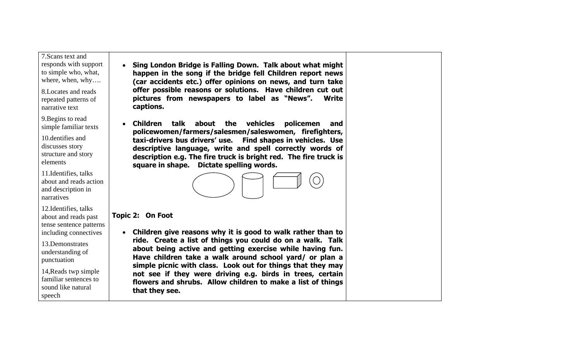7.Scans text and

- responds with support to simple who, what, where, when, why….
- 8.Locates and reads repeated patterns of narrative text

9.Begins to read simple familiar texts

10.dentifies and discusses story structure and story elements

11.Identifies, talks about and reads action and description in narratives

12.Identifies, talks about and reads past tense sentence patterns including connectives

13.Demonstrates understanding of punctuation

14,Reads twp simple familiar sentences to sound like natural speech

- **Sing London Bridge is Falling Down. Talk about what might happen in the song if the bridge fell Children report news (car accidents etc.) offer opinions on news, and turn take offer possible reasons or solutions. Have children cut out pictures from newspapers to label as "News". Write captions.**
- • **Children talk about the vehicles policemen and policewomen/farmers/salesmen/saleswomen, firefighters, taxi-drivers bus drivers' use. Find shapes in vehicles. Use descriptive language, write and spell correctly words of description e.g. The fire truck is bright red. The fire truck is square in shape. Dictate spelling words.**



#### **Topic 2: On Foot**

• **Children give reasons why it is good to walk rather than to ride. Create a list of things you could do on a walk. Talk**  about being active and getting exercise while having fun. **Have children take a walk around school yard/ or plan a simple picnic with class. Look out for things that they may not see if they were driving e.g. birds in trees, certain flowers and shrubs. Allow children to make a list of things that they see.**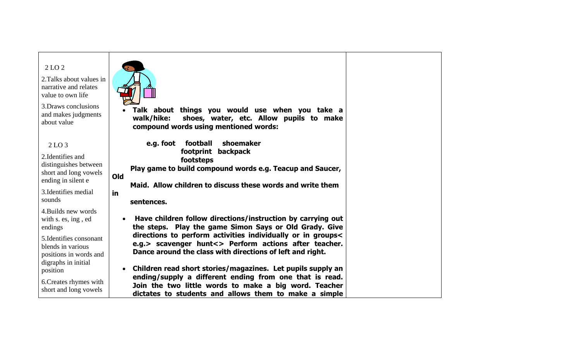| 2 LO 2<br>2. Talks about values in<br>narrative and relates<br>value to own life<br>3. Draws conclusions<br>and makes judgments<br>about value         | Talk about things you would use when you take a<br>walk/hike:<br>shoes, water, etc. Allow pupils to make<br>compound words using mentioned words:                                                                                                                                                          |
|--------------------------------------------------------------------------------------------------------------------------------------------------------|------------------------------------------------------------------------------------------------------------------------------------------------------------------------------------------------------------------------------------------------------------------------------------------------------------|
| 2 <sub>LO</sub> 3<br>2. Identifies and<br>distinguishes between<br>short and long vowels<br>ending in silent e<br>3. Identifies medial<br>sounds       | shoemaker<br>football<br>e.g. foot<br>footprint<br>backpack<br>footsteps<br>Play game to build compound words e.g. Teacup and Saucer,<br>Old<br>Maid. Allow children to discuss these words and write them<br>in<br>sentences.                                                                             |
| 4. Builds new words<br>with s. es, ing, ed<br>endings<br>5. Identifies consonant<br>blends in various<br>positions in words and<br>digraphs in initial | Have children follow directions/instruction by carrying out<br>the steps. Play the game Simon Says or Old Grady. Give<br>directions to perform activities individually or in groups<<br>e.g.> scavenger hunt<> Perform actions after teacher.<br>Dance around the class with directions of left and right. |
| position<br>6. Creates rhymes with<br>short and long vowels                                                                                            | Children read short stories/magazines. Let pupils supply an<br>ending/supply a different ending from one that is read.<br>Join the two little words to make a big word. Teacher<br>dictates to students and allows them to make a simple                                                                   |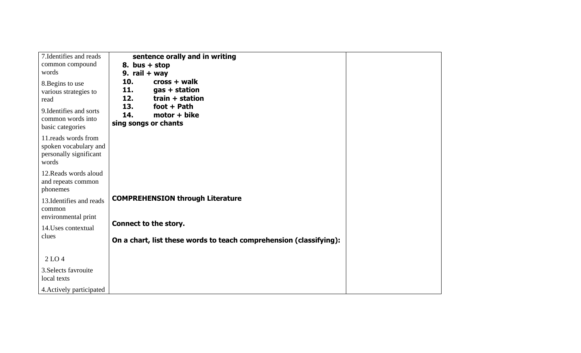| 7. Identifies and reads                                                                                               | sentence orally and in writing                                                                                                                 |
|-----------------------------------------------------------------------------------------------------------------------|------------------------------------------------------------------------------------------------------------------------------------------------|
| common compound                                                                                                       | 8. bus $+$ stop                                                                                                                                |
| words                                                                                                                 | 9. rail $+$ way                                                                                                                                |
| 8. Begins to use<br>various strategies to<br>read<br>9. Identifies and sorts<br>common words into<br>basic categories | 10.<br>cross + walk<br>11.<br>gas + station<br>12.<br>train + station<br>13.<br>foot $+$ Path<br>14.<br>$motor + bike$<br>sing songs or chants |
| 11. reads words from<br>spoken vocabulary and<br>personally significant<br>words                                      |                                                                                                                                                |
| 12. Reads words aloud<br>and repeats common<br>phonemes                                                               |                                                                                                                                                |
| 13. Identifies and reads<br>common                                                                                    | <b>COMPREHENSION through Literature</b>                                                                                                        |
| environmental print                                                                                                   | Connect to the story.                                                                                                                          |
| 14. Uses contextual<br>clues                                                                                          |                                                                                                                                                |
|                                                                                                                       | On a chart, list these words to teach comprehension (classifying):                                                                             |
| 2 <sub>LO</sub> 4                                                                                                     |                                                                                                                                                |
| 3. Selects favrouite<br>local texts                                                                                   |                                                                                                                                                |
| 4. Actively participated                                                                                              |                                                                                                                                                |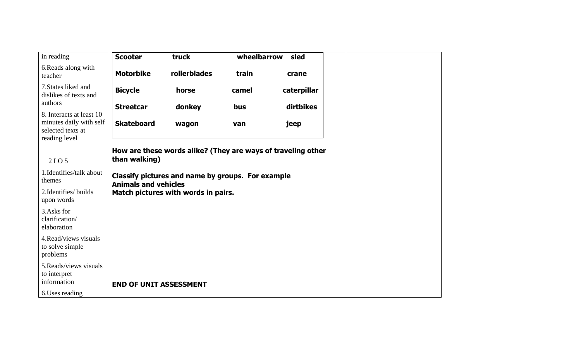| in reading                                                                                | <b>Scooter</b>                                                                   | truck                               | wheelbarrow | sled                                                         |  |
|-------------------------------------------------------------------------------------------|----------------------------------------------------------------------------------|-------------------------------------|-------------|--------------------------------------------------------------|--|
| 6.Reads along with<br>teacher                                                             | <b>Motorbike</b>                                                                 | rollerblades                        | train       | crane                                                        |  |
| 7. States liked and<br>dislikes of texts and                                              | <b>Bicycle</b>                                                                   | horse                               | camel       | caterpillar                                                  |  |
| authors                                                                                   | <b>Streetcar</b>                                                                 | donkey                              | bus         | dirtbikes                                                    |  |
| 8. Interacts at least 10<br>minutes daily with self<br>selected texts at<br>reading level | <b>Skateboard</b>                                                                | wagon                               | van         | jeep                                                         |  |
|                                                                                           |                                                                                  |                                     |             | How are these words alike? (They are ways of traveling other |  |
| 2 LO 5                                                                                    | than walking)                                                                    |                                     |             |                                                              |  |
| 1. Identifies/talk about<br>themes                                                        | Classify pictures and name by groups. For example<br><b>Animals and vehicles</b> |                                     |             |                                                              |  |
| 2. Identifies/ builds<br>upon words                                                       |                                                                                  | Match pictures with words in pairs. |             |                                                              |  |
| 3. Asks for<br>clarification/<br>elaboration                                              |                                                                                  |                                     |             |                                                              |  |
| 4. Read/views visuals<br>to solve simple<br>problems                                      |                                                                                  |                                     |             |                                                              |  |
| 5. Reads/views visuals<br>to interpret<br>information                                     | <b>END OF UNIT ASSESSMENT</b>                                                    |                                     |             |                                                              |  |
| 6. Uses reading                                                                           |                                                                                  |                                     |             |                                                              |  |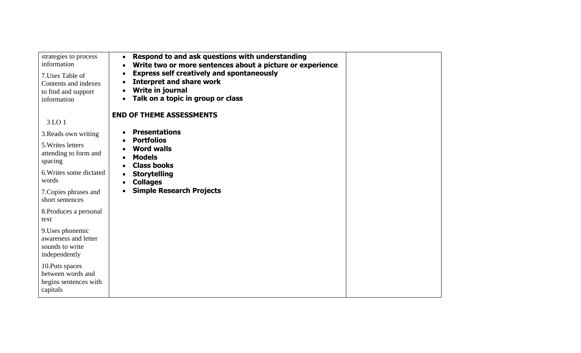| strategies to process<br>information<br>7. Uses Table of<br>Contents and indexes<br>to find and support<br>information | Respond to and ask questions with understanding<br>Write two or more sentences about a picture or experience<br><b>Express self creatively and spontaneously</b><br><b>Interpret and share work</b><br>$\bullet$<br>Write in journal<br>Talk on a topic in group or class<br>$\bullet$ |  |
|------------------------------------------------------------------------------------------------------------------------|----------------------------------------------------------------------------------------------------------------------------------------------------------------------------------------------------------------------------------------------------------------------------------------|--|
| 3 LO 1                                                                                                                 | <b>END OF THEME ASSESSMENTS</b>                                                                                                                                                                                                                                                        |  |
| 3. Reads own writing                                                                                                   | <b>Presentations</b>                                                                                                                                                                                                                                                                   |  |
| 5. Writes letters                                                                                                      | <b>Portfolios</b><br><b>Word walls</b>                                                                                                                                                                                                                                                 |  |
| attending to form and<br>spacing                                                                                       | <b>Models</b><br><b>Class books</b>                                                                                                                                                                                                                                                    |  |
| 6. Writes some dictated<br>words                                                                                       | <b>Storytelling</b><br><b>Collages</b>                                                                                                                                                                                                                                                 |  |
| 7. Copies phrases and<br>short sentences                                                                               | <b>Simple Research Projects</b>                                                                                                                                                                                                                                                        |  |
| 8. Produces a personal<br>text                                                                                         |                                                                                                                                                                                                                                                                                        |  |
| 9. Uses phonemic<br>awareness and letter<br>sounds to write<br>independently                                           |                                                                                                                                                                                                                                                                                        |  |
| 10. Puts spaces<br>between words and<br>begins sentences with<br>capitals                                              |                                                                                                                                                                                                                                                                                        |  |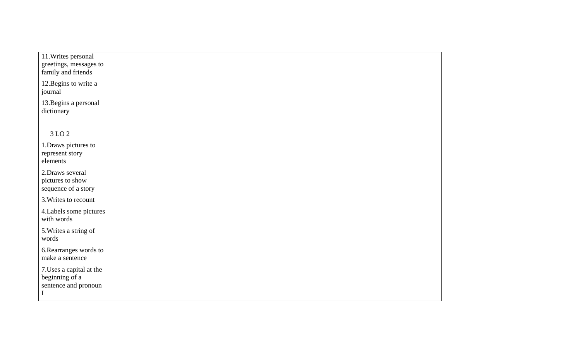| 11. Writes personal<br>greetings, messages to<br>family and friends               |  |
|-----------------------------------------------------------------------------------|--|
| 12. Begins to write a<br>journal                                                  |  |
| 13. Begins a personal<br>dictionary                                               |  |
| 3 LO 2                                                                            |  |
| 1. Draws pictures to<br>represent story<br>elements                               |  |
| 2. Draws several<br>pictures to show<br>sequence of a story                       |  |
| 3. Writes to recount                                                              |  |
| 4. Labels some pictures<br>with words                                             |  |
| 5. Writes a string of<br>words                                                    |  |
| 6. Rearranges words to<br>make a sentence                                         |  |
| 7. Uses a capital at the<br>beginning of a<br>sentence and pronoun<br>$\mathbf I$ |  |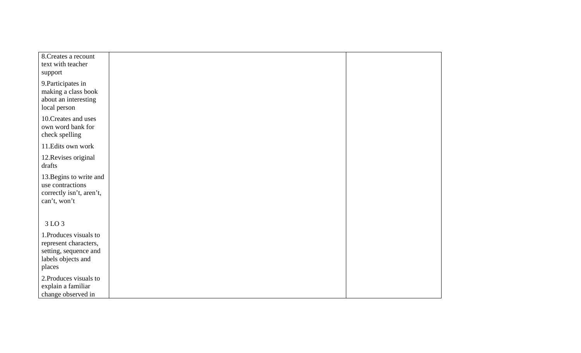| 8. Creates a recount<br>text with teacher<br>support                                                     |  |
|----------------------------------------------------------------------------------------------------------|--|
| 9. Participates in<br>making a class book<br>about an interesting<br>local person                        |  |
| 10. Creates and uses<br>own word bank for<br>check spelling                                              |  |
| 11. Edits own work                                                                                       |  |
| 12. Revises original<br>drafts                                                                           |  |
| 13. Begins to write and<br>use contractions<br>correctly isn't, aren't,<br>can't, won't                  |  |
| 3 LO 3                                                                                                   |  |
| 1. Produces visuals to<br>represent characters,<br>setting, sequence and<br>labels objects and<br>places |  |
| 2. Produces visuals to<br>explain a familiar<br>change observed in                                       |  |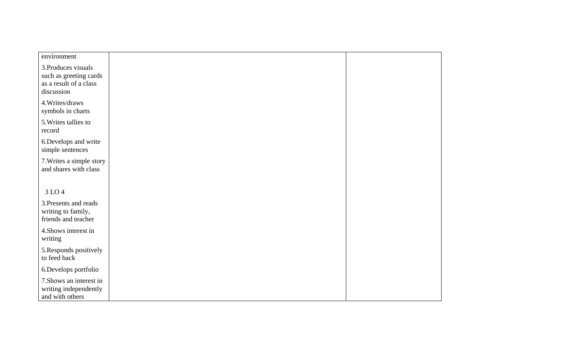| environment                                                                           |  |
|---------------------------------------------------------------------------------------|--|
| 3. Produces visuals<br>such as greeting cards<br>as a result of a class<br>discussion |  |
| 4. Writes/draws<br>symbols in charts                                                  |  |
| 5. Writes tallies to<br>record                                                        |  |
| 6. Develops and write<br>simple sentences                                             |  |
| 7. Writes a simple story<br>and shares with class                                     |  |
|                                                                                       |  |
| 3 LO 4                                                                                |  |
| 3. Presents and reads<br>writing to family,<br>friends and teacher                    |  |
| 4. Shows interest in<br>writing                                                       |  |
| 5. Responds positively<br>to feed back                                                |  |
| 6.Develops portfolio                                                                  |  |
| 7. Shows an interest in<br>writing independently<br>and with others                   |  |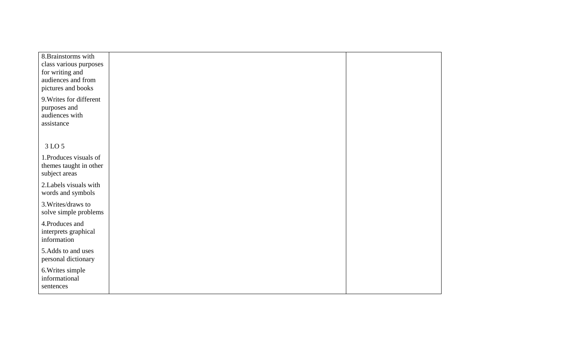| 8. Brainstorms with     |  |
|-------------------------|--|
| class various purposes  |  |
| for writing and         |  |
| audiences and from      |  |
| pictures and books      |  |
|                         |  |
| 9. Writes for different |  |
| purposes and            |  |
| audiences with          |  |
|                         |  |
| assistance              |  |
|                         |  |
|                         |  |
| 3 LO 5                  |  |
| 1. Produces visuals of  |  |
| themes taught in other  |  |
|                         |  |
| subject areas           |  |
| 2. Labels visuals with  |  |
| words and symbols       |  |
|                         |  |
| 3. Writes/draws to      |  |
| solve simple problems   |  |
| 4. Produces and         |  |
|                         |  |
| interprets graphical    |  |
| information             |  |
| 5.Adds to and uses      |  |
| personal dictionary     |  |
|                         |  |
| 6. Writes simple        |  |
| informational           |  |
| sentences               |  |
|                         |  |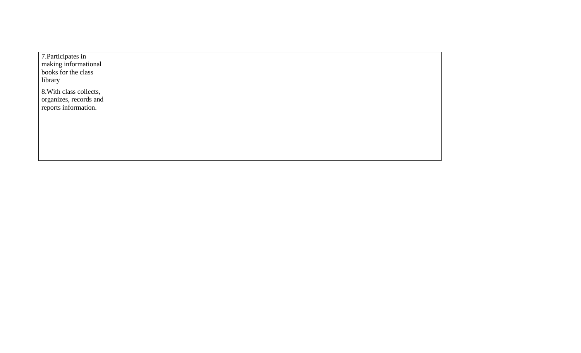| 7. Participates in<br>making informational<br>books for the class<br>library |  |
|------------------------------------------------------------------------------|--|
| 8. With class collects,<br>organizes, records and<br>reports information.    |  |
|                                                                              |  |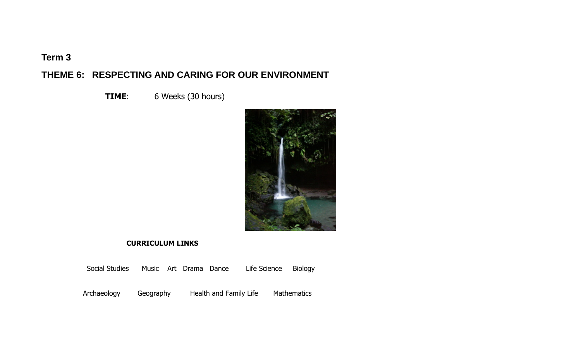## **Term 3**

## **THEME 6: RESPECTING AND CARING FOR OUR ENVIRONMENT**

**TIME**: 6 Weeks (30 hours)



#### **CURRICULUM LINKS**

Social Studies Music Art Drama Dance Life Science Biology

Archaeology Geography Health and Family Life Mathematics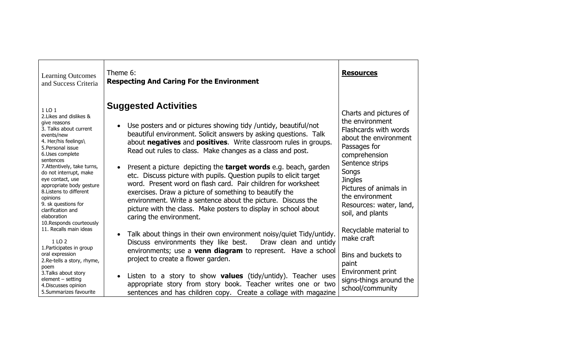| <b>Learning Outcomes</b><br>and Success Criteria                                                                                                                                                                                                                                                                                                                                  | Theme 6:<br><b>Respecting And Caring For the Environment</b>                                                                                                                                                                                                                                                                                                                                                                                                                                                                                                                                                                                                                                                                                 | <b>Resources</b>                                                                                                                                                                                                                                                       |
|-----------------------------------------------------------------------------------------------------------------------------------------------------------------------------------------------------------------------------------------------------------------------------------------------------------------------------------------------------------------------------------|----------------------------------------------------------------------------------------------------------------------------------------------------------------------------------------------------------------------------------------------------------------------------------------------------------------------------------------------------------------------------------------------------------------------------------------------------------------------------------------------------------------------------------------------------------------------------------------------------------------------------------------------------------------------------------------------------------------------------------------------|------------------------------------------------------------------------------------------------------------------------------------------------------------------------------------------------------------------------------------------------------------------------|
| 1 LO 1<br>2. Likes and dislikes &<br>give reasons<br>3. Talks about current<br>events/new<br>4. Her/his feelings\<br>5. Personal issue<br>6.Uses complete<br>sentences<br>7. Attentively, take turns,<br>do not interrupt, make<br>eye contact, use<br>appropriate body gesture<br>8. Listens to different<br>opinions<br>9. sk questions for<br>clarification and<br>elaboration | <b>Suggested Activities</b><br>Use posters and or pictures showing tidy /untidy, beautiful/not<br>beautiful environment. Solicit answers by asking questions. Talk<br>about negatives and positives. Write classroom rules in groups.<br>Read out rules to class. Make changes as a class and post.<br>Present a picture depicting the <b>target words</b> e.g. beach, garden<br>etc. Discuss picture with pupils. Question pupils to elicit target<br>word. Present word on flash card. Pair children for worksheet<br>exercises. Draw a picture of something to beautify the<br>environment. Write a sentence about the picture. Discuss the<br>picture with the class. Make posters to display in school about<br>caring the environment. | Charts and pictures of<br>the environment<br>Flashcards with words<br>about the environment<br>Passages for<br>comprehension<br>Sentence strips<br>Songs<br><b>Jingles</b><br>Pictures of animals in<br>the environment<br>Resources: water, land,<br>soil, and plants |
| 11. Recalls main ideas<br>1 LO 2<br>1. Participates in group<br>oral expression                                                                                                                                                                                                                                                                                                   | Talk about things in their own environment noisy/quiet Tidy/untidy.<br>Discuss environments they like best.<br>Draw clean and untidy<br>environments; use a <b>venn diagram</b> to represent. Have a school                                                                                                                                                                                                                                                                                                                                                                                                                                                                                                                                  | Recyclable material to<br>make craft<br>Bins and buckets to                                                                                                                                                                                                            |
| 2. Re-tells a story, rhyme,<br>poem<br>3. Talks about story<br>$element - setting$<br>4. Discusses opinion<br>5.Summarizes favourite                                                                                                                                                                                                                                              | project to create a flower garden.<br>Listen to a story to show <b>values</b> (tidy/untidy). Teacher uses<br>$\bullet$<br>appropriate story from story book. Teacher writes one or two<br>sentences and has children copy. Create a collage with magazine                                                                                                                                                                                                                                                                                                                                                                                                                                                                                    | paint<br>Environment print<br>signs-things around the<br>school/community                                                                                                                                                                                              |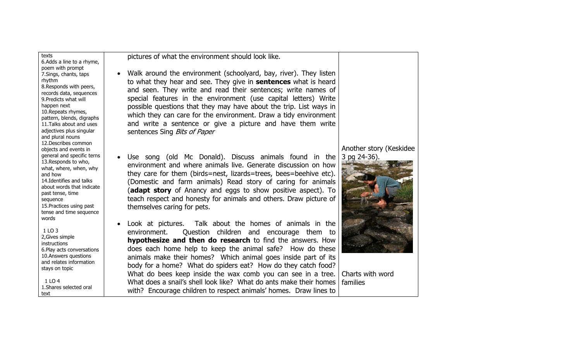texts 6.Adds a line to a rhyme, poem with prompt 7.Sings, chants, taps rhythm 8.Responds with peers, records data, sequences 9.Predicts what will happen next 10.Repeats rhymes, pattern, blends, digraphs 11.Talks about and uses adjectives plus singular and plural nouns 12.Describes common objects and events in general and specific terns 13.Responds to who, what, where, when, why and how 14.Identifies and talks about words that indicate past tense, time sequence 15.Practices using past tense and time sequence words

 $1103$ 2,Gives simple instructions 6.Play acts conversations 10.Answers questions and relates information stays on topic

 $1104$ 1.Shares selected oral text

pictures of what the environment should look like.

- Walk around the environment (schoolyard, bay, river). They listen to what they hear and see. They give in **sentences** what is heard and seen. They write and read their sentences; write names of special features in the environment (use capital letters) Write possible questions that they may have about the trip. List ways in which they can care for the environment. Draw a tidy environment and write a sentence or give a picture and have them write sentences Sing Bits of Paper
- Use song (old Mc Donald). Discuss animals found in the environment and where animals live. Generate discussion on how they care for them (birds=nest, lizards=trees, bees=beehive etc). (Domestic and farm animals) Read story of caring for animals (**adapt story** of Anancy and eggs to show positive aspect). To teach respect and honesty for animals and others. Draw picture of themselves caring for pets.
- Look at pictures. Talk about the homes of animals in the environment. Question children and encourage them to **hypothesize and then do research** to find the answers. How does each home help to keep the animal safe? How do these animals make their homes? Which animal goes inside part of its body for a home? What do spiders eat? How do they catch food? What do bees keep inside the wax comb you can see in a tree. Charts with word What does a snail's shell look like? What do ants make their homes with? Encourage children to respect animals' homes. Draw lines to

#### Another story (Keskidee 3 pg 24-36).



families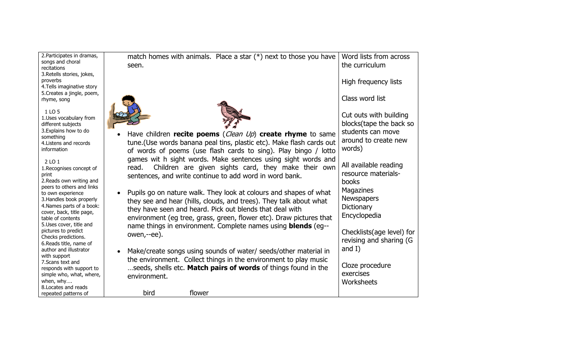| 2. Participates in dramas,        | match homes with animals. Place a star $(*)$ next to those you have   | Word lists from across    |
|-----------------------------------|-----------------------------------------------------------------------|---------------------------|
| songs and choral                  |                                                                       |                           |
| recitations                       | seen.                                                                 | the curriculum            |
| 3. Retells stories, jokes,        |                                                                       |                           |
| proverbs                          |                                                                       | High frequency lists      |
| 4. Tells imaginative story        |                                                                       |                           |
| 5. Creates a jingle, poem,        |                                                                       |                           |
| rhyme, song                       |                                                                       | Class word list           |
|                                   |                                                                       |                           |
| 1 LO 5                            |                                                                       |                           |
| 1.Uses vocabulary from            |                                                                       | Cut outs with building    |
| different subjects                |                                                                       | blocks(tape the back so   |
| 3. Explains how to do             |                                                                       |                           |
| something                         | Have children recite poems (Clean Up) create rhyme to same            | students can move         |
| 4. Listens and records            | tune. (Use words banana peal tins, plastic etc). Make flash cards out | around to create new      |
| information                       |                                                                       | words)                    |
|                                   | of words of poems (use flash cards to sing). Play bingo / lotto       |                           |
| 2 LO 1                            | games wit h sight words. Make sentences using sight words and         |                           |
| 1. Recognises concept of          | Children are given sights card, they make their own<br>read.          | All available reading     |
|                                   |                                                                       | resource materials-       |
| print<br>2. Reads own writing and | sentences, and write continue to add word in word bank.               |                           |
|                                   |                                                                       | <b>books</b>              |
| peers to others and links         | Pupils go on nature walk. They look at colours and shapes of what     | Magazines                 |
| to own experience                 |                                                                       | <b>Newspapers</b>         |
| 3. Handles book properly          | they see and hear (hills, clouds, and trees). They talk about what    |                           |
| 4. Names parts of a book:         | they have seen and heard. Pick out blends that deal with              | Dictionary                |
| cover, back, title page,          |                                                                       | Encyclopedia              |
| table of contents                 | environment (eg tree, grass, green, flower etc). Draw pictures that   |                           |
| 5.Uses cover, title and           | name things in environment. Complete names using <b>blends</b> (eg--  |                           |
| pictures to predict               | owen,--ee).                                                           | Checklists(age level) for |
| Checks predictions.               |                                                                       | revising and sharing (G   |
| 6. Reads title, name of           |                                                                       |                           |
| author and illustrator            | Make/create songs using sounds of water/ seeds/other material in      | and $I$ )                 |
| with support                      | the environment. Collect things in the environment to play music      |                           |
| 7. Scans text and                 |                                                                       | Cloze procedure           |
| responds with support to          | seeds, shells etc. Match pairs of words of things found in the        |                           |
| simple who, what, where,          | environment.                                                          | exercises                 |
| when, why                         |                                                                       | Worksheets                |
| 8. Locates and reads              |                                                                       |                           |
| repeated patterns of              | bird<br>flower                                                        |                           |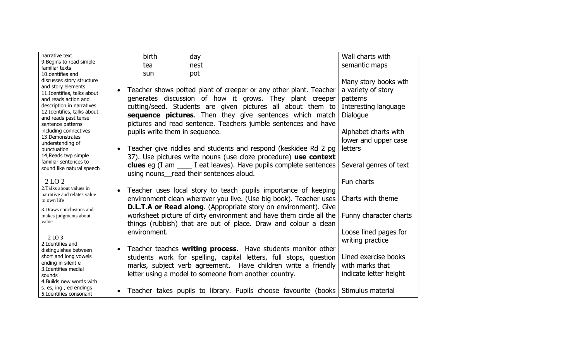| narrative text                                           | birth<br>day                                                                           | Wall charts with       |
|----------------------------------------------------------|----------------------------------------------------------------------------------------|------------------------|
| 9. Begins to read simple                                 | nest<br>tea                                                                            | semantic maps          |
| familiar texts<br>10. dentifies and                      | pot<br>sun                                                                             |                        |
| discusses story structure                                |                                                                                        | Many story books wth   |
| and story elements                                       |                                                                                        |                        |
| 11. Identifies, talks about                              | Teacher shows potted plant of creeper or any other plant. Teacher<br>$\bullet$         | a variety of story     |
| and reads action and                                     | generates discussion of how it grows. They plant creeper                               | patterns               |
| description in narratives<br>12. Identifies, talks about | cutting/seed. Students are given pictures all about them to                            | Interesting language   |
| and reads past tense                                     | <b>sequence pictures.</b> Then they give sentences which match                         | Dialogue               |
| sentence patterns                                        | pictures and read sentence. Teachers jumble sentences and have                         |                        |
| including connectives                                    | pupils write them in sequence.                                                         | Alphabet charts with   |
| 13.Demonstrates                                          |                                                                                        | lower and upper case   |
| understanding of<br>punctuation                          | Teacher give riddles and students and respond (keskidee Rd 2 pg)<br>$\bullet$          | <b>letters</b>         |
| 14, Reads twp simple                                     | 37). Use pictures write nouns (use cloze procedure) use context                        |                        |
| familiar sentences to                                    |                                                                                        |                        |
| sound like natural speech                                | <b>clues</b> eg $(I \text{ am } \_\_\_\$ I eat leaves). Have pupils complete sentences | Several genres of text |
|                                                          | using nouns_read their sentences aloud.                                                |                        |
| 2 LO 2                                                   |                                                                                        | Fun charts             |
| 2. Talks about values in<br>narrative and relates value  | Teacher uses local story to teach pupils importance of keeping<br>$\bullet$            |                        |
| to own life                                              | environment clean wherever you live. (Use big book). Teacher uses                      | Charts with theme      |
| 3. Draws conclusions and                                 | <b>D.L.T.A or Read along.</b> (Appropriate story on environment). Give                 |                        |
| makes judgments about                                    | worksheet picture of dirty environment and have them circle all the                    | Funny character charts |
| value                                                    | things (rubbish) that are out of place. Draw and colour a clean                        |                        |
|                                                          | environment.                                                                           | Loose lined pages for  |
| 2 LO 3                                                   |                                                                                        | writing practice       |
| 2. Identifies and                                        |                                                                                        |                        |
| distinguishes between                                    | Teacher teaches <b>writing process</b> . Have students monitor other<br>$\bullet$      |                        |
| short and long vowels<br>ending in silent e              | students work for spelling, capital letters, full stops, question                      | Lined exercise books   |
| 3. Identifies medial                                     | marks, subject verb agreement. Have children write a friendly                          | with marks that        |
| sounds                                                   | letter using a model to someone from another country.                                  | indicate letter height |
| 4. Builds new words with                                 |                                                                                        |                        |
| s. es, ing, ed endings<br>5.Identifies consonant         | Teacher takes pupils to library. Pupils choose favourite (books<br>$\bullet$           | Stimulus material      |
|                                                          |                                                                                        |                        |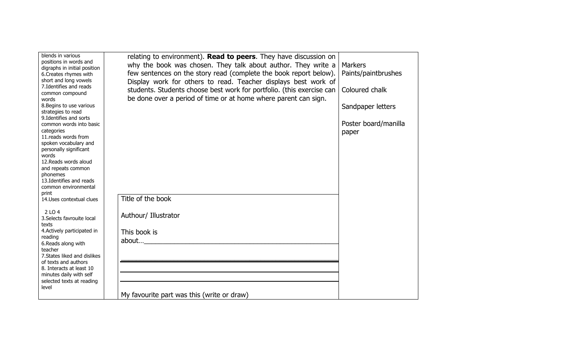| blends in various<br>positions in words and<br>digraphs in initial position<br>6. Creates rhymes with<br>short and long vowels<br>7. Identifies and reads<br>common compound<br>words<br>8. Begins to use various<br>strategies to read<br>9. Identifies and sorts<br>common words into basic<br>categories<br>11.reads words from<br>spoken vocabulary and<br>personally significant<br>words<br>12. Reads words aloud<br>and repeats common<br>phonemes<br>13. Identifies and reads<br>common environmental<br>print<br>14. Uses contextual clues<br>2 LO 4<br>3. Selects favrouite local<br>texts<br>4. Actively participated in | relating to environment). Read to peers. They have discussion on<br>why the book was chosen. They talk about author. They write a<br>few sentences on the story read (complete the book report below).<br>Display work for others to read. Teacher displays best work of<br>students. Students choose best work for portfolio. (this exercise can<br>be done over a period of time or at home where parent can sign.<br>Title of the book<br>Authour/ Illustrator<br>This book is | <b>Markers</b><br>Paints/paintbrushes<br>Coloured chalk<br>Sandpaper letters<br>Poster board/manilla<br>paper |
|-------------------------------------------------------------------------------------------------------------------------------------------------------------------------------------------------------------------------------------------------------------------------------------------------------------------------------------------------------------------------------------------------------------------------------------------------------------------------------------------------------------------------------------------------------------------------------------------------------------------------------------|-----------------------------------------------------------------------------------------------------------------------------------------------------------------------------------------------------------------------------------------------------------------------------------------------------------------------------------------------------------------------------------------------------------------------------------------------------------------------------------|---------------------------------------------------------------------------------------------------------------|
| reading<br>6. Reads along with<br>teacher                                                                                                                                                                                                                                                                                                                                                                                                                                                                                                                                                                                           | about                                                                                                                                                                                                                                                                                                                                                                                                                                                                             |                                                                                                               |
| 7. States liked and dislikes<br>of texts and authors<br>8. Interacts at least 10<br>minutes daily with self<br>selected texts at reading<br>level                                                                                                                                                                                                                                                                                                                                                                                                                                                                                   |                                                                                                                                                                                                                                                                                                                                                                                                                                                                                   |                                                                                                               |
|                                                                                                                                                                                                                                                                                                                                                                                                                                                                                                                                                                                                                                     | My favourite part was this (write or draw)                                                                                                                                                                                                                                                                                                                                                                                                                                        |                                                                                                               |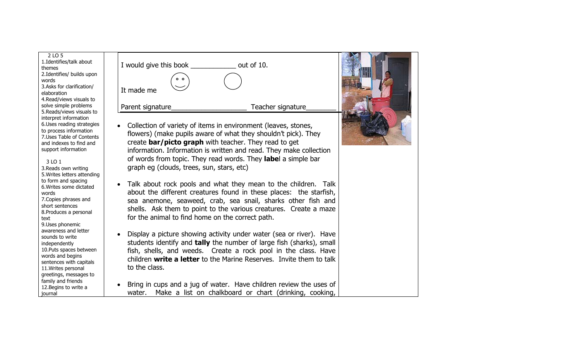2 LO 5 1.Identifies/talk about themes 2.Identifies/ builds upon words 3.Asks for clarification/ elaboration 4.Read/views visuals to solve simple problems 5.Reads/views visuals to interpret information 6.Uses reading strategies to process information 7.Uses Table of Contents and indexes to find and support information

 3 LO 1 3.Reads own writing 5.Writes letters attending to form and spacing 6.Writes some dictated words 7.Copies phrases and short sentences 8.Produces a personal text 9.Uses phonemic awareness and letter sounds to write independently 10.Puts spaces between words and begins sentences with capitals 11.Writes personal greetings, messages to family and friends 12.Begins to write a journal



I would give this book \_\_\_\_\_\_\_\_\_\_\_\_ out of 10.

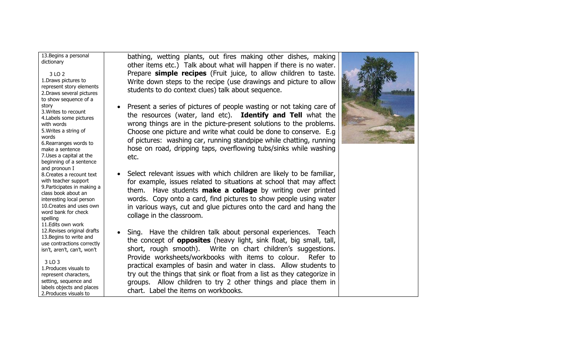13.Begins a personal dictionary

 3 LO 2 1.Draws pictures to represent story elements 2.Draws several pictures to show sequence of a story 3.Writes to recount 4.Labels some pictures with words 5.Writes a string of words 6.Rearranges words to make a sentence 7.Uses a capital at the beginning of a sentence and pronoun I 8.Creates a recount text with teacher support 9.Participates in making a class book about an interesting local person 10.Creates and uses own word bank for check spelling 11.Edits own work 12.Revises original drafts 13.Begins to write and use contractions correctly isn't, aren't, can't, won't

 3 LO 3 1.Produces visuals to represent characters, setting, sequence and labels objects and places 2.Produces visuals to

bathing, wetting plants, out fires making other dishes, making other items etc.) Talk about what will happen if there is no water. Prepare **simple recipes** (Fruit juice, to allow children to taste. Write down steps to the recipe (use drawings and picture to allow students to do context clues) talk about sequence.

- • Present a series of pictures of people wasting or not taking care of the resources (water, land etc). **Identify and Tell** what the wrong things are in the picture-present solutions to the problems. Choose one picture and write what could be done to conserve. E.g of pictures: washing car, running standpipe while chatting, running hose on road, dripping taps, overflowing tubs/sinks while washing etc.
- Select relevant issues with which children are likely to be familiar, for example, issues related to situations at school that may affect them. Have students **make a collage** by writing over printed words. Copy onto a card, find pictures to show people using water in various ways, cut and glue pictures onto the card and hang the collage in the classroom.
- Sing. Have the children talk about personal experiences. Teach the concept of **opposites** (heavy light, sink float, big small, tall, short, rou gh smooth). Write on chart children's suggestions. Provide worksheets/workbooks with items to colour. Refer to practical examples of basin and water in class. Allow students to try out the things that sink or float from a list as they categorize in groups. Allow children to try 2 other things and place them in chart. Label the items on workbooks.

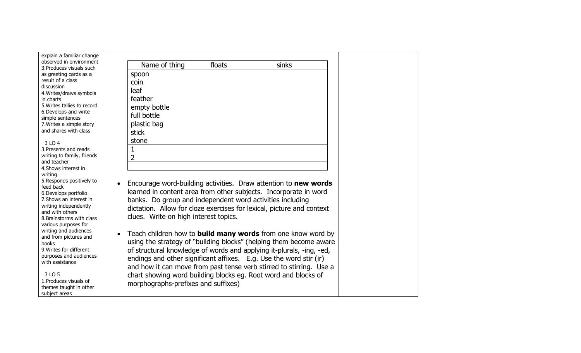| explain a familiar change<br>observed in environment |                                                                       |
|------------------------------------------------------|-----------------------------------------------------------------------|
| 3. Produces visuals such                             | Name of thing<br>floats<br>sinks                                      |
| as greeting cards as a                               | spoon                                                                 |
| result of a class                                    | coin                                                                  |
| discussion                                           | leaf                                                                  |
| 4. Writes/draws symbols<br>in charts                 | feather                                                               |
| 5. Writes tallies to record                          |                                                                       |
| 6. Develops and write                                | empty bottle                                                          |
| simple sentences                                     | full bottle                                                           |
| 7. Writes a simple story                             | plastic bag                                                           |
| and shares with class                                | stick                                                                 |
| 3 LO 4                                               | stone                                                                 |
| 3. Presents and reads                                | $\mathbf 1$                                                           |
| writing to family, friends                           | $\overline{2}$                                                        |
| and teacher                                          |                                                                       |
| 4. Shows interest in                                 |                                                                       |
| writing<br>5. Responds positively to                 |                                                                       |
| feed back                                            | Encourage word-building activities. Draw attention to new words       |
| 6. Develops portfolio                                | learned in content area from other subjects. Incorporate in word      |
| 7. Shows an interest in                              | banks. Do group and independent word activities including             |
| writing independently                                | dictation. Allow for cloze exercises for lexical, picture and context |
| and with others                                      |                                                                       |
| 8. Brainstorms with class                            | clues. Write on high interest topics.                                 |
| various purposes for<br>writing and audiences        |                                                                       |
| and from pictures and                                | Teach children how to <b>build many words</b> from one know word by   |
| books                                                | using the strategy of "building blocks" (helping them become aware    |
| 9. Writes for different                              | of structural knowledge of words and applying it-plurals, -ing, -ed,  |
| purposes and audiences                               | endings and other significant affixes. E.g. Use the word stir (ir)    |
| with assistance                                      | and how it can move from past tense verb stirred to stirring. Use a   |
|                                                      |                                                                       |
| 3 LO 5<br>1. Produces visuals of                     | chart showing word building blocks eg. Root word and blocks of        |
| themes taught in other                               | morphographs-prefixes and suffixes)                                   |
| subject areas                                        |                                                                       |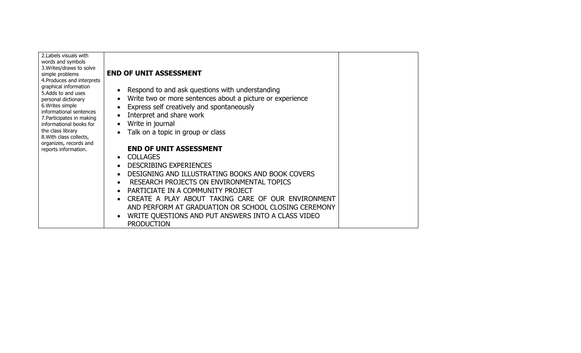| 2. Labels visuals with<br>words and symbols<br>3. Writes/draws to solve<br>simple problems<br>4. Produces and interprets<br>graphical information<br>5.Adds to and uses<br>personal dictionary<br>6. Writes simple<br>informational sentences<br>7. Participates in making<br>informational books for<br>the class library<br>8. With class collects,<br>organizes, records and<br>reports information. | <b>END OF UNIT ASSESSMENT</b><br>Respond to and ask questions with understanding<br>$\bullet$<br>Write two or more sentences about a picture or experience<br>$\bullet$<br>Express self creatively and spontaneously<br>Interpret and share work<br>$\bullet$<br>Write in journal<br>$\bullet$<br>Talk on a topic in group or class<br>$\bullet$<br><b>END OF UNIT ASSESSMENT</b><br><b>COLLAGES</b><br>$\bullet$<br><b>DESCRIBING EXPERIENCES</b><br>$\bullet$<br>DESIGNING AND ILLUSTRATING BOOKS AND BOOK COVERS<br>$\bullet$<br>RESEARCH PROJECTS ON ENVIRONMENTAL TOPICS<br>$\bullet$<br>PARTICIATE IN A COMMUNITY PROJECT<br>$\bullet$<br>CREATE A PLAY ABOUT TAKING CARE OF OUR ENVIRONMENT<br>$\bullet$<br>AND PERFORM AT GRADUATION OR SCHOOL CLOSING CEREMONY<br>WRITE QUESTIONS AND PUT ANSWERS INTO A CLASS VIDEO<br>$\bullet$<br><b>PRODUCTION</b> |  |
|---------------------------------------------------------------------------------------------------------------------------------------------------------------------------------------------------------------------------------------------------------------------------------------------------------------------------------------------------------------------------------------------------------|-----------------------------------------------------------------------------------------------------------------------------------------------------------------------------------------------------------------------------------------------------------------------------------------------------------------------------------------------------------------------------------------------------------------------------------------------------------------------------------------------------------------------------------------------------------------------------------------------------------------------------------------------------------------------------------------------------------------------------------------------------------------------------------------------------------------------------------------------------------------|--|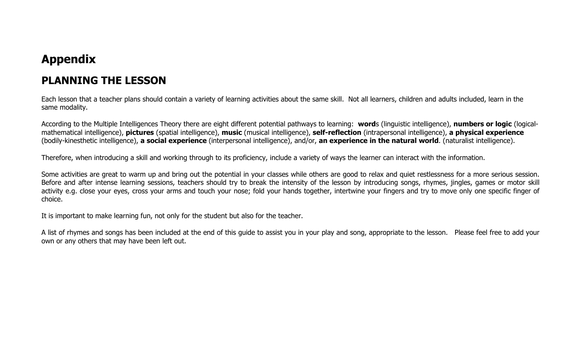# **Appendix**

## **PLANNING THE LESSON**

Each lesson that a teacher plans should contain a variety of learning activities about the same skill. Not all learners, children and adults included, learn in the same modality.

According to the Multiple Intelligences Theory there are eight different potential pathways to learning: **word**s (linguistic intelligence), **numbers or logic** (logicalmathematical intelligence), **pictures** (spatial intelligence), **music** (musical intelligence), **self-reflection** (intrapersonal intelligence), **a physical experience** (bodily-kinesthetic intelligence), **a social experience** (interpersonal intelligence), and/or, **an experience in the natural world**. (naturalist intelligence).

Therefore, when introducing a skill and working through to its proficiency, include a variety of ways the learner can interact with the information.

Some activities are great to warm up and bring out the potential in your classes while others are good to relax and quiet restlessness for a more serious session. Before and after intense learning sessions, teachers should try to break the intensity of the lesson by introducing songs, rhymes, jingles, games or motor skill activity e.g. close your eyes, cross your arms and touch your nose; fold your hands together, intertwine your fingers and try to move only one specific finger of choice.

It is important to make learning fun, not only for the student but also for the teacher.

A list of rhymes and songs has been included at the end of this guide to assist you in your play and song, appropriate to the lesson. Please feel free to add your own or any others that may have been left out.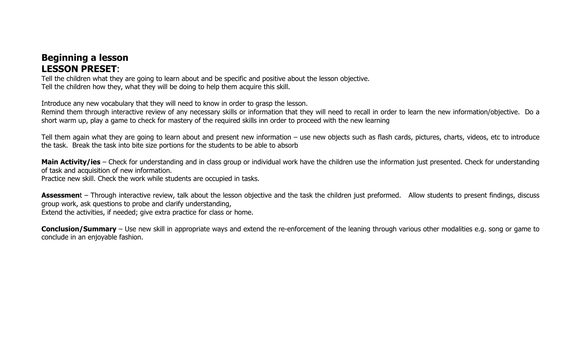## **Beginning a lesson LESSON PRESET**:

Tell the children what they are going to learn about and be specific and positive about the lesson objective. Tell the children how they, what they will be doing to help them acquire this skill.

Introduce any new vocabulary that they will need to know in order to grasp the lesson.

Remind them through interactive review of any necessary skills or information that they will need to recall in order to learn the new information/objective. Do a short warm up, play a game to check for mastery of the required skills inn order to proceed with the new learning

Tell them again what they are going to learn about and present new information – use new objects such as flash cards, pictures, charts, videos, etc to introduce the task. Break the task into bite size portions for the students to be able to absorb

Main Activity/ies – Check for understanding and in class group or individual work have the children use the information just presented. Check for understanding of task and acquisition of new information.

Practice new skill. Check the work while students are occupied in tasks.

Assessment – Through interactive review, talk about the lesson objective and the task the children just preformed. Allow students to present findings, discuss group work, ask questions to probe and clarify understanding, Extend the activities, if needed; give extra practice for class or home.

**Conclusion/Summary** – Use new skill in appropriate ways and extend the re-enforcement of the leaning through various other modalities e.g. song or game to conclude in an enjoyable fashion.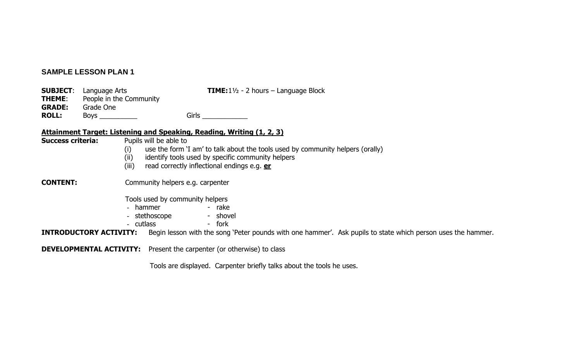#### **SAMPLE LESSON PLAN 1**

|               | <b>SUBJECT:</b> Language Arts | <b>TIME:</b> $1\frac{1}{2}$ - 2 hours – Language Block |
|---------------|-------------------------------|--------------------------------------------------------|
| <b>THEME:</b> | People in the Community       |                                                        |
| <b>GRADE:</b> | Grade One                     |                                                        |
| <b>ROLL:</b>  | Boys ___________              | Girls                                                  |

#### **Attainment Target: Listening and Speaking, Reading, Writing (1, 2, 3)**

| <b>Success criteria:</b>      | Pupils will be able to<br>use the form 'I am' to talk about the tools used by community helpers (orally)<br>(i)<br>(i)<br>identify tools used by specific community helpers<br>(iii)<br>read correctly inflectional endings e.g. er |  |  |
|-------------------------------|-------------------------------------------------------------------------------------------------------------------------------------------------------------------------------------------------------------------------------------|--|--|
| <b>CONTENT:</b>               | Community helpers e.g. carpenter                                                                                                                                                                                                    |  |  |
|                               | Tools used by community helpers<br>- rake<br>- hammer<br>- shovel<br>- stethoscope<br>- cutlass<br>- fork                                                                                                                           |  |  |
| <b>INTRODUCTORY ACTIVITY:</b> | Begin lesson with the song 'Peter pounds with one hammer'. Ask pupils to state which person uses the hammer.                                                                                                                        |  |  |
|                               | <b>DEVELOPMENTAL ACTIVITY:</b> Present the carpenter (or otherwise) to class                                                                                                                                                        |  |  |

Tools are displayed. Carpenter briefly talks about the tools he uses.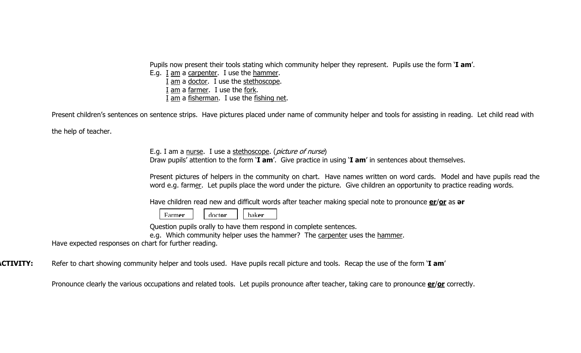Pupils now present their tools stating which community helper they represent. Pupils use the form '**I am**'.

E.g. I am a carpenter. I use the hammer. I am a doctor. I use the stethoscope.

I am a farmer. I use the fork.

I am a fisherman. I use the fishing net.

Present children's sentences on sentence strips. Have pictures placed under name of community helper and tools for assisting in reading. Let child read with

the help of teacher.

E.g. I am a nurse. I use a stethoscope. (*picture of nurse*) Draw pupils' attention to the form '**I am**'. Give practice in using '**I am**' in sentences about themselves.

Present pictures of helpers in the community on chart. Have names written on word cards. Model and have pupils read the word e.g. farmer. Let pupils place the word under the picture. Give children an opportunity to practice reading words.

Have children read new and difficult words after teacher making special note to pronounce **er**/**or** as **ә<sup>r</sup>**

Farm**er**doct**or** baker

Question pupils orally to have them respond in complete sentences.

e.g. Which community helper uses the hammer? The carpenter uses the hammer.

Have expected responses on chart for further reading.

**ACTIVITY:** Refer to chart showing community helper and tools used. Have pupils recall picture and tools. Recap the use of the form '**I am**'

Pronounce clearly the various occupations and related tools. Let pupils pronounce after teacher, taking care to pronounce **er**/**or** correctly.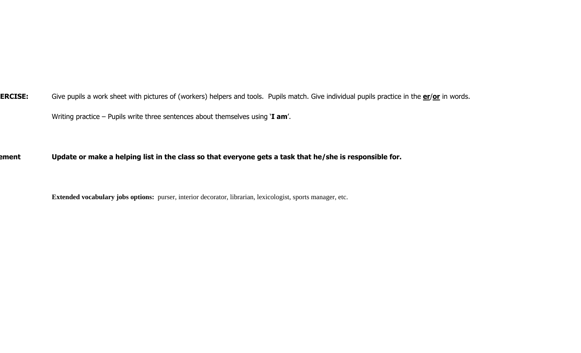**XERCISE:** Give pupils a work sheet with pictures of (workers) helpers and tools. Pupils match. Give individual pupils practice in the **er**/**or** in words. Writing practice – Pupils write three sentences about themselves using '**I am**'.

**ement Update or make a helping list in the class so that everyone gets a task that he/she is responsible for.** 

**Extended vocabulary jobs options:** purser, interior decorator, librarian, lexicologist, sports manager, etc.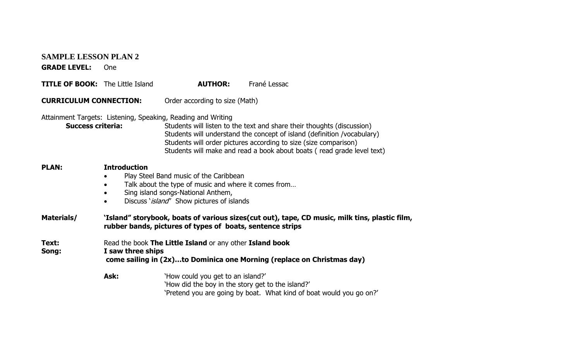#### **SAMPLE LESSON PLAN 2**

**GRADE LEVEL:** One

| <b>TITLE OF BOOK:</b> The Little Island |  | <b>AUTHOR:</b> | Frané Lessac |
|-----------------------------------------|--|----------------|--------------|
|-----------------------------------------|--|----------------|--------------|

**CURRICULUM CONNECTION:** Order according to size (Math)

#### Attainment Targets: Listening, Speaking, Reading and Writing

| <b>Success criteria:</b> | Students will listen to the text and share their thoughts (discussion)  |
|--------------------------|-------------------------------------------------------------------------|
|                          | Students will understand the concept of island (definition /vocabulary) |
|                          | Students will order pictures according to size (size comparison)        |
|                          | Students will make and read a book about boats (read grade level text)  |

#### **PLAN: Introduction**

- $\bullet$ Play Steel Band music of the Caribbean
- •Talk about the type of music and where it comes from…
- •Sing island songs-National Anthem,
- •Discuss '*island'* Show pictures of islands

#### **Materials/ 'Island" storybook, boats of various sizes(cut out), tape, CD music, milk tins, plastic film, rubber bands, pictures of types of boats, sentence strips**

**Text:** Read the book **The Little Island** or any other **Island book** 

#### **Song: I saw three ships**

 **come sailing in (2x)…to Dominica one Morning (replace on Christmas day)** 

Ask: Yhow could you get to an island?' 'How did the boy in the story get to the island?' 'Pretend you are going by boat. What kind of boat would you go on?'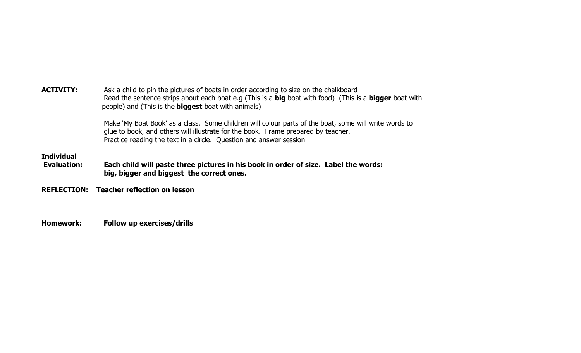| <b>ACTIVITY:</b>                        | Ask a child to pin the pictures of boats in order according to size on the chalkboard<br>Read the sentence strips about each boat e.g (This is a big boat with food) (This is a bigger boat with<br>people) and (This is the <b>biggest</b> boat with animals)   |
|-----------------------------------------|------------------------------------------------------------------------------------------------------------------------------------------------------------------------------------------------------------------------------------------------------------------|
|                                         | Make 'My Boat Book' as a class. Some children will colour parts of the boat, some will write words to<br>glue to book, and others will illustrate for the book. Frame prepared by teacher.<br>Practice reading the text in a circle. Question and answer session |
| <b>Individual</b><br><b>Evaluation:</b> | Each child will paste three pictures in his book in order of size. Label the words:<br>big, bigger and biggest the correct ones.                                                                                                                                 |
| <b>REFLECTION:</b>                      | <b>Teacher reflection on lesson</b>                                                                                                                                                                                                                              |
|                                         |                                                                                                                                                                                                                                                                  |

**Homework: Follow up exercises/drills**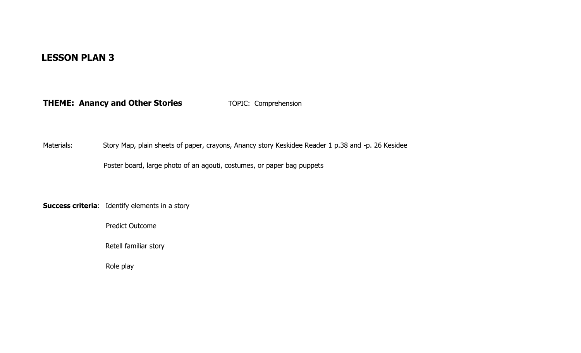### **LESSON PLAN 3**

**THEME: Anancy and Other Stories** TOPIC: Comprehension

Materials: Story Map, plain sheets of paper, crayons, Anancy story Keskidee Reader 1 p.38 and -p. 26 Kesidee

Poster board, large photo of an agouti, costumes, or paper bag puppets

**Success criteria**: Identify elements in a story

Predict Outcome

Retell familiar story

Role play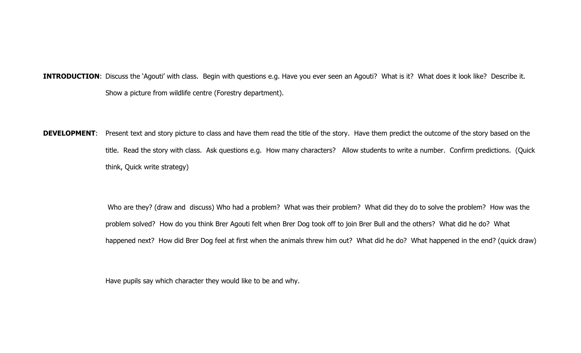**INTRODUCTION**: Discuss the 'Agouti' with class. Begin with questions e.g. Have you ever seen an Agouti? What is it? What does it look like? Describe it. Show a picture from wildlife centre (Forestry department).

**DEVELOPMENT**: Present text and story picture to class and have them read the title of the story. Have them predict the outcome of the story based on the title. Read the story with class. Ask questions e.g. How many characters? Allow students to write a number. Confirm predictions. (Quick think, Quick write strategy)

> Who are they? (draw and discuss) Who had a problem? What was their problem? What did they do to solve the problem? How was the problem solved? How do you think Brer Agouti felt when Brer Dog took off to join Brer Bull and the others? What did he do? What happened next? How did Brer Dog feel at first when the animals threw him out? What did he do? What happened in the end? (quick draw)

Have pupils say which character they would like to be and why.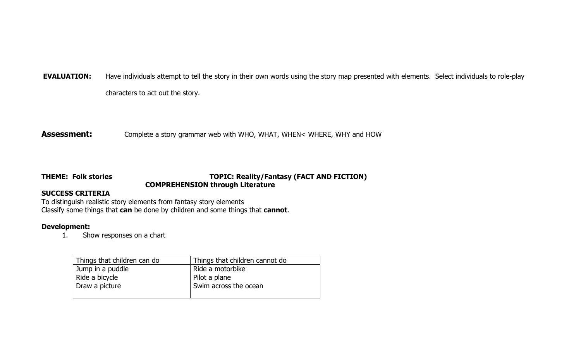**EVALUATION:** Have individuals attempt to tell the story in their own words using the story map presented with elements. Select individuals to role-play

characters to act out the story.

**Assessment:** Complete a story grammar web with WHO, WHAT, WHEN< WHERE, WHY and HOW

# **THEME: Folk stories TOPIC: Reality/Fantasy (FACT AND FICTION) COMPREHENSION through Literature**

# **SUCCESS CRITERIA**

To distinguish realistic story elements from fantasy story elements Classify some things that **can** be done by children and some things that **cannot**.

# **Development:**

1. Show responses on a chart

| Things that children can do | Things that children cannot do |
|-----------------------------|--------------------------------|
| Jump in a puddle            | Ride a motorbike               |
| Ride a bicycle              | Pilot a plane                  |
| Draw a picture              | Swim across the ocean          |
|                             |                                |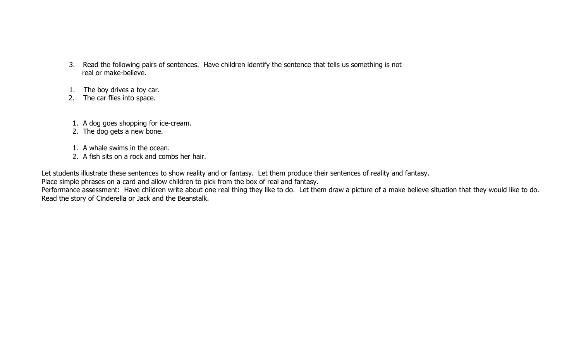- 3. Read the following pairs of sentences. Have children identify the sentence that tells us something is not real or make-believe.
- 1. The boy drives a toy car.
- 2. The car flies into space.
- 1. A dog goes shopping for ice-cream.
- 2. The dog gets a new bone.
- 1. A whale swims in the ocean.
- 2. A fish sits on a rock and combs her hair.

Let students illustrate these sentences to show reality and or fantasy. Let them produce their sentences of reality and fantasy.

Place simple phrases on a card and allow children to pick from the box of real and fantasy.

Performance assessment: Have children write about one real thing they like to do. Let them draw a picture of a make believe situation that they would like to do. Read the story of Cinderella or Jack and the Beanstalk.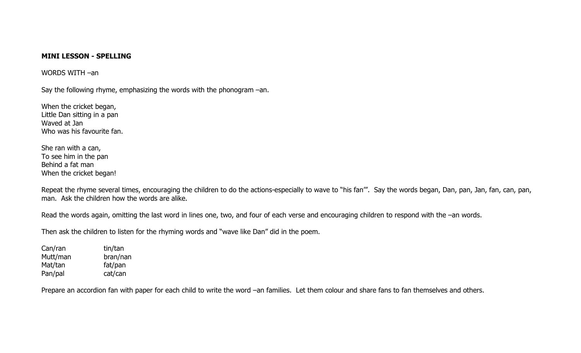### **MINI LESSON - SPELLING**

WORDS WITH –an

Say the following rhyme, emphasizing the words with the phonogram –an.

When the cricket began, Little Dan sitting in a pan Waved at Jan Who was his favourite fan.

She ran with a can, To see him in the pan Behind a fat man When the cricket began!

Repeat the rhyme several times, encouraging the children to do the actions-especially to wave to "his fan". Say the words began, Dan, pan, Jan, fan, can, pan, man. Ask the children how the words are alike.

Read the words again, omitting the last word in lines one, two, and four of each verse and encouraging children to respond with the -an words.

Then ask the children to listen for the rhyming words and "wave like Dan" did in the poem.

Can/ran tin/tan Mutt/man bran/nan Mat/tan fat/pan Pan/pal cat/can

Prepare an accordion fan with paper for each child to write the word –an families. Let them colour and share fans to fan themselves and others.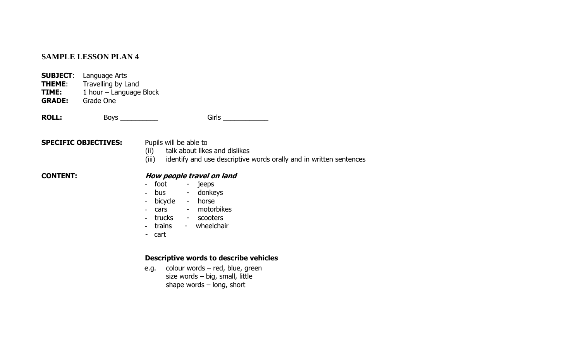# **SAMPLE LESSON PLAN 4**

- **SUBJECT**: Language Arts
- **THEME:** Travelling by Land<br>**TIME:** 1 hour Language
- 1 hour Language Block

**GRADE:** Grade One

**ROLL:** Boys \_\_\_\_\_\_\_\_\_\_ Girls \_\_\_\_\_\_\_\_\_\_\_\_

# **SPECIFIC OBJECTIVES:** Pupils will be able to

- (ii) talk about likes and dislikes
- (iii) identify and use descriptive words orally and in written sentences

#### **CONTENT:**

# **How people travel on land**

- foot - jeeps
- bus - donkeys
- bicycle horse
- cars - motorbikes
- trucks scooters
- trains wheelchair
- cart

### **Descriptive words to describe vehicles**

e.g. colour words – red, blue, green size words – big, small, little shape words – long, short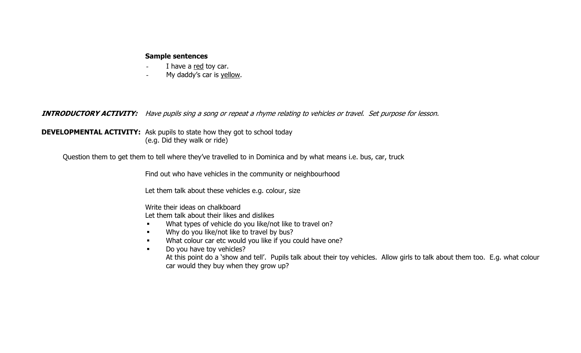#### **Sample sentences**

- I have a red toy car.
- -My daddy's car is yellow.

**INTRODUCTORY ACTIVITY:** Have pupils sing a song or repeat a rhyme relating to vehicles or travel. Set purpose for lesson.

**DEVELOPMENTAL ACTIVITY:** Ask pupils to state how they got to school today (e.g. Did they walk or ride)

Question them to get them to tell where they've travelled to in Dominica and by what means i.e. bus, car, truck

Find out who have vehicles in the community or neighbourhood

Let them talk about these vehicles e.g. colour, size

Write their ideas on chalkboard

Let them talk about their likes and dislikes

- $\blacksquare$ What types of vehicle do you like/not like to travel on?
- $\blacksquare$ Why do you like/not like to travel by bus?
- $\blacksquare$ What colour car etc would you like if you could have one?
- $\blacksquare$  Do you have toy vehicles? At this point do a 'show and tell'. Pupils talk about their toy vehicles. Allow girls to talk about them too. E.g. what colour car would they buy when they grow up?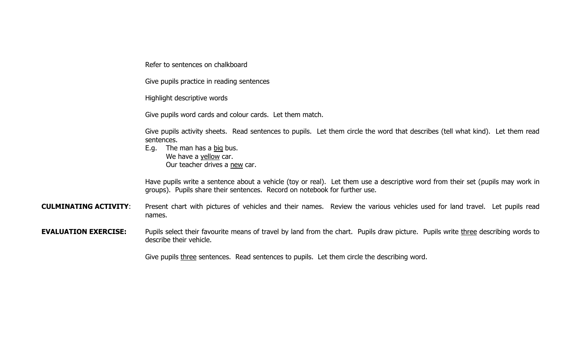Refer to sentences on chalkboard

Give pupils practice in reading sentences

Highlight descriptive words

Give pupils word cards and colour cards. Let them match.

Give pupils activity sheets. Read sentences to pupils. Let them circle the word that describes (tell what kind). Let them read sentences.

 E.g. The man has a big bus. We have a yellow car. **Our teacher drives a new car.** 

> Have pupils write a sentence about a vehicle (toy or real). Let them use a descriptive word from their set (pupils may work in groups). Pupils share their sentences. Record on notebook for further use.

**CULMINATING ACTIVITY**: Present chart with pictures of vehicles and their names. Review the various vehicles used for land travel. Let pupils read names.

**EVALUATION EXERCISE:** Pupils select their favourite means of travel by land from the chart. Pupils draw picture. Pupils write three describing words to describe their vehicle.

Give pupils three sentences. Read sentences to pupils. Let them circle the describing word.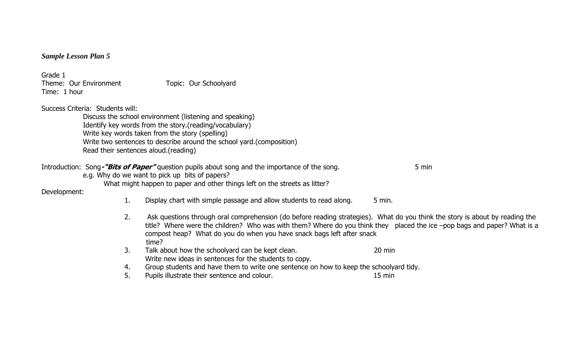|  | <b>Sample Lesson Plan 5</b> |  |  |
|--|-----------------------------|--|--|
|--|-----------------------------|--|--|

Grade 1 Theme: Our Environment Topic: Our Schoolyard Time: 1 hour

Success Criteria: Students will:

Discuss the school environment (listening and speaking) Identify key words from the story.(reading/vocabulary) Write key words taken from the story (spelling) Write two sentences to describe around the school yard.(composition) Read their sentences aloud.(reading)

Introduction: Song-**"Bits of Paper"** question pupils about song and the importance of the song. 5 min

e.g. Why do we want to pick up bits of papers?

What might happen to paper and other things left on the streets as litter?

Development:

- 1.Display chart with simple passage and allow students to read along. 5 min.
- 2. Ask questions through oral comprehension (do before reading strategies). What do you think the story is about by reading the title? Where were the children? Who was with them? Where do you think they placed the ice –pop bags and paper? What is a compost heap? What do you do when you have snack bags left after snack time?
- 3.Talk about how the schoolyard can be kept clean. Talk about how the schoolyard can be kept clean. Write new ideas in sentences for the students to copy.
- 4.Group students and have them to write one sentence on how to keep the schoolyard tidy.
- 5.Pupils illustrate their sentence and colour. 15 min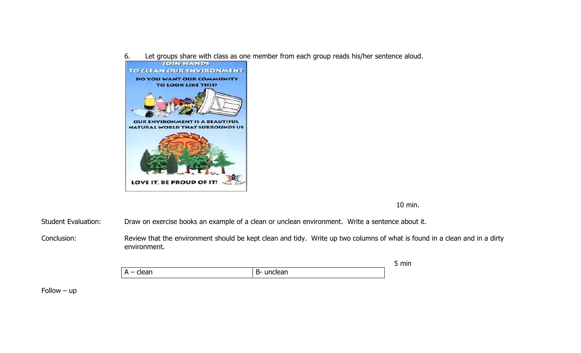6.Let groups share with class as one member from each group reads his/her sentence aloud.



10 min.

Student Evaluation: Draw on exercise books an example of a clean or unclean environment. Write a sentence about it.

Conclusion: Review that the environment should be kept clean and tidy. Write up two columns of what is found in a clean and in a dirty environment.

|                         |                | $- - - - - -$ |
|-------------------------|----------------|---------------|
| ,<br>. .<br>. .<br>---- | - -<br>œ.<br>╺ |               |

Follow – up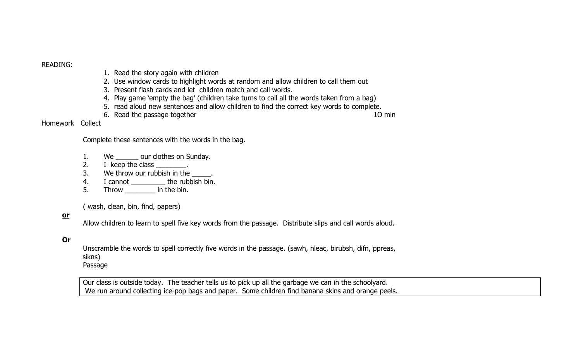### READING:

- 1. Read the story again with children
- 2. Use window cards to highlight words at random and allow children to call them out
- 3. Present flash cards and let children match and call words.
- 4. Play game 'empty the bag' (children take turns to call all the words taken from a bag)
- 5. read aloud new sentences and allow children to find the correct key words to complete.
- 6. Read the passage together 10 minutes are set of the state of the 10 minutes of the 10 minutes of the 10 minutes of the 10 minutes of the 10 minutes of the 10 minutes of the 10 minutes of the 10 minutes of the 10 minutes

### Homework Collect

Complete these sentences with the words in the bag.

- 1.We \_\_\_\_\_\_\_ our clothes on Sunday.
- 2.I keep the class \_\_\_\_\_\_\_\_.
- 3.We throw our rubbish in the  $\overline{\phantom{a}}$ .
- 4.I cannot \_\_\_\_\_\_\_\_\_\_\_ the rubbish bin.
- 5.Throw \_\_\_\_\_\_\_\_ in the bin.

( wash, clean, bin, find, papers)

### **or**

Allow children to learn to spell five key words from the passage. Distribute slips and call words aloud.

### **Or**

 Unscramble the words to spell correctly five words in the passage. (sawh, nleac, birubsh, difn, ppreas, sikns) Passage

Our class is outside today. The teacher tells us to pick up all the garbage we can in the schoolyard. We run around collecting ice-pop bags and paper. Some children find banana skins and orange peels.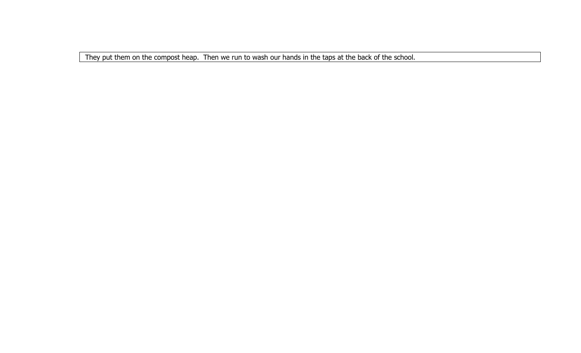They put them on the compost heap. Then we run to wash our hands in the taps at the back of the school.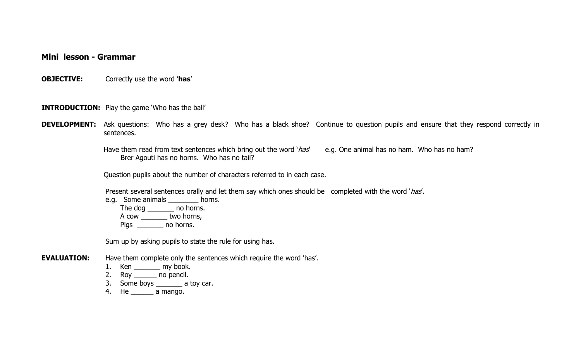**Mini lesson - Grammar** 

**OBJECTIVE:** Correctly use the word '**has**'

**INTRODUCTION:** Play the game 'Who has the ball'

**DEVELOPMENT:** Ask questions: Who has a grey desk? Who has a black shoe? Continue to question pupils and ensure that they respond correctly in sentences.

> Have them read from text sentences which bring out the word '*has'* e.g. One animal has no ham. Who has no ham? Brer Agouti has no horns. Who has no tail?

Question pupils about the number of characters referred to in each case.

Present several sentences orally and let them say which ones should be completed with the word 'has'.

e.g. Some animals \_\_\_\_\_\_\_\_ horns. The dog \_\_\_\_\_\_\_\_ no horns.

A cow \_\_\_\_\_\_\_ two horns,

Pigs \_\_\_\_\_\_ no horns.

Sum up by asking pupils to state the rule for using has.

**EVALUATION:** Have them complete only the sentences which require the word 'has'.

- 1. Ken \_\_\_\_\_\_\_ my book.
- 2. Roy \_\_\_\_\_\_ no pencil.
- 3. Some boys \_\_\_\_\_\_\_ a toy car.
- 4. He \_\_\_\_\_\_ a mango.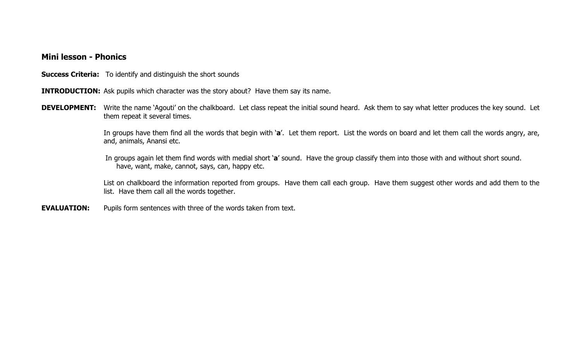## **Mini lesson - Phonics**

**Success Criteria:** To identify and distinguish the short sounds

**INTRODUCTION:** Ask pupils which character was the story about? Have them say its name.

**DEVELOPMENT:** Write the name 'Agouti' on the chalkboard. Let class repeat the initial sound heard. Ask them to say what letter produces the key sound. Let them repeat it several times.

> In groups have them find all the words that begin with '**a**'. Let them report. List the words on board and let them call the words angry, are, and, animals, Anansi etc.

In groups again let them find words with medial short '**a**' sound. Have the group classify them into those with and without short sound. have, want, make, cannot, says, can, happy etc.

List on chalkboard the information reported from groups. Have them call each group. Have them suggest other words and add them to the list. Have them call all the words together.

**EVALUATION:** Pupils form sentences with three of the words taken from text.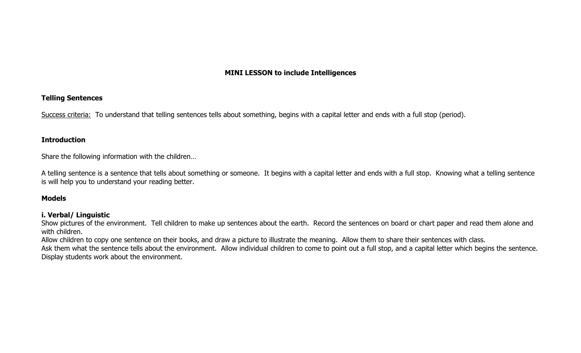# **MINI LESSON to include Intelligences**

### **Telling Sentences**

Success criteria: To understand that telling sentences tells about something, begins with a capital letter and ends with a full stop (period).

#### **Introduction**

Share the following information with the children…

A telling sentence is a sentence that tells about something or someone. It begins with a capital letter and ends with a full stop. Knowing what a telling sentence is will help you to understand your reading better.

### **Models**

#### **i. Verbal/ Linguistic**

Show pictures of the environment. Tell children to make up sentences about the earth. Record the sentences on board or chart paper and read them alone and with children.

Allow children to copy one sentence on their books, and draw a picture to illustrate the meaning. Allow them to share their sentences with class.

Ask them what the sentence tells about the environment. Allow individual children to come to point out a full stop, and a capital letter which begins the sentence. Display students work about the environment.